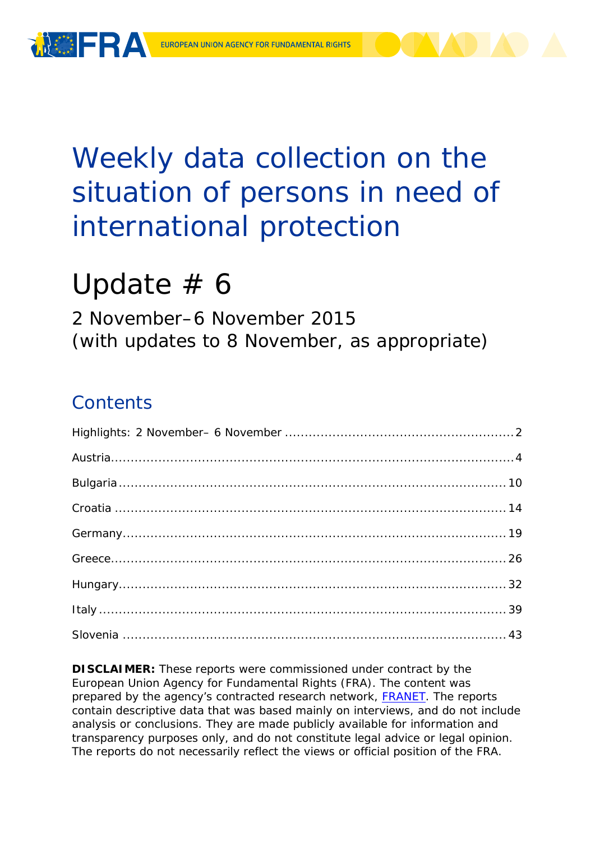

# Weekly data collection on the situation of persons in need of international protection

# Update  $# 6$

2 November–6 November 2015 (with updates to 8 November, as appropriate)

## **Contents**

**DISCLAIMER:** These reports were commissioned under contract by the European Union Agency for Fundamental Rights (FRA). The content was prepared by the agency's contracted research network, [FRANET.](http://fra.europa.eu/en/research/franet) The reports contain descriptive data that was based mainly on interviews, and do not include analysis or conclusions. They are made publicly available for information and transparency purposes only, and do not constitute legal advice or legal opinion. The reports do not necessarily reflect the views or official position of the FRA.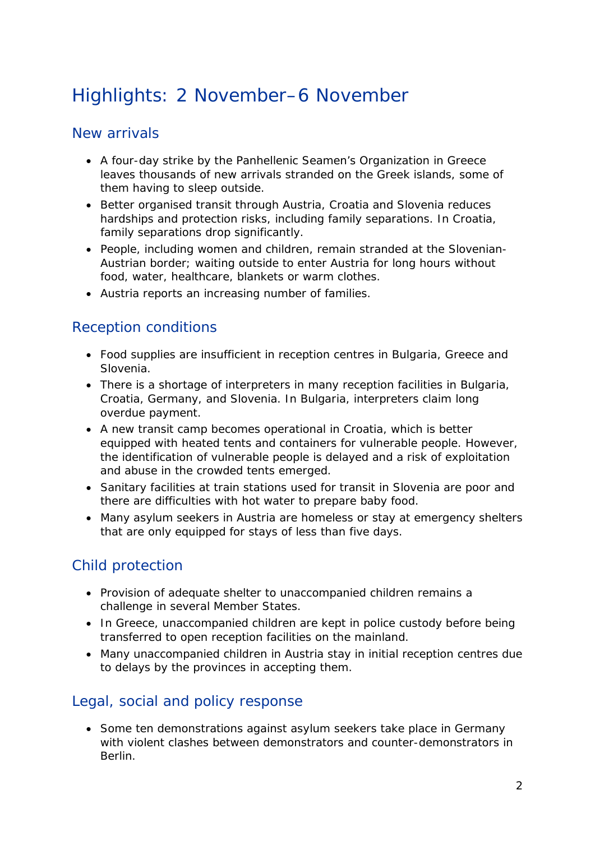## <span id="page-1-0"></span>Highlights: 2 November–6 November

## New arrivals

- A four-day strike by the Panhellenic Seamen's Organization in Greece leaves thousands of new arrivals stranded on the Greek islands, some of them having to sleep outside.
- Better organised transit through Austria, Croatia and Slovenia reduces hardships and protection risks, including family separations. In Croatia, family separations drop significantly.
- People, including women and children, remain stranded at the Slovenian-Austrian border; waiting outside to enter Austria for long hours without food, water, healthcare, blankets or warm clothes.
- Austria reports an increasing number of families.

## Reception conditions

- Food supplies are insufficient in reception centres in Bulgaria, Greece and Slovenia.
- There is a shortage of interpreters in many reception facilities in Bulgaria, Croatia, Germany, and Slovenia. In Bulgaria, interpreters claim long overdue payment.
- A new transit camp becomes operational in Croatia, which is better equipped with heated tents and containers for vulnerable people. However, the identification of vulnerable people is delayed and a risk of exploitation and abuse in the crowded tents emerged.
- Sanitary facilities at train stations used for transit in Slovenia are poor and there are difficulties with hot water to prepare baby food.
- Many asylum seekers in Austria are homeless or stay at emergency shelters that are only equipped for stays of less than five days.

## Child protection

- Provision of adequate shelter to unaccompanied children remains a challenge in several Member States.
- In Greece, unaccompanied children are kept in police custody before being transferred to open reception facilities on the mainland.
- Many unaccompanied children in Austria stay in initial reception centres due to delays by the provinces in accepting them.

## Legal, social and policy response

• Some ten demonstrations against asylum seekers take place in Germany with violent clashes between demonstrators and counter-demonstrators in Berlin.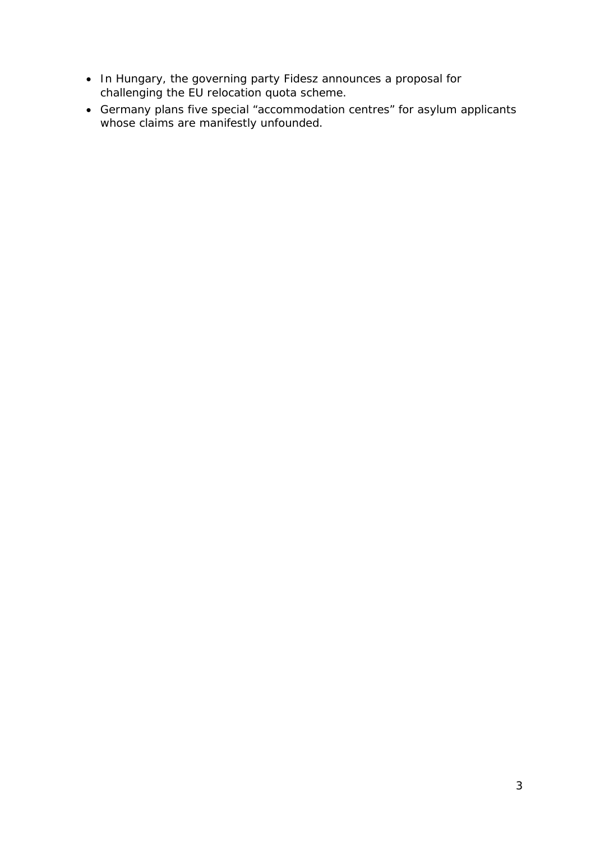- In Hungary, the governing party Fidesz announces a proposal for challenging the EU relocation quota scheme.
- Germany plans five special "accommodation centres" for asylum applicants whose claims are manifestly unfounded.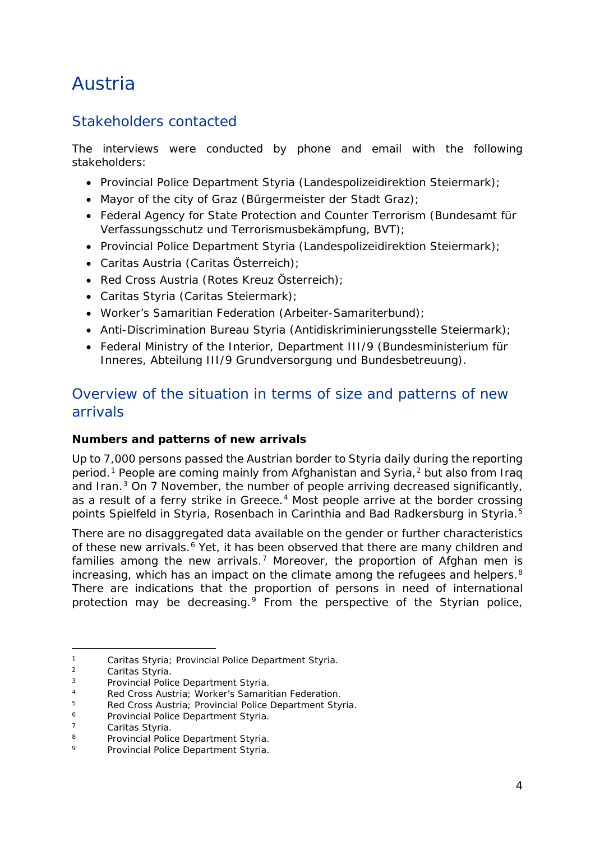## <span id="page-3-0"></span>Austria

## Stakeholders contacted

The interviews were conducted by phone and email with the following stakeholders:

- Provincial Police Department Styria *(Landespolizeidirektion Steiermark)*;
- Mayor of the city of Graz *(Bürgermeister der Stadt Graz)*;
- Federal Agency for State Protection and Counter Terrorism *(Bundesamt für Verfassungsschutz und Terrorismusbekämpfung, BVT)*;
- Provincial Police Department Styria *(Landespolizeidirektion Steiermark)*;
- Caritas Austria *(Caritas Österreich)*;
- Red Cross Austria *(Rotes Kreuz Österreich)*;
- Caritas Styria *(Caritas Steiermark)*;
- Worker's Samaritian Federation *(Arbeiter-Samariterbund)*;
- Anti-Discrimination Bureau Styria (*Antidiskriminierungsstelle Steiermark)*;
- Federal Ministry of the Interior, Department III/9 *(Bundesministerium für Inneres, Abteilung III/9 Grundversorgung und Bundesbetreuung)*.

## Overview of the situation in terms of size and patterns of new arrivals

#### **Numbers and patterns of new arrivals**

Up to 7,000 persons passed the Austrian border to Styria daily during the reporting period.<sup>[1](#page-3-1)</sup> People are coming mainly from Afghanistan and Syria,<sup>[2](#page-3-2)</sup> but also from Iraq and Iran. $3$  On 7 November, the number of people arriving decreased significantly, as a result of a ferry strike in Greece.<sup>[4](#page-3-4)</sup> Most people arrive at the border crossing points Spielfeld in Styria, Rosenbach in Carinthia and Bad Radkersburg in Styria.<sup>[5](#page-3-5)</sup>

There are no disaggregated data available on the gender or further characteristics of these new arrivals.<sup>[6](#page-3-6)</sup> Yet, it has been observed that there are many children and families among the new arrivals.<sup>[7](#page-3-7)</sup> Moreover, the proportion of Afghan men is increasing, which has an impact on the climate among the refugees and helpers.<sup>[8](#page-3-8)</sup> There are indications that the proportion of persons in need of international protection may be decreasing.<sup>[9](#page-3-9)</sup> From the perspective of the Styrian police,

<sup>1</sup> Caritas Styria; Provincial Police Department Styria.<br>2 Caritas Styria j.

<span id="page-3-2"></span><span id="page-3-1"></span><sup>&</sup>lt;sup>2</sup> Caritas Styria.

<span id="page-3-3"></span><sup>3</sup> Provincial Police Department Styria*.*

<span id="page-3-5"></span><span id="page-3-4"></span><sup>&</sup>lt;sup>5</sup> Red Cross Austria; Provincial Police Department Styria.<br><sup>6</sup> Provincial Police Department Styria

<span id="page-3-6"></span><sup>6</sup> Provincial Police Department Styria*.*

<span id="page-3-8"></span><span id="page-3-7"></span><sup>&</sup>lt;sup>7</sup> Caritas Styria.<br>
<sup>8</sup> Provincial Police Department Styria.<br>
<sup>9</sup> Provincial Police Department Styria.

<span id="page-3-9"></span><sup>9</sup> Provincial Police Department Styria.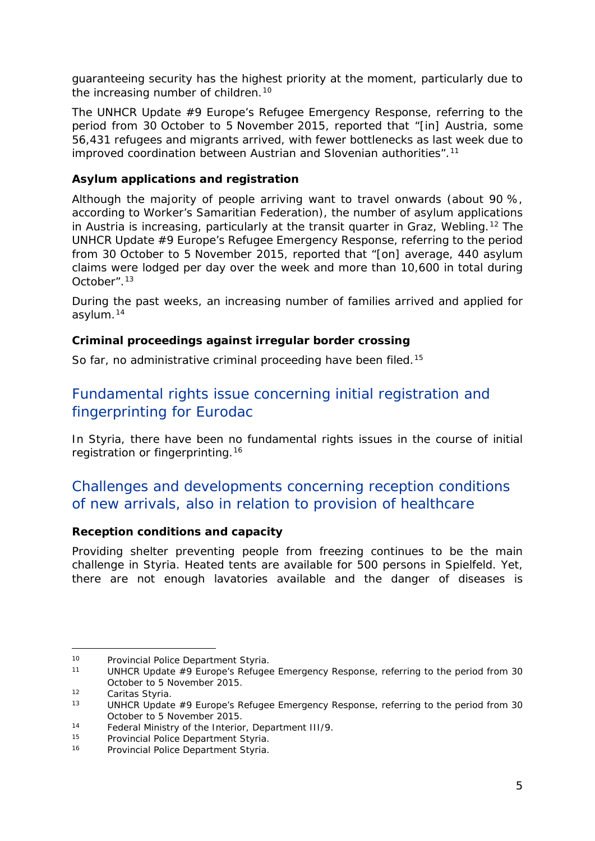<span id="page-4-3"></span>guaranteeing security has the highest priority at the moment, particularly due to the increasing number of children.<sup>[10](#page-4-0)</sup>

The UNHCR Update #9 Europe's Refugee Emergency Response, referring to the period from 30 October to 5 November 2015, reported that "*[in] Austria, some 56,431 refugees and migrants arrived, with fewer bottlenecks as last week due to improved coordination between Austrian and Slovenian authorities*".[11](#page-4-1)

#### **Asylum applications and registration**

Although the majority of people arriving want to travel onwards (about 90 %, according to Worker's Samaritian Federation), the number of asylum applications in Austria is increasing, particularly at the transit quarter in Graz, Webling.<sup>[12](#page-4-2)</sup> The UNHCR Update #9 Europe's Refugee Emergency Response, referring to the period from 30 October to 5 November 2015, reported that "*[on] average, 440 asylum claims were lodged per day over the week and more than 10,600 in total during October*".[13](#page-4-3)

During the past weeks, an increasing number of families arrived and applied for asylum.[14](#page-4-4)

#### **Criminal proceedings against irregular border crossing**

So far, no administrative criminal proceeding have been filed.<sup>[15](#page-4-5)</sup>

## Fundamental rights issue concerning initial registration and fingerprinting for Eurodac

In Styria, there have been no fundamental rights issues in the course of initial registration or fingerprinting.[16](#page-4-6)

## Challenges and developments concerning reception conditions of new arrivals, also in relation to provision of healthcare

#### **Reception conditions and capacity**

Providing shelter preventing people from freezing continues to be the main challenge in Styria. Heated tents are available for 500 persons in Spielfeld. Yet, there are not enough lavatories available and the danger of diseases is

j.

<span id="page-4-1"></span><span id="page-4-0"></span><sup>10</sup> Provincial Police Department Styria.<br><sup>11</sup> UNHCR *Update #9 Europe's Refugee Emergency Response*, referring to the period from 30 October to 5 November 2015.

<span id="page-4-2"></span> $12$  Caritas Styria.<br> $13$  LINHCP Undate

<sup>13</sup> UNHCR *Update #9 Europe's Refugee Emergency Response*, referring to the period from 30 October to 5 November 2015.

<span id="page-4-4"></span><sup>14</sup> Federal Ministry of the Interior, Department III/9*.*

<span id="page-4-6"></span><span id="page-4-5"></span><sup>&</sup>lt;sup>15</sup> Provincial Police Department Styria.<br><sup>16</sup> Provincial Police Department Styria.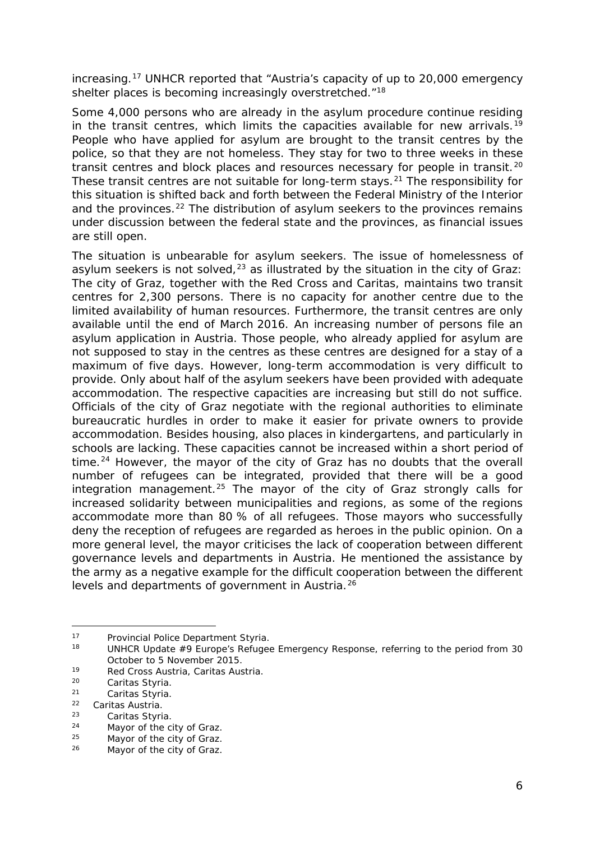<span id="page-5-3"></span>increasing.[17](#page-5-0) UNHCR reported that "*Austria's capacity of up to 20,000 emergency shelter places is becoming increasingly overstretched*."[18](#page-5-1)

Some 4,000 persons who are already in the asylum procedure continue residing in the transit centres, which limits the capacities available for new arrivals.<sup>[19](#page-5-2)</sup> People who have applied for asylum are brought to the transit centres by the police, so that they are not homeless. They stay for two to three weeks in these transit centres and block places and resources necessary for people in transit.<sup>[20](#page-5-3)</sup> These transit centres are not suitable for long-term stays.[21](#page-5-3) The responsibility for this situation is shifted back and forth between the Federal Ministry of the Interior and the provinces.<sup>[22](#page-5-3)</sup> The distribution of asylum seekers to the provinces remains under discussion between the federal state and the provinces, as financial issues are still open.

The situation is unbearable for asylum seekers. The issue of homelessness of asylum seekers is not solved, $^{23}$  $^{23}$  $^{23}$  as illustrated by the situation in the city of Graz: The city of Graz, together with the Red Cross and Caritas, maintains two transit centres for 2,300 persons. There is no capacity for another centre due to the limited availability of human resources. Furthermore, the transit centres are only available until the end of March 2016. An increasing number of persons file an asylum application in Austria. Those people, who already applied for asylum are not supposed to stay in the centres as these centres are designed for a stay of a maximum of five days. However, long-term accommodation is very difficult to provide. Only about half of the asylum seekers have been provided with adequate accommodation. The respective capacities are increasing but still do not suffice. Officials of the city of Graz negotiate with the regional authorities to eliminate bureaucratic hurdles in order to make it easier for private owners to provide accommodation. Besides housing, also places in kindergartens, and particularly in schools are lacking. These capacities cannot be increased within a short period of time.<sup>[24](#page-5-3)</sup> However, the mayor of the city of Graz has no doubts that the overall number of refugees can be integrated, provided that there will be a good integration management.<sup>[25](#page-5-3)</sup> The mayor of the city of Graz strongly calls for increased solidarity between municipalities and regions, as some of the regions accommodate more than 80 % of all refugees. Those mayors who successfully deny the reception of refugees are regarded as heroes in the public opinion. On a more general level, the mayor criticises the lack of cooperation between different governance levels and departments in Austria. He mentioned the assistance by the army as a negative example for the difficult cooperation between the different levels and departments of government in Austria.[26](#page-5-3)

-

<span id="page-5-1"></span><span id="page-5-0"></span><sup>17</sup> Provincial Police Department Styria.<br><sup>18</sup> UNHCR *Update #9 Europe's Refugee Emergency Response*, referring to the period from 30 October to 5 November 2015.

<span id="page-5-2"></span><sup>19</sup> Red Cross Austria*,* Caritas Austria.

 $20$  Caritas Styria.<br>  $21$  Caritas Styria

<sup>&</sup>lt;sup>21</sup> Caritas Styria.<br><sup>22</sup> Caritas Austria

 $22$  Caritas Austria.<br> $23$  Caritas Styri

<span id="page-5-4"></span> $23$  Caritas Styria.<br> $24$  Mayor of the c

<sup>&</sup>lt;sup>24</sup> Mayor of the city of Graz.<br> $\frac{25}{25}$  Mayor of the city of Graz.

 $^{25}$  Mayor of the city of Graz.<br> $^{26}$  Mayor of the city of Graz.

Mayor of the city of Graz.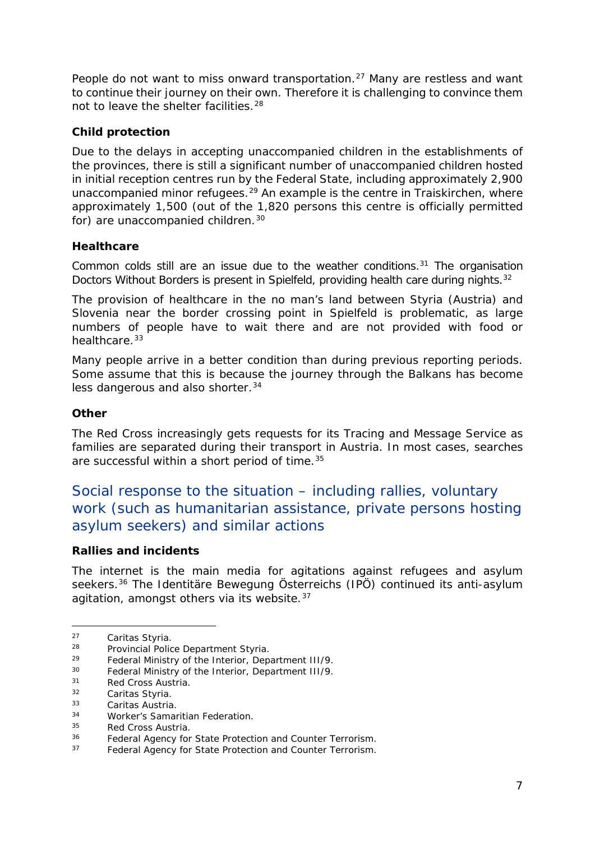<span id="page-6-1"></span>People do not want to miss onward transportation.<sup>[27](#page-6-0)</sup> Many are restless and want to continue their journey on their own. Therefore it is challenging to convince them not to leave the shelter facilities.[28](#page-6-1)

#### **Child protection**

Due to the delays in accepting unaccompanied children in the establishments of the provinces, there is still a significant number of unaccompanied children hosted in initial reception centres run by the Federal State, including approximately 2,900 unaccompanied minor refugees.<sup>[29](#page-6-2)</sup> An example is the centre in Traiskirchen, where approximately 1,500 (out of the 1,820 persons this centre is officially permitted for) are unaccompanied children.<sup>[30](#page-6-1)</sup>

#### **Healthcare**

Common colds still are an issue due to the weather conditions. $31$  The organisation Doctors Without Borders is present in Spielfeld, providing health care during nights.<sup>[32](#page-6-1)</sup>

The provision of healthcare in the no man's land between Styria (Austria) and Slovenia near the border crossing point in Spielfeld is problematic, as large numbers of people have to wait there and are not provided with food or healthcare.<sup>[33](#page-6-4)</sup>

Many people arrive in a better condition than during previous reporting periods. Some assume that this is because the journey through the Balkans has become less dangerous and also shorter.<sup>[34](#page-6-5)</sup>

#### **Other**

The Red Cross increasingly gets requests for its Tracing and Message Service as families are separated during their transport in Austria. In most cases, searches are successful within a short period of time.<sup>[35](#page-6-6)</sup>

## Social response to the situation – including rallies, voluntary work (such as humanitarian assistance, private persons hosting asylum seekers) and similar actions

#### **Rallies and incidents**

The internet is the main media for agitations against refugees and asylum seekers.[36](#page-6-7) The *Identitäre Bewegung Österreichs (IPÖ)* continued its anti-asylum agitation, amongst others via its website.<sup>[37](#page-6-1)</sup>

<sup>&</sup>lt;sup>27</sup> Caritas Styria.<br><sup>28</sup> Provincial Polic -

<span id="page-6-0"></span><sup>&</sup>lt;sup>28</sup> Provincial Police Department Styria.<br>29 Eederal Ministry of the Interior, Dep

<span id="page-6-2"></span><sup>29</sup> Federal Ministry of the Interior, Department III/9*.*

<sup>30</sup> Federal Ministry of the Interior, Department III/9*.*

<span id="page-6-3"></span> $31$  Red Cross Austria.<br> $32$  Caritas Sturia

 $32$  Caritas Styria.<br> $33$  Caritas Austria

<span id="page-6-4"></span><sup>&</sup>lt;sup>33</sup> Caritas Austria.<br><sup>34</sup> Merker's Samer

<span id="page-6-5"></span><sup>&</sup>lt;sup>34</sup> Worker's Samaritian Federation.<br><sup>35</sup> Bod Cross Austria

<span id="page-6-6"></span> $^{35}$  Red Cross Austria.<br> $^{36}$  Eederal Agency for

<span id="page-6-7"></span><sup>&</sup>lt;sup>36</sup> Federal Agency for State Protection and Counter Terrorism.<br><sup>37</sup> Eaderal Agency for State Protection and Counter Terrorism.

Federal Agency for State Protection and Counter Terrorism.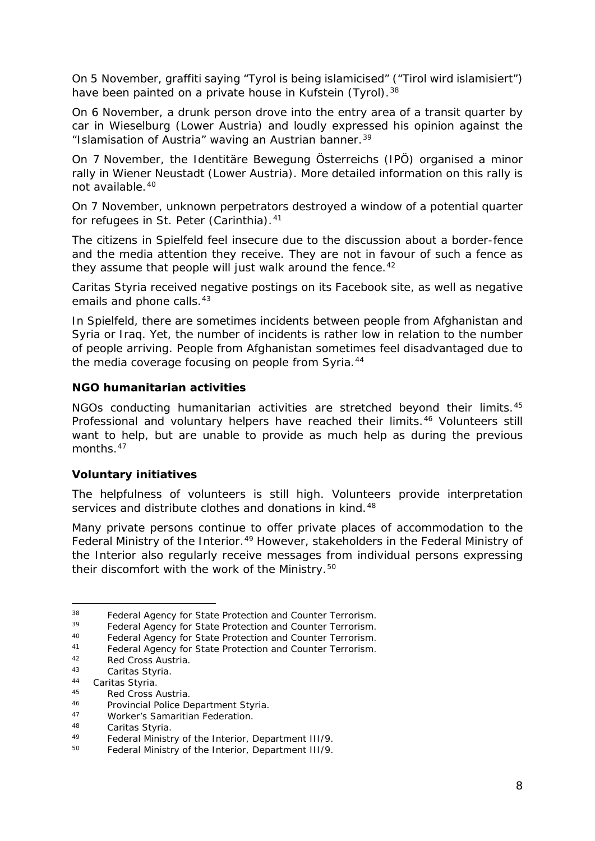<span id="page-7-8"></span>On 5 November, graffiti saying "Tyrol is being islamicised" *("Tirol wird islamisiert")* have been painted on a private house in Kufstein (Tyrol).<sup>[38](#page-7-0)</sup>

On 6 November, a drunk person drove into the entry area of a transit quarter by car in Wieselburg (Lower Austria) and loudly expressed his opinion against the "Islamisation of Austria" waving an Austrian banner.[39](#page-7-1)

On 7 November, the *Identitäre Bewegung Österreichs (IPÖ)* organised a minor rally in Wiener Neustadt (Lower Austria). More detailed information on this rally is not available.[40](#page-7-2)

On 7 November, unknown perpetrators destroyed a window of a potential quarter for refugees in St. Peter (Carinthia).<sup>[41](#page-7-3)</sup>

The citizens in Spielfeld feel insecure due to the discussion about a border-fence and the media attention they receive. They are not in favour of such a fence as they assume that people will just walk around the fence.  $42$ 

Caritas Styria received negative postings on its Facebook site, as well as negative emails and phone calls.<sup>[43](#page-7-5)</sup>

In Spielfeld, there are sometimes incidents between people from Afghanistan and Syria or Iraq. Yet, the number of incidents is rather low in relation to the number of people arriving. People from Afghanistan sometimes feel disadvantaged due to the media coverage focusing on people from Syria.<sup>[44](#page-7-6)</sup>

#### **NGO humanitarian activities**

NGOs conducting humanitarian activities are stretched beyond their limits.<sup>[45](#page-7-7)</sup> Professional and voluntary helpers have reached their limits.<sup>[46](#page-7-8)</sup> Volunteers still want to help, but are unable to provide as much help as during the previous months.<sup>[47](#page-7-8)</sup>

#### **Voluntary initiatives**

The helpfulness of volunteers is still high. Volunteers provide interpretation services and distribute clothes and donations in kind.<sup>[48](#page-7-9)</sup>

Many private persons continue to offer private places of accommodation to the Federal Ministry of the Interior.<sup>[49](#page-7-10)</sup> However, stakeholders in the Federal Ministry of the Interior also regularly receive messages from individual persons expressing their discomfort with the work of the Ministry.<sup>[50](#page-7-8)</sup>

<sup>&</sup>lt;sup>38</sup> Federal Agency for State Protection and Counter Terrorism.<br><sup>39</sup> Eaderal Agency for State Protection and Counter Terrorism. j.

<span id="page-7-1"></span><span id="page-7-0"></span><sup>&</sup>lt;sup>39</sup> Federal Agency for State Protection and Counter Terrorism.<br><sup>40</sup> Eoderal Agency for State Protection and Counter Terrorism.

<span id="page-7-2"></span><sup>40</sup> Federal Agency for State Protection and Counter Terrorism.<br>41 Eoderal Agency for State Protection and Counter Terrorism.

<span id="page-7-3"></span><sup>41</sup> Federal Agency for State Protection and Counter Terrorism.<br>42 Red Cress Austria

<span id="page-7-4"></span> $42$  Red Cross Austria.<br> $43$  Caritas Styria

Caritas Styria.

<span id="page-7-6"></span><span id="page-7-5"></span><sup>&</sup>lt;sup>44</sup> Caritas Styria.<br><sup>45</sup> Ped Cress

<span id="page-7-7"></span> $^{45}$  Red Cross Austria.<br> $^{46}$  Provincial Police De

<sup>46</sup> Provincial Police Department Styria.<br>47 Merker's Samaritian Eccleration

<sup>47</sup> Worker's Samaritian Federation*.*

<span id="page-7-9"></span><sup>48</sup> Caritas Styria*.*

<span id="page-7-10"></span><sup>49</sup> Federal Ministry of the Interior, Department III/9*.*

<sup>50</sup> Federal Ministry of the Interior, Department III/9*.*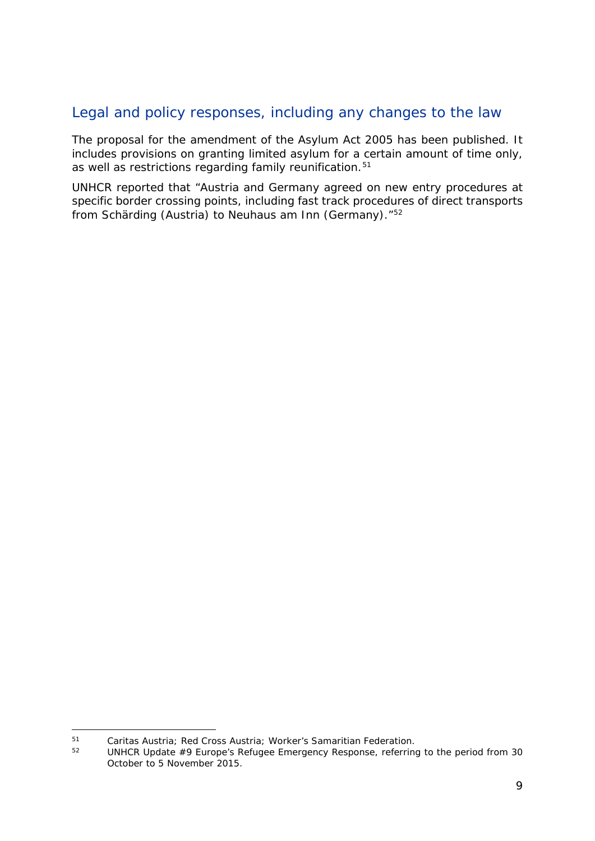## Legal and policy responses, including any changes to the law

The proposal for the amendment of the Asylum Act 2005 has been published. It includes provisions on granting limited asylum for a certain amount of time only, as well as restrictions regarding family reunification.<sup>[51](#page-8-0)</sup>

UNHCR reported that "Austria and Germany agreed on new entry procedures at specific border crossing points, including fast track procedures of direct transports from Schärding (Austria) to Neuhaus am Inn (Germany)."[52](#page-8-1)

<span id="page-8-1"></span><span id="page-8-0"></span><sup>51</sup> Caritas Austria*;* Red Cross Austria; Worker's Samaritian Federation.  $51$ 

<sup>52</sup> UNHCR *Update #9 Europe's Refugee Emergency Response*, referring to the period from 30 October to 5 November 2015.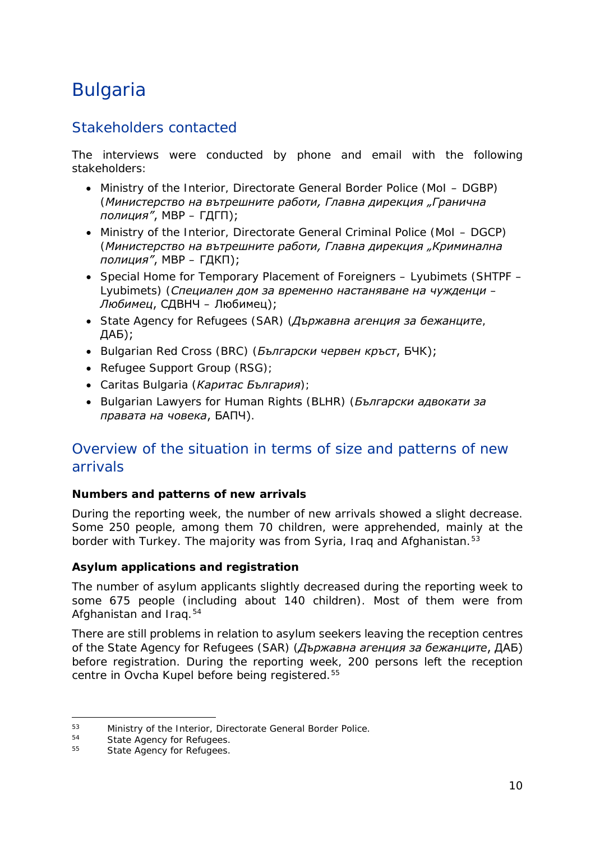## <span id="page-9-0"></span>Bulgaria

## Stakeholders contacted

The interviews were conducted by phone and email with the following stakeholders:

- Ministry of the Interior, Directorate General Border Police (MoI DGBP) (*Министерство на вътрешните работи, Главна дирекция "Гранична полиция"*, МВР – ГДГП);
- Ministry of the Interior, Directorate General Criminal Police (MoI DGCP) (*Министерство на вътрешните работи, Главна дирекция "Криминална полиция"*, МВР – ГДКП);
- Special Home for Temporary Placement of Foreigners Lyubimets (SHTPF Lyubimets) (*Специален дом за временно настаняване на чужденци – Любимец*, СДВНЧ – Любимец);
- State Agency for Refugees (SAR) (*Държавна агенция за бежанците*, ДАБ);
- Bulgarian Red Cross (BRC) (*Български червен кръст*, БЧК);
- Refugee Support Group (RSG);
- Caritas Bulgaria (*Каритас България*);
- Bulgarian Lawyers for Human Rights (BLHR) (*Български адвокати за правата на човека*, БАПЧ).

## Overview of the situation in terms of size and patterns of new arrivals

#### **Numbers and patterns of new arrivals**

During the reporting week, the number of new arrivals showed a slight decrease. Some 250 people, among them 70 children, were apprehended, mainly at the border with Turkey. The majority was from Syria, Iraq and Afghanistan.<sup>[53](#page-9-1)</sup>

#### **Asylum applications and registration**

The number of asylum applicants slightly decreased during the reporting week to some 675 people (including about 140 children). Most of them were from Afghanistan and Iraq.[54](#page-9-2)

There are still problems in relation to asylum seekers leaving the reception centres of the State Agency for Refugees (SAR) (*Държавна агенция за бежанците*, ДАБ) before registration. During the reporting week, 200 persons left the reception centre in Ovcha Kupel before being registered.[55](#page-9-3)

<span id="page-9-1"></span><sup>53</sup> Ministry of the Interior, Directorate General Border Police.<br>54 State Agency for Pofusces 53

<span id="page-9-3"></span><span id="page-9-2"></span><sup>&</sup>lt;sup>54</sup> State Agency for Refugees.<br><sup>55</sup> State Agency for Refugees.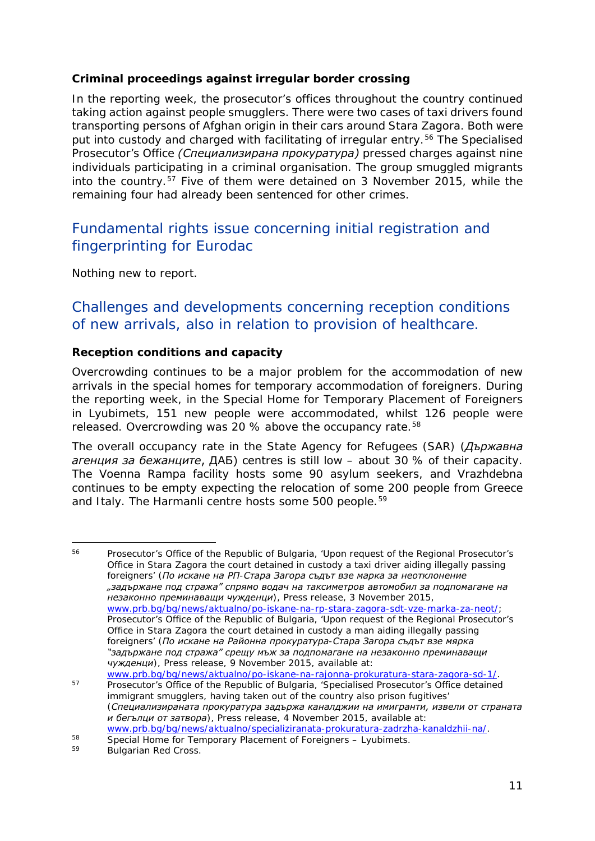#### <span id="page-10-1"></span>**Criminal proceedings against irregular border crossing**

In the reporting week, the prosecutor's offices throughout the country continued taking action against people smugglers. There were two cases of taxi drivers found transporting persons of Afghan origin in their cars around Stara Zagora. Both were put into custody and charged with facilitating of irregular entry.<sup>[56](#page-10-0)</sup> The Specialised Prosecutor's Office *(Специализирана прокуратура)* pressed charges against nine individuals participating in a criminal organisation. The group smuggled migrants into the country.[57](#page-10-1) Five of them were detained on 3 November 2015, while the remaining four had already been sentenced for other crimes.

## Fundamental rights issue concerning initial registration and fingerprinting for Eurodac

Nothing new to report.

## Challenges and developments concerning reception conditions of new arrivals, also in relation to provision of healthcare.

#### **Reception conditions and capacity**

Overcrowding continues to be a major problem for the accommodation of new arrivals in the special homes for temporary accommodation of foreigners. During the reporting week, in the Special Home for Temporary Placement of Foreigners in Lyubimets, 151 new people were accommodated, whilst 126 people were released. Overcrowding was 20 % above the occupancy rate.<sup>58</sup>

The overall occupancy rate in the State Agency for Refugees (SAR) (*Държавна агенция за бежанците*, ДАБ) centres is still low – about 30 % of their capacity. The Voenna Rampa facility hosts some 90 asylum seekers, and Vrazhdebna continues to be empty expecting the relocation of some 200 people from Greece and Italy. The Harmanli centre hosts some 500 people.<sup>[59](#page-10-3)</sup>

<span id="page-10-0"></span>Prosecutor's Office of the Republic of Bulgaria, 'Upon request of the Regional Prosecutor's Office in Stara Zagora the court detained in custody a taxi driver aiding illegally passing foreigners' (*По искане на РП-Стара Загора съдът взе марка за неотклонение "задържане под стража" спрямо водач на таксиметров автомобил за подпомагане на незаконно преминаващи чужденци*), Press release, 3 November 2015, [www.prb.bg/bg/news/aktualno/po-iskane-na-rp-stara-zagora-sdt-vze-marka-za-neot/;](http://www.prb.bg/bg/news/aktualno/po-iskane-na-rp-stara-zagora-sdt-vze-marka-za-neot/) Prosecutor's Office of the Republic of Bulgaria, 'Upon request of the Regional Prosecutor's Office in Stara Zagora the court detained in custody a man aiding illegally passing foreigners' (*По искане на Районна прокуратура-Стара Загора съдът взе мярка "задържане под стража" срещу мъж за подпомагане на незаконно преминаващи чужденци*), Press release, 9 November 2015, available at: [www.prb.bg/bg/news/aktualno/po-iskane-na-rajonna-prokuratura-stara-zagora-sd-1/.](http://www.prb.bg/bg/news/aktualno/po-iskane-na-rajonna-prokuratura-stara-zagora-sd-1/) 56

<sup>57</sup> Prosecutor's Office of the Republic of Bulgaria, 'Specialised Prosecutor's Office detained immigrant smugglers, having taken out of the country also prison fugitives' (*Специализираната прокуратура задържа каналджии на имигранти, извели от страната и бегълци от затвора*), Press release, 4 November 2015, available at: [www.prb.bg/bg/news/aktualno/specializiranata-prokuratura-zadrzha-kanaldzhii-na/.](http://www.prb.bg/bg/news/aktualno/specializiranata-prokuratura-zadrzha-kanaldzhii-na/)

<span id="page-10-2"></span><sup>58</sup> Special Home for Temporary Placement of Foreigners – Lyubimets.<br>59 Bulgarian Red Cross.

<span id="page-10-3"></span>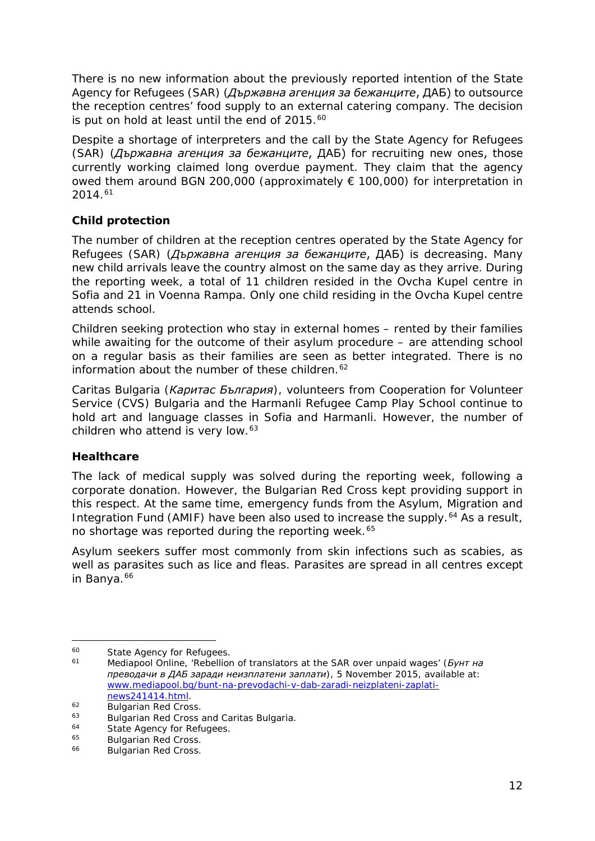<span id="page-11-5"></span>There is no new information about the previously reported intention of the State Agency for Refugees (SAR) (*Държавна агенция за бежанците*, ДАБ) to outsource the reception centres' food supply to an external catering company. The decision is put on hold at least until the end of 2015.<sup>[60](#page-11-0)</sup>

Despite a shortage of interpreters and the call by the State Agency for Refugees (SAR) (*Държавна агенция за бежанците*, ДАБ) for recruiting new ones, those currently working claimed long overdue payment. They claim that the agency owed them around BGN 200,000 (approximately € 100,000) for interpretation in 2014.[61](#page-11-1)

#### **Child protection**

The number of children at the reception centres operated by the State Agency for Refugees (SAR) (*Държавна агенция за бежанците*, ДАБ) is decreasing. Many new child arrivals leave the country almost on the same day as they arrive. During the reporting week, a total of 11 children resided in the Ovcha Kupel centre in Sofia and 21 in Voenna Rampa. Only one child residing in the Ovcha Kupel centre attends school.

Children seeking protection who stay in external homes – rented by their families while awaiting for the outcome of their asylum procedure – are attending school on a regular basis as their families are seen as better integrated. There is no information about the number of these children.<sup>[62](#page-11-2)</sup>

Caritas Bulgaria (*Каритас България*), volunteers from Cooperation for Volunteer Service (CVS) Bulgaria and the Harmanli Refugee Camp Play School continue to hold art and language classes in Sofia and Harmanli. However, the number of children who attend is very low.<sup>[63](#page-11-3)</sup>

#### **Healthcare**

The lack of medical supply was solved during the reporting week, following a corporate donation. However, the Bulgarian Red Cross kept providing support in this respect. At the same time, emergency funds from the Asylum, Migration and Integration Fund (AMIF) have been also used to increase the supply.<sup>[64](#page-11-4)</sup> As a result, no shortage was reported during the reporting week.<sup>[65](#page-11-5)</sup>

Asylum seekers suffer most commonly from skin infections such as scabies, as well as parasites such as lice and fleas. Parasites are spread in all centres except in Banya.<sup>[66](#page-11-6)</sup>

<span id="page-11-0"></span><sup>&</sup>lt;sup>60</sup> State Agency for Refugees.<br><sup>61</sup> Medianool Opline 'Rebellion  $60$ 

<span id="page-11-1"></span><sup>61</sup> Mediapool Online, 'Rebellion of translators at the SAR over unpaid wages' (*Бунт на преводачи в ДАБ заради неизплатени заплати*), 5 November 2015, available at: [www.mediapool.bg/bunt-na-prevodachi-v-dab-zaradi-neizplateni-zaplati](http://www.mediapool.bg/bunt-na-prevodachi-v-dab-zaradi-neizplateni-zaplati-news241414.html)[news241414.html.](http://www.mediapool.bg/bunt-na-prevodachi-v-dab-zaradi-neizplateni-zaplati-news241414.html)

<span id="page-11-2"></span><sup>&</sup>lt;sup>62</sup> Bulgarian Red Cross.<br><sup>63</sup> Bulgarian Red Cross.

<span id="page-11-3"></span><sup>&</sup>lt;sup>63</sup> Bulgarian Red Cross and Caritas Bulgaria.<br><sup>64</sup> State Agency for Befugees

<span id="page-11-4"></span><sup>&</sup>lt;sup>64</sup> State Agency for Refugees.<br><sup>65</sup> Bulgarian Red Crees.

<sup>&</sup>lt;sup>65</sup> Bulgarian Red Cross.<br><sup>66</sup> Bulgarian Bod Cross.

<span id="page-11-6"></span>Bulgarian Red Cross.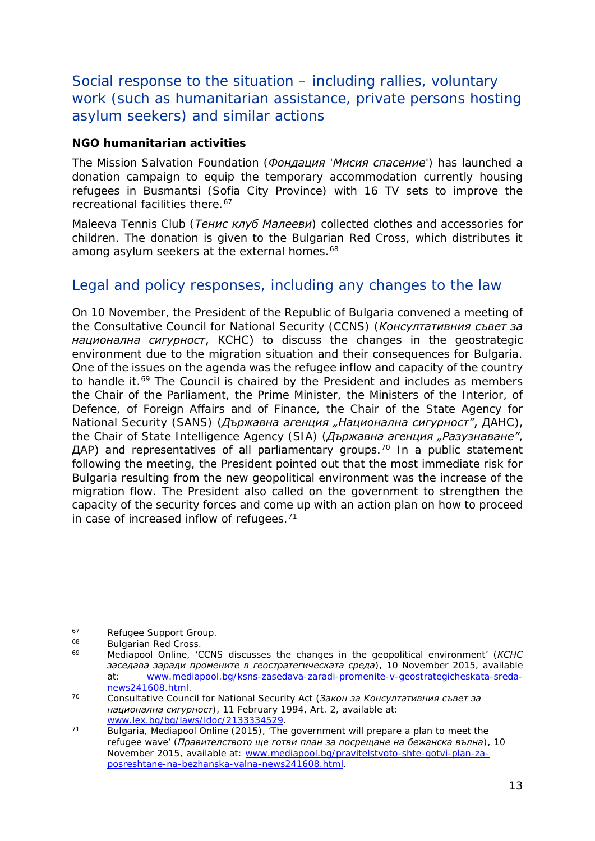## <span id="page-12-3"></span>Social response to the situation – including rallies, voluntary work (such as humanitarian assistance, private persons hosting asylum seekers) and similar actions

#### **NGO humanitarian activities**

The Mission Salvation Foundation (*Фондация 'Мисия спасение'*) has launched a donation campaign to equip the temporary accommodation currently housing refugees in Busmantsi (Sofia City Province) with 16 TV sets to improve the recreational facilities there.<sup>67</sup>

Maleeva Tennis Club (*Тенис клуб Малееви*) collected clothes and accessories for children. The donation is given to the Bulgarian Red Cross, which distributes it among asylum seekers at the external homes.<sup>[68](#page-12-1)</sup>

## Legal and policy responses, including any changes to the law

On 10 November, the President of the Republic of Bulgaria convened a meeting of the Consultative Council for National Security (CCNS) (*Консултативния съвет за национална сигурност*, КСНС) to discuss the changes in the geostrategic environment due to the migration situation and their consequences for Bulgaria. One of the issues on the agenda was the refugee inflow and capacity of the country to handle it.<sup>[69](#page-12-2)</sup> The Council is chaired by the President and includes as members the Chair of the Parliament, the Prime Minister, the Ministers of the Interior, of Defence, of Foreign Affairs and of Finance, the Chair of the State Agency for National Security (SANS) (*Държавна агенция "Национална сигурност"*, ДАНС), the Chair of State Intelligence Agency (SIA) (*Държавна агенция "Разузнаване"*, ДАР) and representatives of all parliamentary groups.<sup>[70](#page-12-3)</sup> In a public statement following the meeting, the President pointed out that the most immediate risk for Bulgaria resulting from the new geopolitical environment was the increase of the migration flow. The President also called on the government to strengthen the capacity of the security forces and come up with an action plan on how to proceed in case of increased inflow of refugees. $71$ 

<span id="page-12-0"></span> $^{67}$  Refugee Support Group.<br> $^{68}$  Bulgarian Red Cross.  $67$ 

<span id="page-12-1"></span><sup>&</sup>lt;sup>68</sup> Bulgarian Red Cross.<br><sup>69</sup> Medianool Opline

<span id="page-12-2"></span><sup>69</sup> Mediapool Online, 'CCNS discusses the changes in the geopolitical environment' (*КСНС заседава заради промените в геостратегическата среда*), 10 November 2015, available at: [www.mediapool.bg/ksns-zasedava-zaradi-promenite-v-geostrategicheskata-sreda](http://www.mediapool.bg/ksns-zasedava-zaradi-promenite-v-geostrategicheskata-sreda-news241608.html)[news241608.html.](http://www.mediapool.bg/ksns-zasedava-zaradi-promenite-v-geostrategicheskata-sreda-news241608.html)

<sup>70</sup> Consultative Council for National Security Act (*Закон за Консултативния съвет за национална сигурност*), 11 February 1994, Art. 2, available at: [www.lex.bg/bg/laws/ldoc/2133334529.](http://www.lex.bg/bg/laws/ldoc/2133334529)

<sup>&</sup>lt;sup>71</sup> Bulgaria, Mediapool Online (2015), 'The government will prepare a plan to meet the refugee wave' (*Правителството ще готви план за посрещане на бежанска вълна*), 10 November 2015, available at: [www.mediapool.bg/pravitelstvoto-shte-gotvi-plan-za](http://www.mediapool.bg/pravitelstvoto-shte-gotvi-plan-za-posreshtane-na-bezhanska-valna-news241608.html)[posreshtane-na-bezhanska-valna-news241608.html.](http://www.mediapool.bg/pravitelstvoto-shte-gotvi-plan-za-posreshtane-na-bezhanska-valna-news241608.html)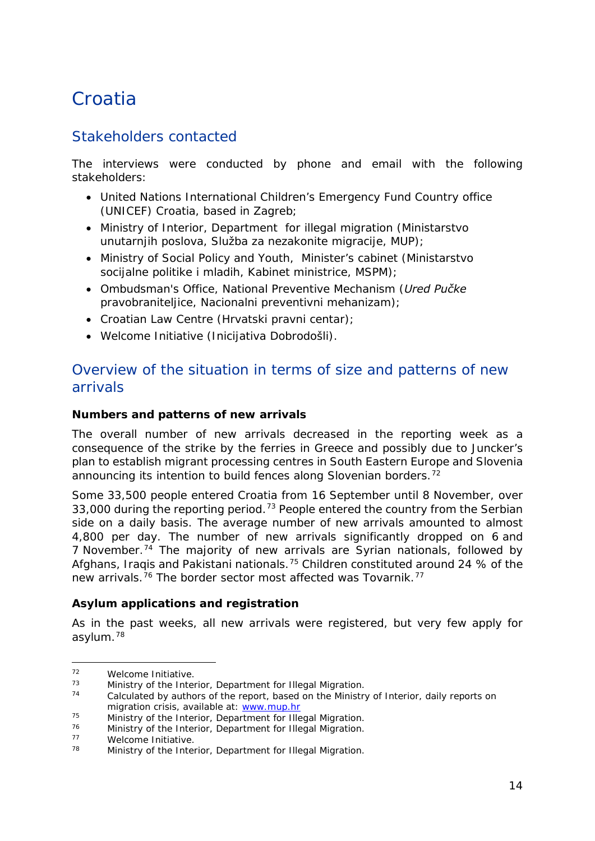## <span id="page-13-0"></span>**Croatia**

## Stakeholders contacted

The interviews were conducted by phone and email with the following stakeholders:

- United Nations International Children's Emergency Fund Country office (UNICEF) Croatia, based in Zagreb;
- Ministry of Interior, Department for illegal migration (*Ministarstvo unutarnjih poslova, Služba za nezakonite migracije*, *MUP*);
- Ministry of Social Policy and Youth, Minister's cabinet (*Ministarstvo socijalne politike i mladih, Kabinet ministrice, MSPM*);
- Ombudsman's Office, National Preventive Mechanism (*Ured Pučke pravobraniteljice, Nacionalni preventivni mehanizam*);
- Croatian Law Centre *(Hrvatski pravni centar);*
- Welcome Initiative (*Inicijativa Dobrodošli*).

## Overview of the situation in terms of size and patterns of new arrivals

#### **Numbers and patterns of new arrivals**

The overall number of new arrivals decreased in the reporting week as a consequence of the strike by the ferries in Greece and possibly due to Juncker's plan to establish migrant processing centres in South Eastern Europe and Slovenia announcing its intention to build fences along Slovenian borders.<sup>[72](#page-13-1)</sup>

Some 33,500 people entered Croatia from 16 September until 8 November, over 33,000 during the reporting period.<sup>[73](#page-13-2)</sup> People entered the country from the Serbian side on a daily basis. The average number of new arrivals amounted to almost 4,800 per day. The number of new arrivals significantly dropped on 6 and 7 November.<sup>[74](#page-13-3)</sup> The majority of new arrivals are Syrian nationals, followed by Afghans, Iraqis and Pakistani nationals.<sup>[75](#page-13-4)</sup> Children constituted around 24 % of the new arrivals.<sup>[76](#page-13-5)</sup> The border sector most affected was Tovarnik.<sup>[77](#page-13-6)</sup>

#### **Asylum applications and registration**

As in the past weeks, all new arrivals were registered, but very few apply for asylum.[78](#page-13-7)

<sup>-</sup>

<span id="page-13-1"></span> $72$  Welcome Initiative.<br> $73$  Ministry of the Interior, Department for Illegal Migration.

<span id="page-13-3"></span><span id="page-13-2"></span> $74$  Calculated by authors of the report, based on the Ministry of Interior, daily reports on migration crisis, available at: www.mup.hr

<span id="page-13-4"></span><sup>&</sup>lt;sup>75</sup> Ministry of the Interior, Department for Illegal Migration.<br><sup>76</sup> Ministry of the Interior, Department for Illegal Migration.

<span id="page-13-5"></span><sup>&</sup>lt;sup>76</sup> Ministry of the Interior, Department for Illegal Migration.<br>
<sup>77</sup> Melsome Initiative

<span id="page-13-7"></span><span id="page-13-6"></span> $77$  Welcome Initiative.

Ministry of the Interior, Department for Illegal Migration.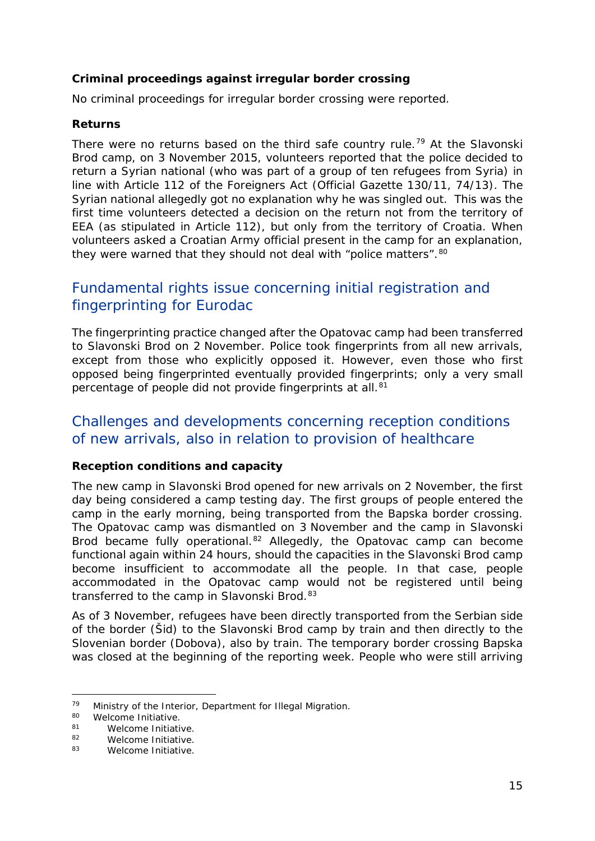#### <span id="page-14-1"></span>**Criminal proceedings against irregular border crossing**

No criminal proceedings for irregular border crossing were reported.

#### **Returns**

There were no returns based on the third safe country rule.<sup>[79](#page-14-0)</sup> At the Slavonski Brod camp, on 3 November 2015, volunteers reported that the police decided to return a Syrian national (who was part of a group of ten refugees from Syria) in line with Article 112 of the Foreigners Act (Official Gazette 130/11, 74/13). The Syrian national allegedly got no explanation why he was singled out. This was the first time volunteers detected a decision on the return not from the territory of EEA (as stipulated in Article 112), but only from the territory of Croatia. When volunteers asked a Croatian Army official present in the camp for an explanation, they were warned that they should not deal with "police matters". [80](#page-14-1)

## Fundamental rights issue concerning initial registration and fingerprinting for Eurodac

The fingerprinting practice changed after the Opatovac camp had been transferred to Slavonski Brod on 2 November. Police took fingerprints from all new arrivals, except from those who explicitly opposed it. However, even those who first opposed being fingerprinted eventually provided fingerprints; only a very small percentage of people did not provide fingerprints at all.<sup>[81](#page-14-2)</sup>

## Challenges and developments concerning reception conditions of new arrivals, also in relation to provision of healthcare

#### **Reception conditions and capacity**

The new camp in Slavonski Brod opened for new arrivals on 2 November, the first day being considered a camp testing day. The first groups of people entered the camp in the early morning, being transported from the Bapska border crossing. The Opatovac camp was dismantled on 3 November and the camp in Slavonski Brod became fully operational.<sup>[82](#page-14-3)</sup> Allegedly, the Opatovac camp can become functional again within 24 hours, should the capacities in the Slavonski Brod camp become insufficient to accommodate all the people. In that case, people accommodated in the Opatovac camp would not be registered until being transferred to the camp in Slavonski Brod.<sup>[83](#page-14-1)</sup>

As of 3 November, refugees have been directly transported from the Serbian side of the border (Šid) to the Slavonski Brod camp by train and then directly to the Slovenian border (Dobova), also by train. The temporary border crossing Bapska was closed at the beginning of the reporting week. People who were still arriving

<span id="page-14-0"></span><sup>79</sup> Ministry of the Interior, Department for Illegal Migration.<br> $\frac{80}{2}$  Melearne Initiative 79

<sup>&</sup>lt;sup>80</sup> Welcome Initiative.<br><sup>81</sup> Melcome Initiati

<span id="page-14-2"></span><sup>&</sup>lt;sup>81</sup> Welcome Initiative.<br><sup>82</sup> Melcome Initiative

<span id="page-14-3"></span><sup>&</sup>lt;sup>82</sup> Welcome Initiative.<br><sup>83</sup> Melcome Initiative

Welcome Initiative.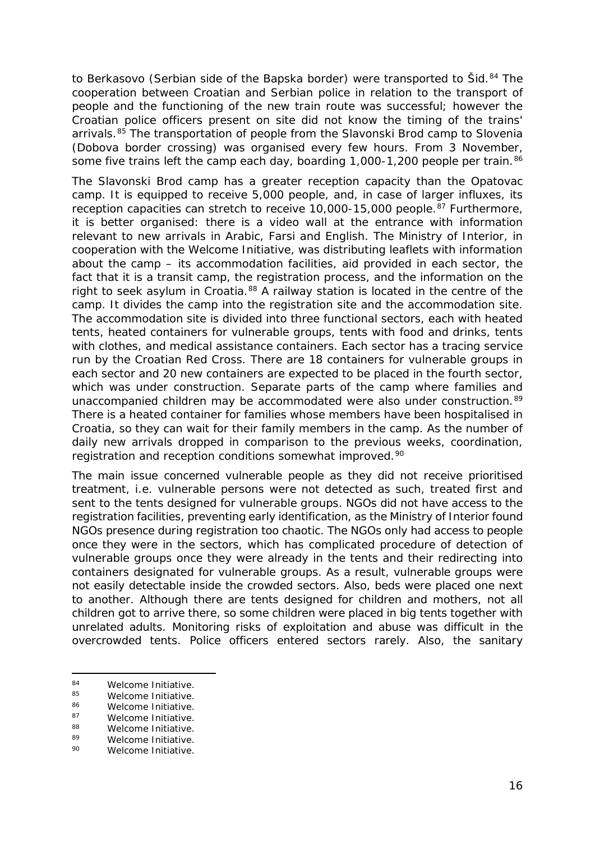<span id="page-15-4"></span>to Berkasovo (Serbian side of the Bapska border) were transported to Šid.<sup>[84](#page-15-0)</sup> The cooperation between Croatian and Serbian police in relation to the transport of people and the functioning of the new train route was successful; however the Croatian police officers present on site did not know the timing of the trains' arrivals.<sup>[85](#page-15-1)</sup> The transportation of people from the Slavonski Brod camp to Slovenia (Dobova border crossing) was organised every few hours. From 3 November, some five trains left the camp each day, boarding 1,000-1,200 people per train.<sup>[86](#page-15-2)</sup>

The Slavonski Brod camp has a greater reception capacity than the Opatovac camp. It is equipped to receive 5,000 people, and, in case of larger influxes, its reception capacities can stretch to receive 10,000-15,000 people.<sup>[87](#page-15-3)</sup> Furthermore, it is better organised: there is a video wall at the entrance with information relevant to new arrivals in Arabic, Farsi and English. The Ministry of Interior, in cooperation with the Welcome Initiative, was distributing leaflets with information about the camp – its accommodation facilities, aid provided in each sector, the fact that it is a transit camp, the registration process, and the information on the right to seek asylum in Croatia.<sup>[88](#page-15-4)</sup> A railway station is located in the centre of the camp. It divides the camp into the registration site and the accommodation site. The accommodation site is divided into three functional sectors, each with heated tents, heated containers for vulnerable groups, tents with food and drinks, tents with clothes, and medical assistance containers. Each sector has a tracing service run by the Croatian Red Cross. There are 18 containers for vulnerable groups in each sector and 20 new containers are expected to be placed in the fourth sector, which was under construction. Separate parts of the camp where families and unaccompanied children may be accommodated were also under construction.<sup>[89](#page-15-4)</sup> There is a heated container for families whose members have been hospitalised in Croatia, so they can wait for their family members in the camp. As the number of daily new arrivals dropped in comparison to the previous weeks, coordination, registration and reception conditions somewhat improved.<sup>[90](#page-15-4)</sup>

The main issue concerned vulnerable people as they did not receive prioritised treatment, i.e. vulnerable persons were not detected as such, treated first and sent to the tents designed for vulnerable groups. NGOs did not have access to the registration facilities, preventing early identification, as the Ministry of Interior found NGOs presence during registration too chaotic. The NGOs only had access to people once they were in the sectors, which has complicated procedure of detection of vulnerable groups once they were already in the tents and their redirecting into containers designated for vulnerable groups. As a result, vulnerable groups were not easily detectable inside the crowded sectors. Also, beds were placed one next to another. Although there are tents designed for children and mothers, not all children got to arrive there, so some children were placed in big tents together with unrelated adults. Monitoring risks of exploitation and abuse was difficult in the overcrowded tents. Police officers entered sectors rarely. Also, the sanitary

<span id="page-15-0"></span><sup>84</sup> Welcome Initiative.  $84$ 

<span id="page-15-1"></span><sup>&</sup>lt;sup>85</sup> Welcome Initiative.<br><sup>86</sup> Melesma Initiative.

<span id="page-15-2"></span><sup>86</sup> Welcome Initiative.<br>87 Melcome Initiative

<span id="page-15-3"></span><sup>87</sup> Welcome Initiative.<br>88 Melcome Initiative

<sup>88</sup> Welcome Initiative.<br>89 Melcome Initiative

<sup>89</sup> Welcome Initiative.<br>90 Melcome Initiative

Welcome Initiative.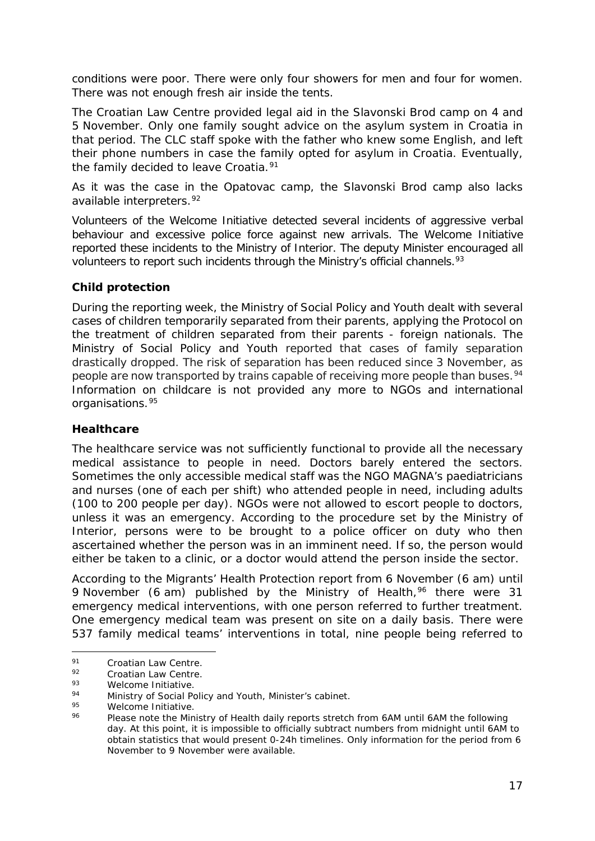<span id="page-16-4"></span>conditions were poor. There were only four showers for men and four for women. There was not enough fresh air inside the tents.

The Croatian Law Centre provided legal aid in the Slavonski Brod camp on 4 and 5 November. Only one family sought advice on the asylum system in Croatia in that period. The CLC staff spoke with the father who knew some English, and left their phone numbers in case the family opted for asylum in Croatia. Eventually, the family decided to leave Croatia.<sup>[91](#page-16-0)</sup>

As it was the case in the Opatovac camp, the Slavonski Brod camp also lacks available interpreters.<sup>[92](#page-16-1)</sup>

Volunteers of the Welcome Initiative detected several incidents of aggressive verbal behaviour and excessive police force against new arrivals. The Welcome Initiative reported these incidents to the Ministry of Interior. The deputy Minister encouraged all volunteers to report such incidents through the Ministry's official channels.<sup>[93](#page-16-2)</sup>

#### **Child protection**

During the reporting week, the Ministry of Social Policy and Youth dealt with several cases of children temporarily separated from their parents, applying the Protocol on the treatment of children separated from their parents - foreign nationals. The Ministry of Social Policy and Youth reported that cases of family separation drastically dropped. The risk of separation has been reduced since 3 November, as people are now transported by trains capable of receiving more people than buses.<sup>94</sup> Information on childcare is not provided any more to NGOs and international organisations.[95](#page-16-4)

#### **Healthcare**

The healthcare service was not sufficiently functional to provide all the necessary medical assistance to people in need. Doctors barely entered the sectors. Sometimes the only accessible medical staff was the NGO MAGNA's paediatricians and nurses (one of each per shift) who attended people in need, including adults (100 to 200 people per day). NGOs were not allowed to escort people to doctors, unless it was an emergency. According to the procedure set by the Ministry of Interior, persons were to be brought to a police officer on duty who then ascertained whether the person was in an imminent need. If so, the person would either be taken to a clinic, or a doctor would attend the person inside the sector.

According to the Migrants' Health Protection report from 6 November (6 am) until 9 November (6 am) published by the Ministry of Health,  $96$  there were 31 emergency medical interventions, with one person referred to further treatment. One emergency medical team was present on site on a daily basis. There were 537 family medical teams' interventions in total, nine people being referred to

<span id="page-16-0"></span> $^{91}$  Croatian Law Centre.<br> $^{92}$  Croatian Law Centre. 91

<span id="page-16-1"></span> $\frac{92}{93}$  Croatian Law Centre.

<span id="page-16-2"></span> $^{93}$  Welcome Initiative.

<span id="page-16-3"></span><sup>94</sup> Ministry of Social Policy and Youth, Minister's cabinet.

<span id="page-16-5"></span> $\frac{95}{96}$  Welcome Initiative.

Please note the Ministry of Health daily reports stretch from 6AM until 6AM the following day. At this point, it is impossible to officially subtract numbers from midnight until 6AM to obtain statistics that would present 0-24h timelines. Only information for the period from 6 November to 9 November were available.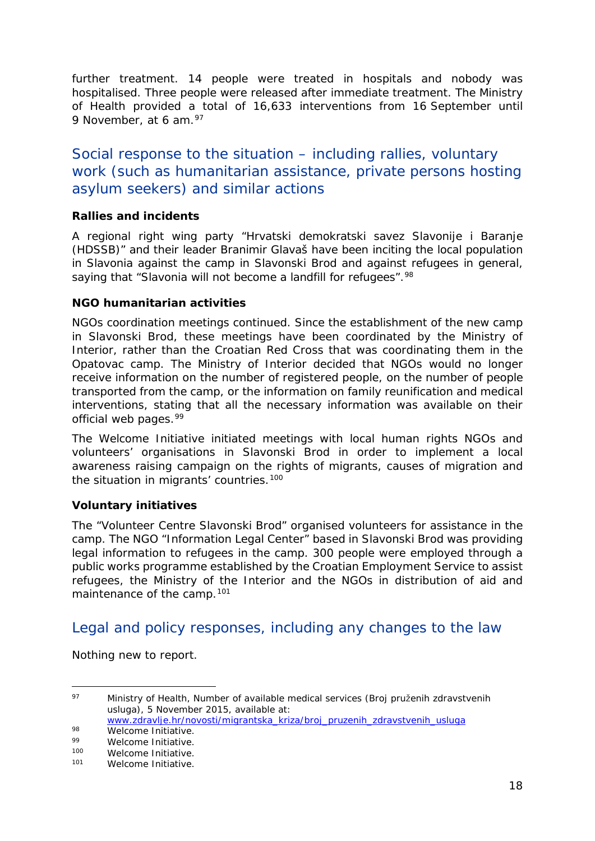further treatment. 14 people were treated in hospitals and nobody was hospitalised. Three people were released after immediate treatment. The Ministry of Health provided a total of 16,633 interventions from 16 September until 9 November, at 6 am. [97](#page-17-0)

## Social response to the situation – including rallies, voluntary work (such as humanitarian assistance, private persons hosting asylum seekers) and similar actions

#### **Rallies and incidents**

A regional right wing party "*Hrvatski demokratski savez Slavonije i Baranje (HDSSB)*" and their leader Branimir Glavaš have been inciting the local population in Slavonia against the camp in Slavonski Brod and against refugees in general, saying that "*Slavonia will not become a landfill for refugees*".<sup>[98](#page-17-1)</sup>

#### **NGO humanitarian activities**

NGOs coordination meetings continued. Since the establishment of the new camp in Slavonski Brod, these meetings have been coordinated by the Ministry of Interior, rather than the Croatian Red Cross that was coordinating them in the Opatovac camp. The Ministry of Interior decided that NGOs would no longer receive information on the number of registered people, on the number of people transported from the camp, or the information on family reunification and medical interventions, stating that all the necessary information was available on their official web pages.<sup>[99](#page-17-2)</sup>

The Welcome Initiative initiated meetings with local human rights NGOs and volunteers' organisations in Slavonski Brod in order to implement a local awareness raising campaign on the rights of migrants, causes of migration and the situation in migrants' countries.<sup>[100](#page-17-3)</sup>

#### **Voluntary initiatives**

The "Volunteer Centre Slavonski Brod" organised volunteers for assistance in the camp. The NGO "Information Legal Center" based in Slavonski Brod was providing legal information to refugees in the camp. 300 people were employed through a public works programme established by the Croatian Employment Service to assist refugees, the Ministry of the Interior and the NGOs in distribution of aid and maintenance of the camp.<sup>[101](#page-17-4)</sup>

## Legal and policy responses, including any changes to the law

Nothing new to report.

<span id="page-17-0"></span><sup>97</sup> Ministry of Health, Number of available medical services (*Broj pruženih zdravstvenih usluga)*, 5 November 2015, available at: [www.zdravlje.hr/novosti/migrantska\\_kriza/broj\\_pruzenih\\_zdravstvenih\\_usluga](http://www.zdravlje.hr/novosti/migrantska_kriza/broj_pruzenih_zdravstvenih_usluga) 97

<span id="page-17-1"></span><sup>98</sup> Welcome Initiative.

<span id="page-17-2"></span> $^{99}$  Welcome Initiative.<br> $^{100}$  Melcome Initiative

<span id="page-17-4"></span><span id="page-17-3"></span><sup>100</sup> Welcome Initiative.<br>101 Melesme Initiative

Welcome Initiative.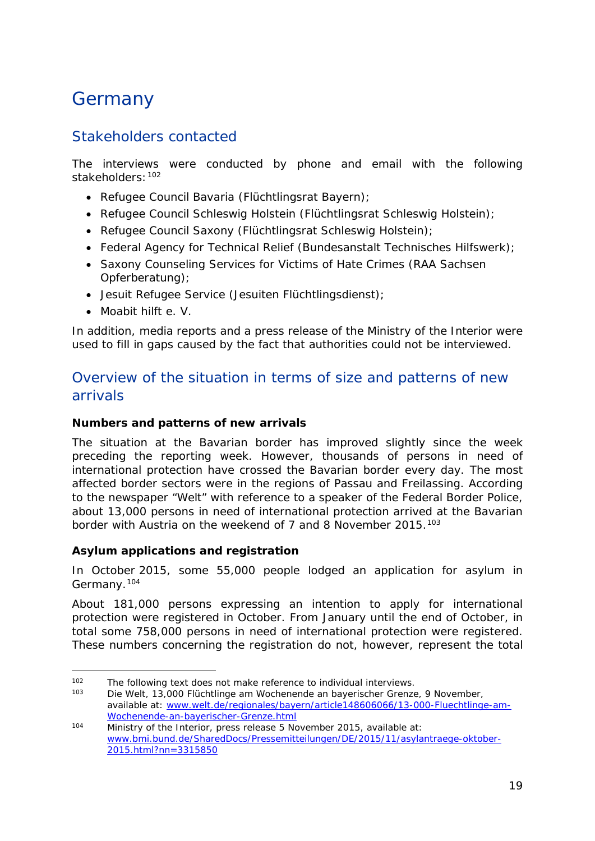## <span id="page-18-0"></span>Germany

## Stakeholders contacted

The interviews were conducted by phone and email with the following stakeholders:[102](#page-18-1)

- Refugee Council Bavaria (*Flüchtlingsrat Bayern*);
- Refugee Council Schleswig Holstein (*Flüchtlingsrat Schleswig Holstein*);
- Refugee Council Saxony (*Flüchtlingsrat Schleswig Holstein*);
- Federal Agency for Technical Relief (*Bundesanstalt Technisches Hilfswerk*);
- Saxony Counseling Services for Victims of Hate Crimes (*RAA Sachsen Opferberatung*);
- Jesuit Refugee Service (*Jesuiten Flüchtlingsdienst*);
- Moabit hilft e. V.

In addition, media reports and a press release of the Ministry of the Interior were used to fill in gaps caused by the fact that authorities could not be interviewed.

## Overview of the situation in terms of size and patterns of new arrivals

#### **Numbers and patterns of new arrivals**

The situation at the Bavarian border has improved slightly since the week preceding the reporting week. However, thousands of persons in need of international protection have crossed the Bavarian border every day. The most affected border sectors were in the regions of Passau and Freilassing. According to the newspaper "Welt" with reference to a speaker of the Federal Border Police, about 13,000 persons in need of international protection arrived at the Bavarian border with Austria on the weekend of 7 and 8 November 2015.<sup>[103](#page-18-2)</sup>

#### **Asylum applications and registration**

In October 2015, some 55,000 people lodged an application for asylum in Germany.[104](#page-18-3)

About 181,000 persons expressing an intention to apply for international protection were registered in October. From January until the end of October, in total some 758,000 persons in need of international protection were registered. These numbers concerning the registration do not, however, represent the total

<span id="page-18-1"></span><sup>102</sup> The following text does not make reference to individual interviews.<br>103 Die Welt 12.000 Elijshtlinge am Weshenande an bauerischer Cronze -

<span id="page-18-2"></span><sup>103</sup> Die Welt, *13,000 Flüchtlinge am Wochenende an bayerischer Grenze*, 9 November, available at: www.welt.de/regionales/bayern/article148606066/13-000-Fluechtlinge-am-<br>Wochenende-an-bayerischer-Grenze.html

<span id="page-18-3"></span> $\frac{104}{\text{104}}$  Ministry of the Interior, press release 5 November 2015, available at: [www.bmi.bund.de/SharedDocs/Pressemitteilungen/DE/2015/11/asylantraege-oktober-](http://www.bmi.bund.de/SharedDocs/Pressemitteilungen/DE/2015/11/asylantraege-oktober-2015.html?nn=3315850)[2015.html?nn=3315850](http://www.bmi.bund.de/SharedDocs/Pressemitteilungen/DE/2015/11/asylantraege-oktober-2015.html?nn=3315850)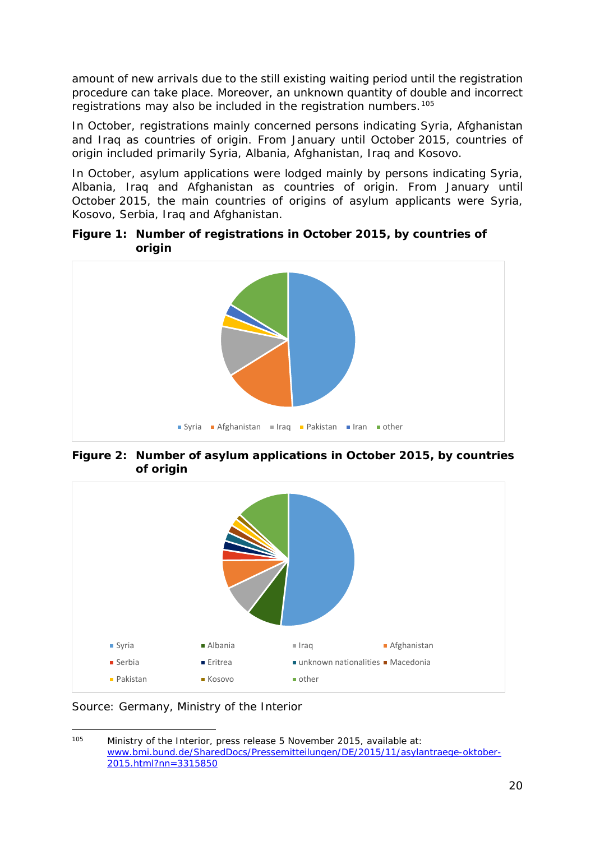amount of new arrivals due to the still existing waiting period until the registration procedure can take place. Moreover, an unknown quantity of double and incorrect registrations may also be included in the registration numbers.[105](#page-19-0)

In October, registrations mainly concerned persons indicating Syria, Afghanistan and Iraq as countries of origin. From January until October 2015, countries of origin included primarily Syria, Albania, Afghanistan, Iraq and Kosovo.

In October, asylum applications were lodged mainly by persons indicating Syria, Albania, Iraq and Afghanistan as countries of origin. From January until October 2015, the main countries of origins of asylum applicants were Syria, Kosovo, Serbia, Iraq and Afghanistan.

**Figure 1: Number of registrations in October 2015, by countries of origin**



**Figure 2: Number of asylum applications in October 2015, by countries of origin**



*Source: Germany, Ministry of the Interior*

<span id="page-19-0"></span>Ministry of the Interior, press release 5 November 2015, available at: [www.bmi.bund.de/SharedDocs/Pressemitteilungen/DE/2015/11/asylantraege-oktober-](http://www.bmi.bund.de/SharedDocs/Pressemitteilungen/DE/2015/11/asylantraege-oktober-2015.html?nn=3315850)[2015.html?nn=3315850](http://www.bmi.bund.de/SharedDocs/Pressemitteilungen/DE/2015/11/asylantraege-oktober-2015.html?nn=3315850)  $105$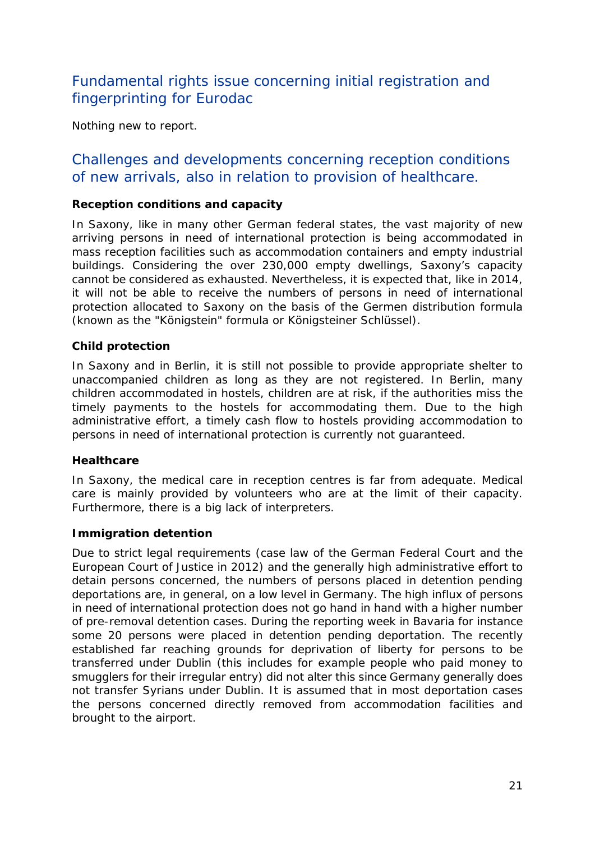## Fundamental rights issue concerning initial registration and fingerprinting for Eurodac

Nothing new to report.

### Challenges and developments concerning reception conditions of new arrivals, also in relation to provision of healthcare.

#### **Reception conditions and capacity**

In Saxony, like in many other German federal states, the vast majority of new arriving persons in need of international protection is being accommodated in mass reception facilities such as accommodation containers and empty industrial buildings. Considering the over 230,000 empty dwellings, Saxony's capacity cannot be considered as exhausted. Nevertheless, it is expected that, like in 2014, it will not be able to receive the numbers of persons in need of international protection allocated to Saxony on the basis of the Germen distribution formula (known as the "Königstein" formula or *Königsteiner Schlüssel*).

#### **Child protection**

In Saxony and in Berlin, it is still not possible to provide appropriate shelter to unaccompanied children as long as they are not registered. In Berlin, many children accommodated in hostels, children are at risk, if the authorities miss the timely payments to the hostels for accommodating them. Due to the high administrative effort, a timely cash flow to hostels providing accommodation to persons in need of international protection is currently not guaranteed.

#### **Healthcare**

In Saxony, the medical care in reception centres is far from adequate. Medical care is mainly provided by volunteers who are at the limit of their capacity. Furthermore, there is a big lack of interpreters.

#### **Immigration detention**

Due to strict legal requirements (case law of the German Federal Court and the European Court of Justice in 2012) and the generally high administrative effort to detain persons concerned, the numbers of persons placed in detention pending deportations are, in general, on a low level in Germany. The high influx of persons in need of international protection does not go hand in hand with a higher number of pre-removal detention cases. During the reporting week in Bavaria for instance some 20 persons were placed in detention pending deportation. The recently established far reaching grounds for deprivation of liberty for persons to be transferred under Dublin (this includes for example people who paid money to smugglers for their irregular entry) did not alter this since Germany generally does not transfer Syrians under Dublin. It is assumed that in most deportation cases the persons concerned directly removed from accommodation facilities and brought to the airport.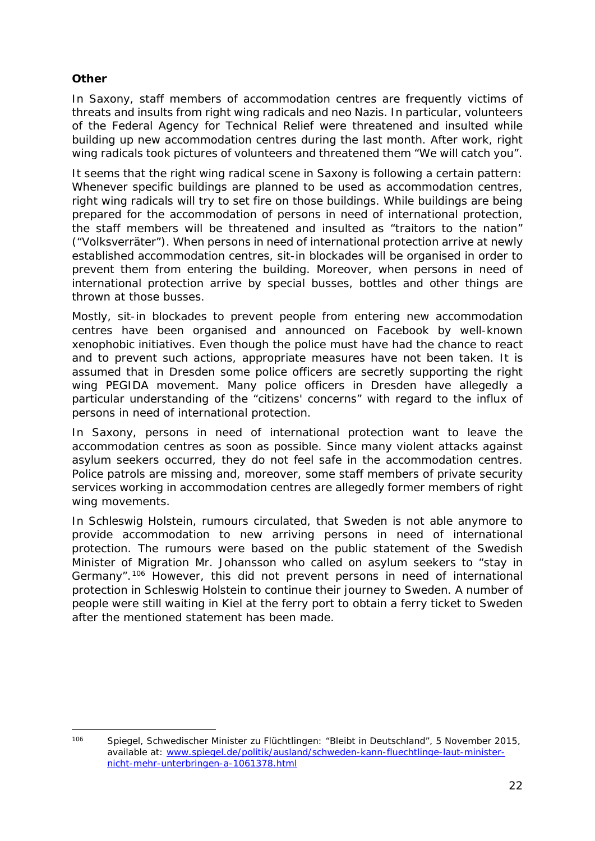#### **Other**

In Saxony, staff members of accommodation centres are frequently victims of threats and insults from right wing radicals and neo Nazis. In particular, volunteers of the Federal Agency for Technical Relief were threatened and insulted while building up new accommodation centres during the last month. After work, right wing radicals took pictures of volunteers and threatened them "We will catch you".

It seems that the right wing radical scene in Saxony is following a certain pattern: Whenever specific buildings are planned to be used as accommodation centres, right wing radicals will try to set fire on those buildings. While buildings are being prepared for the accommodation of persons in need of international protection, the staff members will be threatened and insulted as "traitors to the nation" ("*Volksverräter*"). When persons in need of international protection arrive at newly established accommodation centres, sit-in blockades will be organised in order to prevent them from entering the building. Moreover, when persons in need of international protection arrive by special busses, bottles and other things are thrown at those busses.

Mostly, sit-in blockades to prevent people from entering new accommodation centres have been organised and announced on Facebook by well-known xenophobic initiatives. Even though the police must have had the chance to react and to prevent such actions, appropriate measures have not been taken. It is assumed that in Dresden some police officers are secretly supporting the right wing PEGIDA movement. Many police officers in Dresden have allegedly a particular understanding of the "citizens' concerns" with regard to the influx of persons in need of international protection.

In Saxony, persons in need of international protection want to leave the accommodation centres as soon as possible. Since many violent attacks against asylum seekers occurred, they do not feel safe in the accommodation centres. Police patrols are missing and, moreover, some staff members of private security services working in accommodation centres are allegedly former members of right wing movements.

In Schleswig Holstein, rumours circulated, that Sweden is not able anymore to provide accommodation to new arriving persons in need of international protection. The rumours were based on the public statement of the Swedish Minister of Migration Mr. Johansson who called on asylum seekers to "stay in Germany".[106](#page-21-0) However, this did not prevent persons in need of international protection in Schleswig Holstein to continue their journey to Sweden. A number of people were still waiting in Kiel at the ferry port to obtain a ferry ticket to Sweden after the mentioned statement has been made.

<span id="page-21-0"></span><sup>106</sup> Spiegel, *Schwedischer Minister zu Flüchtlingen: "Bleibt in Deutschland"*, 5 November 2015, available at: [www.spiegel.de/politik/ausland/schweden-kann-fluechtlinge-laut-minister](http://www.spiegel.de/politik/ausland/schweden-kann-fluechtlinge-laut-minister-nicht-mehr-unterbringen-a-1061378.html)[nicht-mehr-unterbringen-a-1061378.html](http://www.spiegel.de/politik/ausland/schweden-kann-fluechtlinge-laut-minister-nicht-mehr-unterbringen-a-1061378.html)  $106$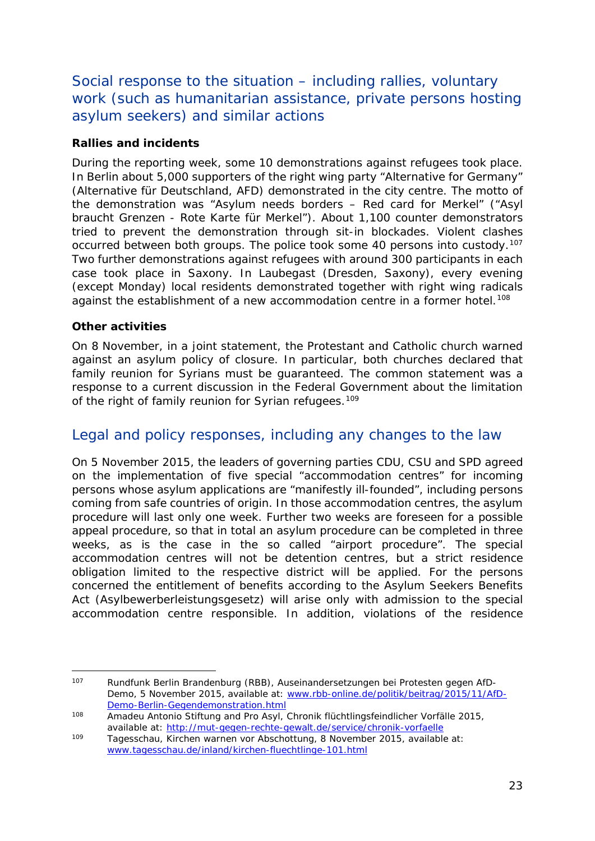<span id="page-22-1"></span>Social response to the situation – including rallies, voluntary work (such as humanitarian assistance, private persons hosting asylum seekers) and similar actions

#### **Rallies and incidents**

During the reporting week, some 10 demonstrations against refugees took place. In Berlin about 5,000 supporters of the right wing party "Alternative for Germany" (*Alternative für Deutschland, AFD*) demonstrated in the city centre. The motto of the demonstration was "Asylum needs borders – Red card for Merkel" ("*Asyl braucht Grenzen - Rote Karte für Merkel*"). About 1,100 counter demonstrators tried to prevent the demonstration through sit-in blockades. Violent clashes occurred between both groups. The police took some 40 persons into custody.<sup>[107](#page-22-0)</sup> Two further demonstrations against refugees with around 300 participants in each case took place in Saxony. In Laubegast (Dresden, Saxony), every evening (except Monday) local residents demonstrated together with right wing radicals against the establishment of a new accommodation centre in a former hotel.<sup>[108](#page-22-1)</sup>

#### **Other activities**

On 8 November, in a joint statement, the Protestant and Catholic church warned against an asylum policy of closure. In particular, both churches declared that family reunion for Syrians must be guaranteed. The common statement was a response to a current discussion in the Federal Government about the limitation of the right of family reunion for Syrian refugees.<sup>[109](#page-22-2)</sup>

## Legal and policy responses, including any changes to the law

On 5 November 2015, the leaders of governing parties CDU, CSU and SPD agreed on the implementation of five special "accommodation centres" for incoming persons whose asylum applications are "manifestly ill-founded", including persons coming from safe countries of origin. In those accommodation centres, the asylum procedure will last only one week. Further two weeks are foreseen for a possible appeal procedure, so that in total an asylum procedure can be completed in three weeks, as is the case in the so called "airport procedure". The special accommodation centres will not be detention centres, but a strict residence obligation limited to the respective district will be applied. For the persons concerned the entitlement of benefits according to the Asylum Seekers Benefits Act (*Asylbewerberleistungsgesetz*) will arise only with admission to the special accommodation centre responsible. In addition, violations of the residence

<span id="page-22-0"></span><sup>107</sup> Rundfunk Berlin Brandenburg (RBB), *Auseinandersetzungen bei Protesten gegen AfD-Demo*, 5 November 2015, available at: [www.rbb-online.de/politik/beitrag/2015/11/AfD-](http://www.rbb-online.de/politik/beitrag/2015/11/AfD-Demo-Berlin-Gegendemonstration.html)[Demo-Berlin-Gegendemonstration.html](http://www.rbb-online.de/politik/beitrag/2015/11/AfD-Demo-Berlin-Gegendemonstration.html) -

<sup>108</sup> Amadeu Antonio Stiftung and Pro Asyl, Chronik flüchtlingsfeindlicher Vorfälle 2015, available at:<http://mut-gegen-rechte-gewalt.de/service/chronik-vorfaelle>

<span id="page-22-2"></span><sup>109</sup> Tagesschau, *Kirchen warnen vor Abschottung*, 8 November 2015, available at: [www.tagesschau.de/inland/kirchen-fluechtlinge-101.html](http://www.tagesschau.de/inland/kirchen-fluechtlinge-101.html)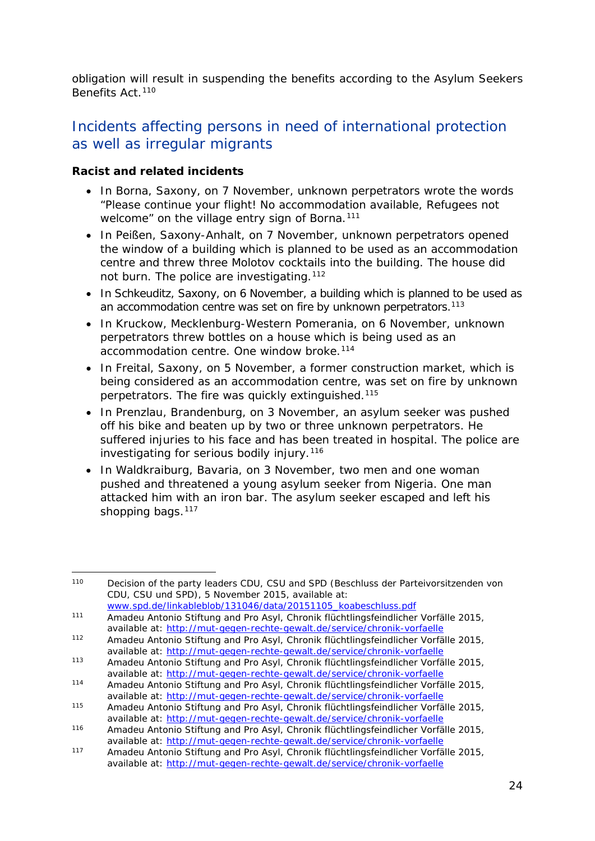obligation will result in suspending the benefits according to the Asylum Seekers Benefits Act.<sup>[110](#page-23-0)</sup>

## Incidents affecting persons in need of international protection as well as irregular migrants

#### **Racist and related incidents**

- In Borna, Saxony, on 7 November, unknown perpetrators wrote the words "Please continue your flight! No accommodation available, Refugees not welcome" on the village entry sign of Borna.<sup>[111](#page-23-1)</sup>
- In Peißen, Saxony-Anhalt, on 7 November, unknown perpetrators opened the window of a building which is planned to be used as an accommodation centre and threw three Molotov cocktails into the building. The house did not burn. The police are investigating.<sup>[112](#page-23-2)</sup>
- In Schkeuditz, Saxony, on 6 November, a building which is planned to be used as an accommodation centre was set on fire by unknown perpetrators.<sup>[113](#page-23-3)</sup>
- In Kruckow, Mecklenburg-Western Pomerania, on 6 November, unknown perpetrators threw bottles on a house which is being used as an accommodation centre. One window broke.<sup>[114](#page-23-4)</sup>
- In Freital, Saxony, on 5 November, a former construction market, which is being considered as an accommodation centre, was set on fire by unknown perpetrators. The fire was quickly extinguished.[115](#page-23-5)
- In Prenzlau, Brandenburg, on 3 November, an asylum seeker was pushed off his bike and beaten up by two or three unknown perpetrators. He suffered injuries to his face and has been treated in hospital. The police are investigating for serious bodily injury.<sup>[116](#page-23-6)</sup>
- In Waldkraiburg, Bavaria, on 3 November, two men and one woman pushed and threatened a young asylum seeker from Nigeria. One man attacked him with an iron bar. The asylum seeker escaped and left his shopping bags.<sup>[117](#page-23-7)</sup>

<span id="page-23-0"></span><sup>110</sup> Decision of the party leaders CDU, CSU and SPD (*Beschluss der Parteivorsitzenden von CDU, CSU und SPD*), 5 November 2015, available at: -

<span id="page-23-1"></span><sup>111</sup> Amadeu Antonio Stiftung and Pro Asyl, Chronik flüchtlingsfeindlicher Vorfälle 2015,

<span id="page-23-2"></span>available at:<http://mut-gegen-rechte-gewalt.de/service/chronik-vorfaelle> <sup>112</sup> Amadeu Antonio Stiftung and Pro Asyl, Chronik flüchtlingsfeindlicher Vorfälle 2015,

available at:<http://mut-gegen-rechte-gewalt.de/service/chronik-vorfaelle>

<span id="page-23-3"></span><sup>113</sup> Amadeu Antonio Stiftung and Pro Asyl, Chronik flüchtlingsfeindlicher Vorfälle 2015, available at:<http://mut-gegen-rechte-gewalt.de/service/chronik-vorfaelle>

<span id="page-23-4"></span><sup>114</sup> Amadeu Antonio Stiftung and Pro Asyl, Chronik flüchtlingsfeindlicher Vorfälle 2015, available at:<http://mut-gegen-rechte-gewalt.de/service/chronik-vorfaelle>

<span id="page-23-5"></span><sup>115</sup> Amadeu Antonio Stiftung and Pro Asyl, Chronik flüchtlingsfeindlicher Vorfälle 2015, available at:<http://mut-gegen-rechte-gewalt.de/service/chronik-vorfaelle>

<span id="page-23-6"></span><sup>116</sup> Amadeu Antonio Stiftung and Pro Asyl, Chronik flüchtlingsfeindlicher Vorfälle 2015, available at:<http://mut-gegen-rechte-gewalt.de/service/chronik-vorfaelle>

<span id="page-23-7"></span><sup>117</sup> Amadeu Antonio Stiftung and Pro Asyl, Chronik flüchtlingsfeindlicher Vorfälle 2015, available at:<http://mut-gegen-rechte-gewalt.de/service/chronik-vorfaelle>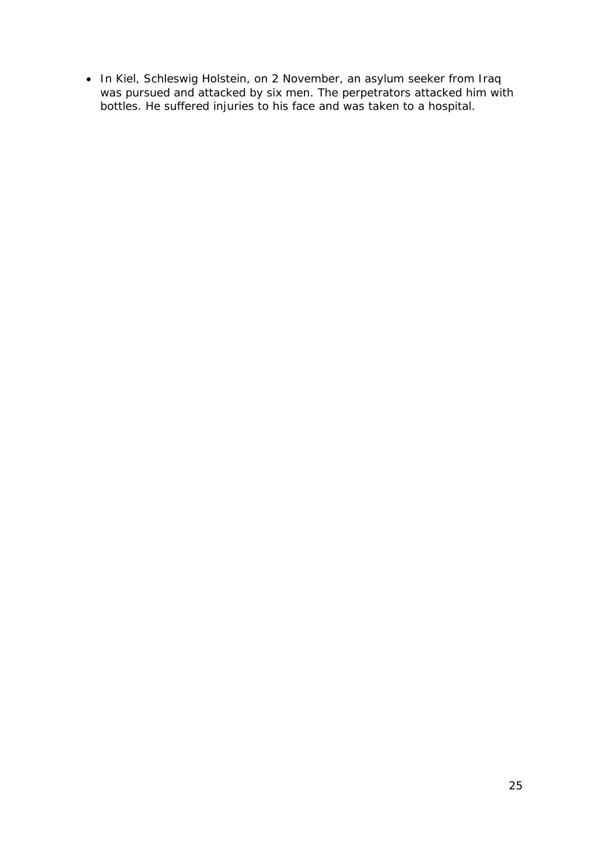• In Kiel, Schleswig Holstein, on 2 November, an asylum seeker from Iraq was pursued and attacked by six men. The perpetrators attacked him with bottles. He suffered injuries to his face and was taken to a hospital.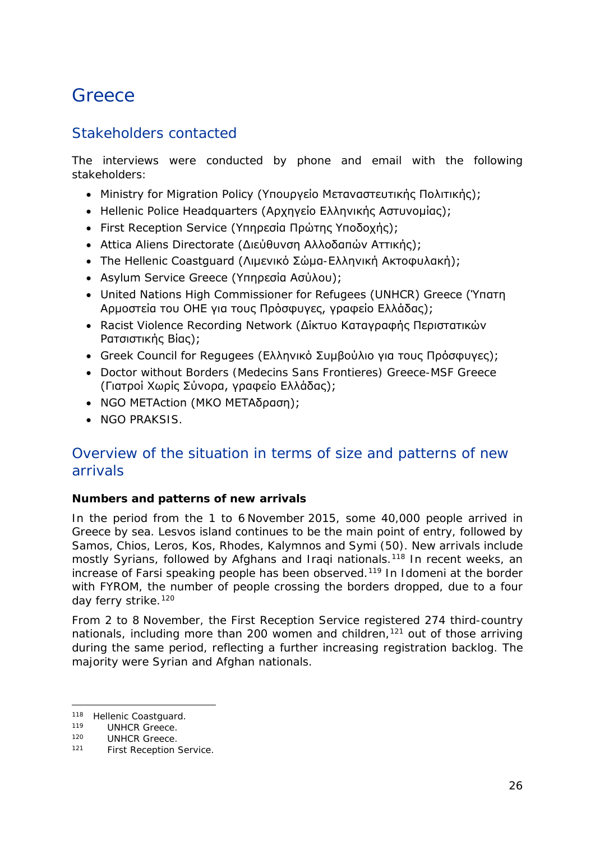## <span id="page-25-0"></span>**Greece**

## Stakeholders contacted

The interviews were conducted by phone and email with the following stakeholders:

- Ministry for Migration Policy (Υπουργείο Μεταναστευτικής Πολιτικής);
- Hellenic Police Headquarters (Αρχηγείο Ελληνικής Αστυνομίας);
- First Reception Service (Υπηρεσία Πρώτης Υποδοχής);
- Attica Aliens Directorate (Διεύθυνση Αλλοδαπών Αττικής);
- The Hellenic Coastguard (Λιμενικό Σώμα-Ελληνική Ακτοφυλακή);
- Asylum Service Greece (Υπηρεσία Ασύλου);
- United Nations High Commissioner for Refugees (UNHCR) Greece (Ύπατη Αρμοστεία του ΟΗΕ για τους Πρόσφυγες, γραφείο Ελλάδας);
- Racist Violence Recording Network (Δίκτυο Καταγραφής Περιστατικών Ρατσιστικής Βίας);
- Greek Council for Regugees (Ελληνικό Συμβούλιο για τους Πρόσφυγες);
- Doctor without Borders (Medecins Sans Frontieres) Greece-MSF Greece (Γιατροί Χωρίς Σύνορα, γραφείο Ελλάδας);
- NGO METAction (ΜΚΟ ΜΕΤΑδραση);
- NGO PRAKSIS.

## Overview of the situation in terms of size and patterns of new arrivals

#### **Numbers and patterns of new arrivals**

In the period from the 1 to 6 November 2015, some 40,000 people arrived in Greece by sea. Lesvos island continues to be the main point of entry, followed by Samos, Chios, Leros, Kos, Rhodes, Kalymnos and Symi (50). New arrivals include mostly Syrians, followed by Afghans and Iraqi nationals.<sup>[118](#page-25-1)</sup> In recent weeks, an increase of Farsi speaking people has been observed.<sup>[119](#page-25-2)</sup> In Idomeni at the border with FYROM, the number of people crossing the borders dropped, due to a four day ferry strike.<sup>[120](#page-25-3)</sup>

From 2 to 8 November, the First Reception Service registered 274 third-country nationals, including more than 200 women and children,<sup>[121](#page-25-4)</sup> out of those arriving during the same period, reflecting a further increasing registration backlog. The majority were Syrian and Afghan nationals.

<sup>&</sup>lt;sup>118</sup> Hellenic Coastguard.<br><sup>119</sup> UNHCP Creece j.

<span id="page-25-2"></span><span id="page-25-1"></span><sup>&</sup>lt;sup>119</sup> UNHCR Greece.<br><sup>120</sup> UNHCP Greece.

<span id="page-25-4"></span><span id="page-25-3"></span><sup>&</sup>lt;sup>120</sup> UNHCR Greece.<br><sup>121</sup> Eirst Peception

First Reception Service.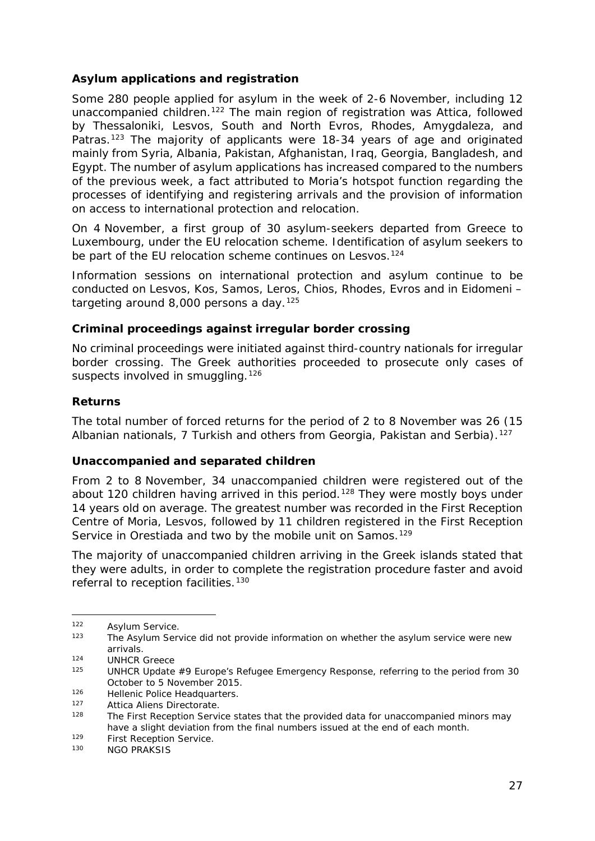#### <span id="page-26-1"></span>**Asylum applications and registration**

Some 280 people applied for asylum in the week of 2-6 November, including 12 unaccompanied children.<sup>122</sup> The main region of registration was Attica, followed by Thessaloniki, Lesvos, South and North Evros, Rhodes, Amygdaleza, and Patras.<sup>[123](#page-26-1)</sup> The majority of applicants were 18-34 years of age and originated mainly from Syria, Albania, Pakistan, Afghanistan, Iraq, Georgia, Bangladesh, and Egypt. The number of asylum applications has increased compared to the numbers of the previous week, a fact attributed to Moria's hotspot function regarding the processes of identifying and registering arrivals and the provision of information on access to international protection and relocation.

On 4 November, a first group of 30 asylum-seekers departed from Greece to Luxembourg, under the EU relocation scheme. Identification of asylum seekers to be part of the EU relocation scheme continues on Lesvos.<sup>[124](#page-26-2)</sup>

Information sessions on international protection and asylum continue to be conducted on Lesvos, Kos, Samos, Leros, Chios, Rhodes, Evros and in Eidomeni – targeting around  $8,000$  persons a day.<sup>[125](#page-26-3)</sup>

#### **Criminal proceedings against irregular border crossing**

No criminal proceedings were initiated against third-country nationals for irregular border crossing. The Greek authorities proceeded to prosecute only cases of suspects involved in smuggling.<sup>[126](#page-26-4)</sup>

#### **Returns**

The total number of forced returns for the period of 2 to 8 November was 26 (15 Albanian nationals, 7 Turkish and others from Georgia, Pakistan and Serbia).<sup>[127](#page-26-5)</sup>

#### **Unaccompanied and separated children**

From 2 to 8 November, 34 unaccompanied children were registered out of the about 120 children having arrived in this period.<sup>[128](#page-26-6)</sup> They were mostly boys under 14 years old on average. The greatest number was recorded in the First Reception Centre of Moria, Lesvos, followed by 11 children registered in the First Reception Service in Orestiada and two by the mobile unit on Samos.<sup>[129](#page-26-1)</sup>

The majority of unaccompanied children arriving in the Greek islands stated that they were adults, in order to complete the registration procedure faster and avoid referral to reception facilities.<sup>[130](#page-26-7)</sup>

-

<span id="page-26-4"></span>126 Hellenic Police Headquarters.<br>127 Attica Aliens Directorate

<span id="page-26-7"></span> $129$  First Reception Service.

<span id="page-26-0"></span><sup>122</sup> Asylum Service.

<sup>&</sup>lt;sup>123</sup> The Asylum Service did not provide information on whether the asylum service were new arrivals.

<span id="page-26-3"></span><span id="page-26-2"></span> $124$  UNHCR Greece

<sup>125</sup> UNHCR *Update #9 Europe's Refugee Emergency Response*, referring to the period from 30 October to 5 November 2015.

<span id="page-26-6"></span><span id="page-26-5"></span><sup>127</sup> Attica Aliens Directorate.<br>128 The First Peception Servi

The First Reception Service states that the provided data for unaccompanied minors may have a slight deviation from the final numbers issued at the end of each month.

NGO PRAKSIS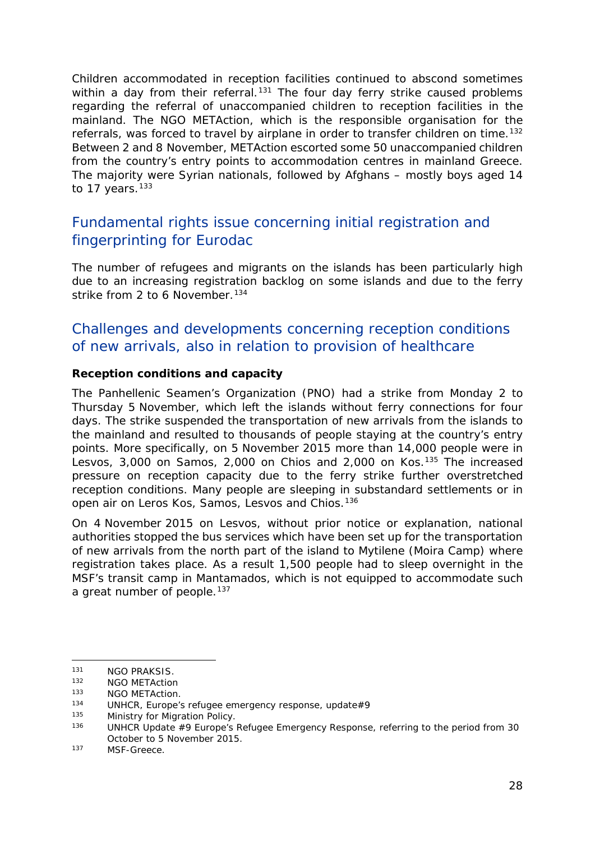<span id="page-27-1"></span>Children accommodated in reception facilities continued to abscond sometimes within a day from their referral.<sup>[131](#page-27-0)</sup> The four day ferry strike caused problems regarding the referral of unaccompanied children to reception facilities in the mainland. The NGO METAction, which is the responsible organisation for the referrals, was forced to travel by airplane in order to transfer children on time.<sup>[132](#page-27-1)</sup> Between 2 and 8 November, METAction escorted some 50 unaccompanied children from the country's entry points to accommodation centres in mainland Greece. The majority were Syrian nationals, followed by Afghans – mostly boys aged 14 to 17 years. $133$ 

## Fundamental rights issue concerning initial registration and fingerprinting for Eurodac

The number of refugees and migrants on the islands has been particularly high due to an increasing registration backlog on some islands and due to the ferry strike from 2 to 6 November.<sup>[134](#page-27-2)</sup>

## Challenges and developments concerning reception conditions of new arrivals, also in relation to provision of healthcare

#### **Reception conditions and capacity**

The Panhellenic Seamen's Organization (PNO) had a strike from Monday 2 to Thursday 5 November, which left the islands without ferry connections for four days. The strike suspended the transportation of new arrivals from the islands to the mainland and resulted to thousands of people staying at the country's entry points. More specifically, on 5 November 2015 more than 14,000 people were in Lesvos, 3,000 on Samos, 2,000 on Chios and 2,000 on Kos.<sup>[135](#page-27-3)</sup> The increased pressure on reception capacity due to the ferry strike further overstretched reception conditions. Many people are sleeping in substandard settlements or in open air on Leros Kos, Samos, Lesvos and Chios.[136](#page-27-1)

On 4 November 2015 on Lesvos, without prior notice or explanation, national authorities stopped the bus services which have been set up for the transportation of new arrivals from the north part of the island to Mytilene (Moira Camp) where registration takes place. As a result 1,500 people had to sleep overnight in the MSF's transit camp in Mantamados, which is not equipped to accommodate such a great number of people.<sup>[137](#page-27-4)</sup>

j.

<span id="page-27-0"></span><sup>&</sup>lt;sup>131</sup> NGO PRAKSIS.<br><sup>132</sup> NGO METAction

<sup>132</sup> NGO METAction

<sup>&</sup>lt;sup>133</sup> NGO METAction.<br><sup>134</sup> UNHCP Europe<sup>'</sup>

<span id="page-27-2"></span><sup>&</sup>lt;sup>134</sup> UNHCR, Europe's refugee emergency response, update#9<br><sup>135</sup> Ministry for Migration Policy

<span id="page-27-3"></span><sup>&</sup>lt;sup>135</sup> Ministry for Migration Policy.<br>136 **MINICP Undate #0 Europe's** 

<sup>136</sup> UNHCR *Update #9 Europe's Refugee Emergency Response*, referring to the period from 30 October to 5 November 2015.

<span id="page-27-4"></span><sup>137</sup> MSF-Greece.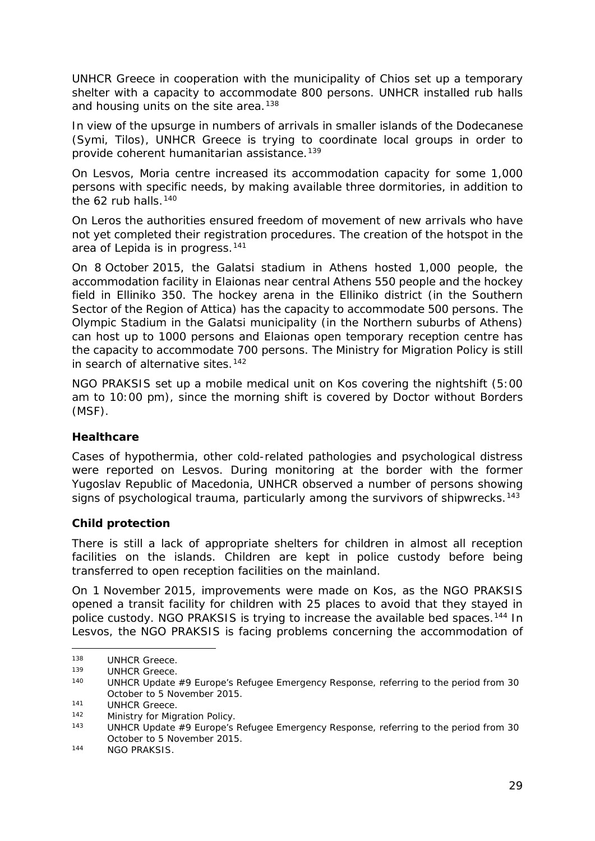UNHCR Greece in cooperation with the municipality of Chios set up a temporary shelter with a capacity to accommodate 800 persons. UNHCR installed rub halls and housing units on the site area.<sup>[138](#page-28-0)</sup>

In view of the upsurge in numbers of arrivals in smaller islands of the Dodecanese (Symi, Tilos), UNHCR Greece is trying to coordinate local groups in order to provide coherent humanitarian assistance.<sup>[139](#page-28-1)</sup>

On Lesvos, Moria centre increased its accommodation capacity for some 1,000 persons with specific needs, by making available three dormitories, in addition to the 62 rub halls.<sup>[140](#page-28-2)</sup>

On Leros the authorities ensured freedom of movement of new arrivals who have not yet completed their registration procedures. The creation of the hotspot in the area of Lepida is in progress.[141](#page-28-3)

On 8 October 2015, the Galatsi stadium in Athens hosted 1,000 people, the accommodation facility in Elaionas near central Athens 550 people and the hockey field in Elliniko 350. The hockey arena in the Elliniko district (in the Southern Sector of the Region of Attica) has the capacity to accommodate 500 persons. The Olympic Stadium in the Galatsi municipality (in the Northern suburbs of Athens) can host up to 1000 persons and Elaionas open temporary reception centre has the capacity to accommodate 700 persons. The Ministry for Migration Policy is still in search of alternative sites.<sup>[142](#page-28-4)</sup>

NGO PRAKSIS set up a mobile medical unit on Kos covering the nightshift (5:00 am to 10:00 pm), since the morning shift is covered by Doctor without Borders (MSF).

#### **Healthcare**

Cases of hypothermia, other cold-related pathologies and psychological distress were reported on Lesvos. During monitoring at the border with the former Yugoslav Republic of Macedonia, UNHCR observed a number of persons showing signs of psychological trauma, particularly among the survivors of shipwrecks.<sup>[143](#page-28-5)</sup>

#### **Child protection**

There is still a lack of appropriate shelters for children in almost all reception facilities on the islands. Children are kept in police custody before being transferred to open reception facilities on the mainland.

On 1 November 2015, improvements were made on Kos, as the NGO PRAKSIS opened a transit facility for children with 25 places to avoid that they stayed in police custody. NGO PRAKSIS is trying to increase the available bed spaces.<sup>[144](#page-28-6)</sup> In Lesvos, the NGO PRAKSIS is facing problems concerning the accommodation of

j.

<span id="page-28-0"></span><sup>&</sup>lt;sup>138</sup> UNHCR Greece.<br><sup>139</sup> UNHCR Greece.

<span id="page-28-1"></span><sup>&</sup>lt;sup>139</sup> UNHCR Greece.<br><sup>140</sup> UNHCP Undate

<span id="page-28-2"></span><sup>140</sup> UNHCR *Update #9 Europe's Refugee Emergency Response*, referring to the period from 30 October to 5 November 2015.

<span id="page-28-3"></span><sup>&</sup>lt;sup>141</sup> UNHCR Greece.<br>
<sup>142</sup> Ministry for Migu

<span id="page-28-4"></span><sup>142</sup> Ministry for Migration Policy.<br>143 HINHCP Undate #0 Europe's

<span id="page-28-5"></span><sup>143</sup> UNHCR *Update #9 Europe's Refugee Emergency Response*, referring to the period from 30 October to 5 November 2015.

<span id="page-28-6"></span><sup>144</sup> NGO PRAKSIS.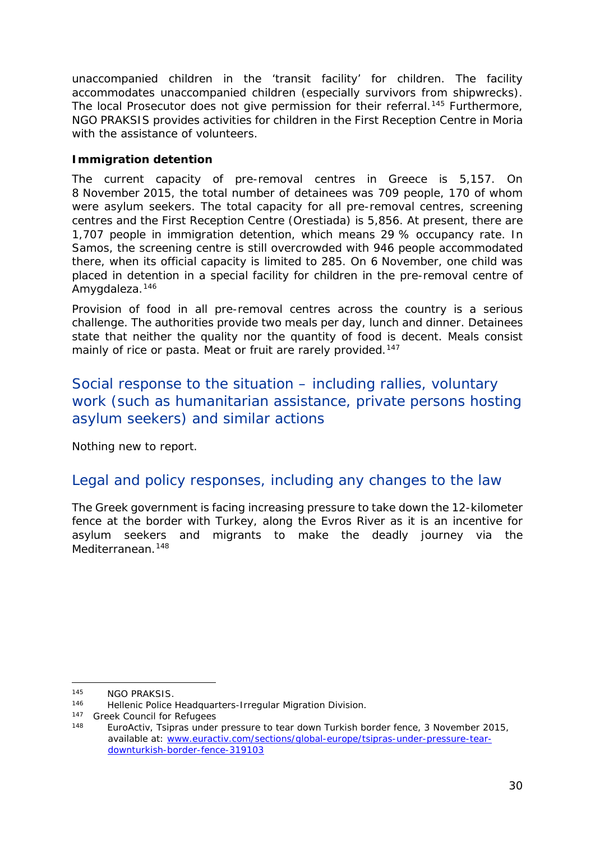unaccompanied children in the 'transit facility' for children. The facility accommodates unaccompanied children (especially survivors from shipwrecks). The local Prosecutor does not give permission for their referral.<sup>[145](#page-29-0)</sup> Furthermore, NGO PRAKSIS provides activities for children in the First Reception Centre in Moria with the assistance of volunteers.

#### **Immigration detention**

The current capacity of pre-removal centres in Greece is 5,157. On 8 November 2015, the total number of detainees was 709 people, 170 of whom were asylum seekers. The total capacity for all pre-removal centres, screening centres and the First Reception Centre (Orestiada) is 5,856. At present, there are 1,707 people in immigration detention, which means 29 % occupancy rate. In Samos, the screening centre is still overcrowded with 946 people accommodated there, when its official capacity is limited to 285. On 6 November, one child was placed in detention in a special facility for children in the pre-removal centre of Amygdaleza.[146](#page-29-1)

Provision of food in all pre-removal centres across the country is a serious challenge. The authorities provide two meals per day, lunch and dinner. Detainees state that neither the quality nor the quantity of food is decent. Meals consist mainly of rice or pasta. Meat or fruit are rarely provided.<sup>[147](#page-29-2)</sup>

## Social response to the situation – including rallies, voluntary work (such as humanitarian assistance, private persons hosting asylum seekers) and similar actions

Nothing new to report.

## Legal and policy responses, including any changes to the law

The Greek government is facing increasing pressure to take down the 12-kilometer fence at the border with Turkey, along the Evros River as it is an incentive for asylum seekers and migrants to make the deadly journey via the Mediterranean.<sup>[148](#page-29-3)</sup>

<span id="page-29-0"></span><sup>&</sup>lt;sup>145</sup> NGO PRAKSIS. j.

Hellenic Police Headquarters-Irregular Migration Division.

<span id="page-29-3"></span><span id="page-29-2"></span><span id="page-29-1"></span><sup>&</sup>lt;sup>147</sup> Greek Council for Refugees

EuroActiv, Tsipras under pressure to tear down Turkish border fence, 3 November 2015, available at: [www.euractiv.com/sections/global-europe/tsipras-under-pressure-tear](http://www.euractiv.com/sections/global-europe/tsipras-under-pressure-tear-downturkish-border-fence-319103)[downturkish-border-fence-319103](http://www.euractiv.com/sections/global-europe/tsipras-under-pressure-tear-downturkish-border-fence-319103)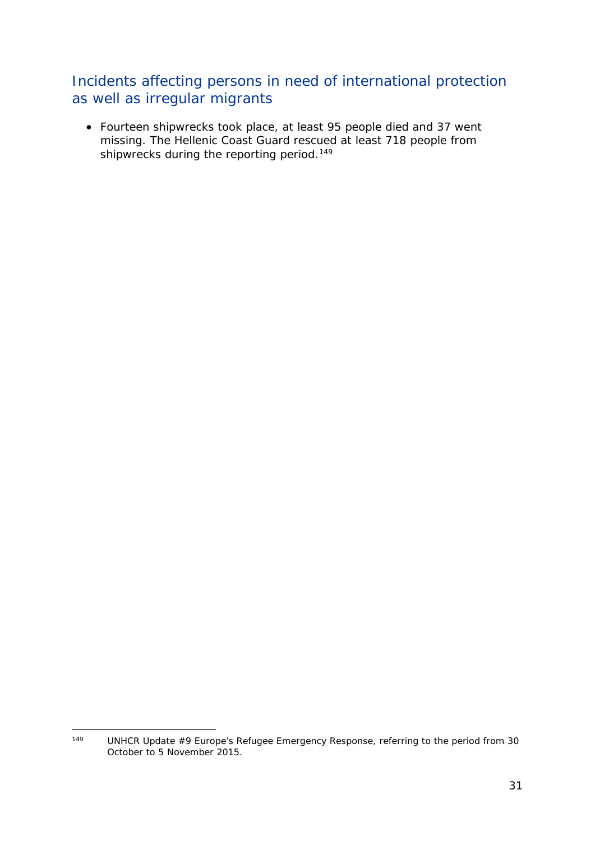## Incidents affecting persons in need of international protection as well as irregular migrants

• Fourteen shipwrecks took place, at least 95 people died and 37 went missing. The Hellenic Coast Guard rescued at least 718 people from shipwrecks during the reporting period.<sup>[149](#page-30-0)</sup>

<span id="page-30-0"></span>UNHCR *Update #9 Europe's Refugee Emergency Response*, referring to the period from 30 October to 5 November 2015. 149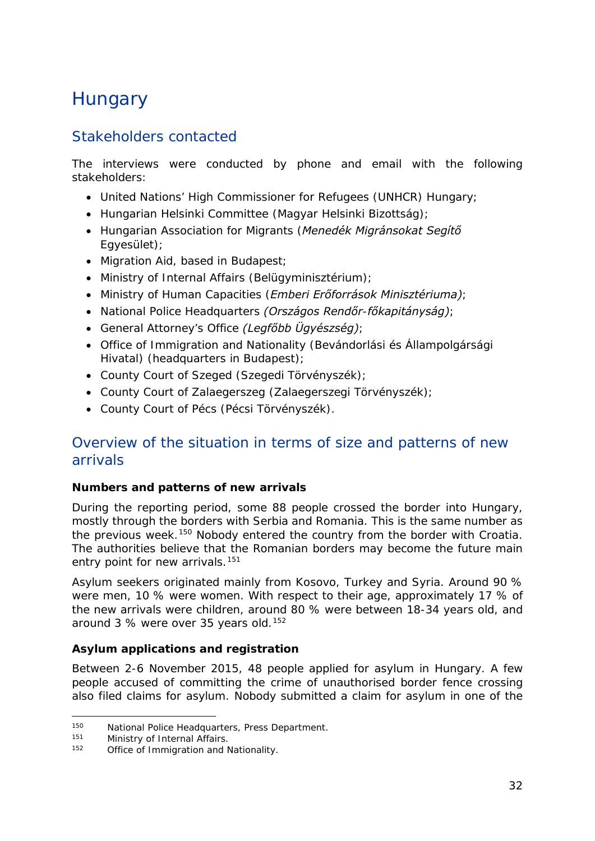## <span id="page-31-0"></span>**Hungary**

## Stakeholders contacted

The interviews were conducted by phone and email with the following stakeholders:

- United Nations' High Commissioner for Refugees (UNHCR) Hungary;
- Hungarian Helsinki Committee (*Magyar Helsinki Bizottság)*;
- Hungarian Association for Migrants (*Menedék Migránsokat Segítő Egyesület)*;
- Migration Aid, based in Budapest;
- Ministry of Internal Affairs (*Belügyminisztérium)*;
- Ministry of Human Capacities (*Emberi Erőforrások Minisztériuma)*;
- National Police Headquarters *(Országos Rendőr-főkapitányság)*;
- General Attorney's Office *(Legfőbb Ügyészség)*;
- Office of Immigration and Nationality (*Bevándorlási és Állampolgársági Hivatal)* (headquarters in Budapest);
- County Court of Szeged (*Szegedi Törvényszék)*;
- County Court of Zalaegerszeg (*Zalaegerszegi Törvényszék*);
- County Court of Pécs (*Pécsi Törvényszék)*.

## Overview of the situation in terms of size and patterns of new arrivals

#### **Numbers and patterns of new arrivals**

During the reporting period, some 88 people crossed the border into Hungary, mostly through the borders with Serbia and Romania. This is the same number as the previous week.<sup>[150](#page-31-1)</sup> Nobody entered the country from the border with Croatia. The authorities believe that the Romanian borders may become the future main entry point for new arrivals.<sup>[151](#page-31-2)</sup>

Asylum seekers originated mainly from Kosovo, Turkey and Syria. Around 90 % were men, 10 % were women. With respect to their age, approximately 17 % of the new arrivals were children, around 80 % were between 18-34 years old, and around 3 % were over 35 years old.<sup>[152](#page-31-3)</sup>

#### **Asylum applications and registration**

Between 2-6 November 2015, 48 people applied for asylum in Hungary. A few people accused of committing the crime of unauthorised border fence crossing also filed claims for asylum. Nobody submitted a claim for asylum in one of the

<span id="page-31-1"></span><sup>150</sup> National Police Headquarters, Press Department.<br>151 Ministry of Internal Affairs 150

<span id="page-31-2"></span> $151$  Ministry of Internal Affairs.<br> $152$  Office of Immigration and N

<span id="page-31-3"></span>Office of Immigration and Nationality.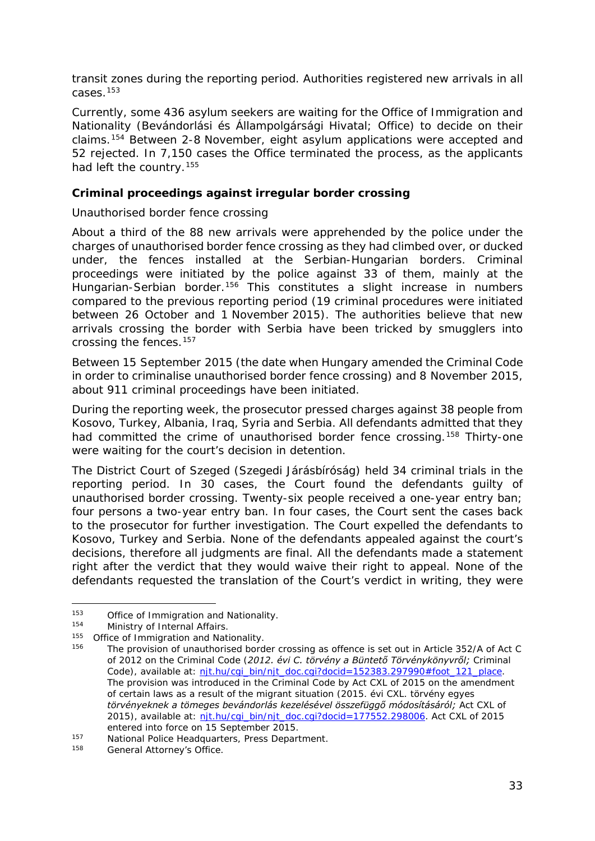<span id="page-32-2"></span>transit zones during the reporting period. Authorities registered new arrivals in all cases.[153](#page-32-0)

Currently, some 436 asylum seekers are waiting for the Office of Immigration and Nationality (*Bevándorlási és Állampolgársági Hivatal;* Office) to decide on their claims.[154](#page-32-1) Between 2-8 November, eight asylum applications were accepted and 52 rejected. In 7,150 cases the Office terminated the process, as the applicants had left the country.<sup>[155](#page-32-2)</sup>

#### **Criminal proceedings against irregular border crossing**

#### *Unauthorised border fence crossing*

About a third of the 88 new arrivals were apprehended by the police under the charges of unauthorised border fence crossing as they had climbed over, or ducked under, the fences installed at the Serbian-Hungarian borders. Criminal proceedings were initiated by the police against 33 of them, mainly at the Hungarian-Serbian border.<sup>[156](#page-32-3)</sup> This constitutes a slight increase in numbers compared to the previous reporting period (19 criminal procedures were initiated between 26 October and 1 November 2015). The authorities believe that new arrivals crossing the border with Serbia have been tricked by smugglers into crossing the fences.[157](#page-32-2)

Between 15 September 2015 (the date when Hungary amended the Criminal Code in order to criminalise unauthorised border fence crossing) and 8 November 2015, about 911 criminal proceedings have been initiated.

During the reporting week, the prosecutor pressed charges against 38 people from Kosovo, Turkey, Albania, Iraq, Syria and Serbia. All defendants admitted that they had committed the crime of unauthorised border fence crossing.<sup>[158](#page-32-4)</sup> Thirty-one were waiting for the court's decision in detention.

The District Court of Szeged (*Szegedi Járásbíróság*) held 34 criminal trials in the reporting period. In 30 cases, the Court found the defendants guilty of unauthorised border crossing. Twenty-six people received a one-year entry ban; four persons a two-year entry ban. In four cases, the Court sent the cases back to the prosecutor for further investigation. The Court expelled the defendants to Kosovo, Turkey and Serbia. None of the defendants appealed against the court's decisions, therefore all judgments are final. All the defendants made a statement right after the verdict that they would waive their right to appeal. None of the defendants requested the translation of the Court's verdict in writing, they were

<span id="page-32-0"></span><sup>&</sup>lt;sup>153</sup> Office of Immigration and Nationality.<br><sup>154</sup> Ministry of Internal Affairs j.

Ministry of Internal Affairs.

<span id="page-32-1"></span><sup>155</sup> Office of Immigration and Nationality.

<span id="page-32-3"></span><sup>156</sup> The provision of unauthorised border crossing as offence is set out in Article 352/A of Act C of 2012 on the Criminal Code (*2012. évi C. törvény a Büntető Törvénykönyvről;* Criminal Code), available at: [njt.hu/cgi\\_bin/njt\\_doc.cgi?docid=152383.297990#foot\\_121\\_place.](http://njt.hu/cgi_bin/njt_doc.cgi?docid=152383.297990%23foot_121_place) The provision was introduced in the Criminal Code by Act CXL of 2015 on the amendment of certain laws as a result of the migrant situation (*2015. évi CXL. törvény egyes törvényeknek a tömeges bevándorlás kezelésével összefüggő módosításáról;* Act CXL of 2015), available at: nit.hu/cgi\_bin/njt\_doc.cgi?docid=177552.298006. Act CXL of 2015

entered into force on 15 September 2015.<br>
157 National Police Headquarters, Press Department.<br>
158 General Attorney's Office

<span id="page-32-4"></span>General Attorney's Office.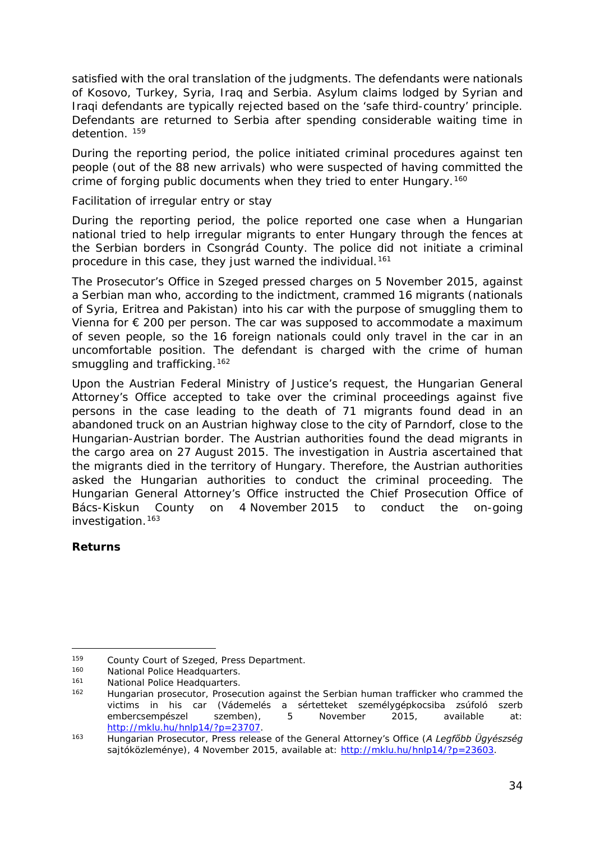satisfied with the oral translation of the judgments. The defendants were nationals of Kosovo, Turkey, Syria, Iraq and Serbia. Asylum claims lodged by Syrian and Iraqi defendants are typically rejected based on the 'safe third-country' principle. Defendants are returned to Serbia after spending considerable waiting time in detention. [159](#page-33-0)

During the reporting period, the police initiated criminal procedures against ten people (out of the 88 new arrivals) who were suspected of having committed the crime of forging public documents when they tried to enter Hungary.<sup>[160](#page-33-1)</sup>

#### *Facilitation of irregular entry or stay*

During the reporting period, the police reported one case when a Hungarian national tried to help irregular migrants to enter Hungary through the fences at the Serbian borders in Csongrád County. The police did not initiate a criminal procedure in this case, they just warned the individual.<sup>[161](#page-33-2)</sup>

The Prosecutor's Office in Szeged pressed charges on 5 November 2015, against a Serbian man who, according to the indictment, crammed 16 migrants (nationals of Syria, Eritrea and Pakistan) into his car with the purpose of smuggling them to Vienna for  $\epsilon$  200 per person. The car was supposed to accommodate a maximum of seven people, so the 16 foreign nationals could only travel in the car in an uncomfortable position. The defendant is charged with the crime of human smuggling and trafficking.<sup>[162](#page-33-3)</sup>

Upon the Austrian Federal Ministry of Justice's request, the Hungarian General Attorney's Office accepted to take over the criminal proceedings against five persons in the case leading to the death of 71 migrants found dead in an abandoned truck on an Austrian highway close to the city of Parndorf, close to the Hungarian-Austrian border. The Austrian authorities found the dead migrants in the cargo area on 27 August 2015. The investigation in Austria ascertained that the migrants died in the territory of Hungary. Therefore, the Austrian authorities asked the Hungarian authorities to conduct the criminal proceeding. The Hungarian General Attorney's Office instructed the Chief Prosecution Office of Bács-Kiskun County on 4 November 2015 to conduct the on-going investigation.<sup>[163](#page-33-4)</sup>

#### **Returns**

<sup>159</sup> County Court of Szeged, Press Department.<br>160 Mational Police Headquarters j.

<span id="page-33-1"></span><span id="page-33-0"></span><sup>160</sup> National Police Headquarters.<br>161 National Police Headquarters

<span id="page-33-2"></span><sup>161</sup> National Police Headquarters.<br>162 Hungarian prosecutor Prosec

<span id="page-33-3"></span>Hungarian prosecutor, Prosecution against the Serbian human trafficker who crammed the victims in his car (*Vádemelés a sértetteket személygépkocsiba zsúfoló szerb embercsempészel szemben)*, 5 November 2015, available at: [http://mklu.hu/hnlp14/?p=23707.](http://mklu.hu/hnlp14/?p=23707) 163 Hungarian Prosecutor, Press release of the General Attorney's Office (*A Legfőbb Ügyészség* 

<span id="page-33-4"></span>*sajtóközleménye),* 4 November 2015, available at: [http://mklu.hu/hnlp14/?p=23603.](http://mklu.hu/hnlp14/?p=23603)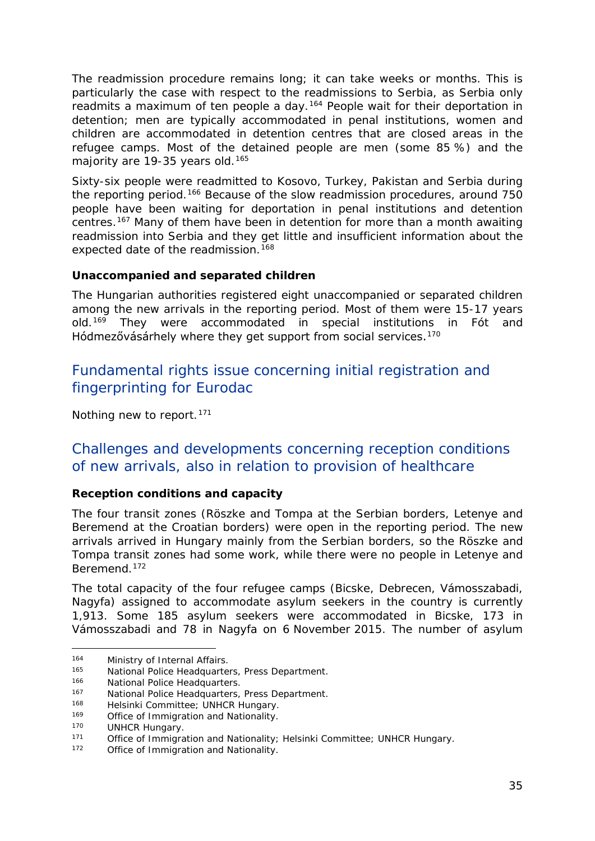<span id="page-34-1"></span>The readmission procedure remains long; it can take weeks or months. This is particularly the case with respect to the readmissions to Serbia, as Serbia only readmits a maximum of ten people a day.<sup>[164](#page-34-0)</sup> People wait for their deportation in detention; men are typically accommodated in penal institutions, women and children are accommodated in detention centres that are closed areas in the refugee camps. Most of the detained people are men (some 85 %) and the majority are 19-35 years old.<sup>[165](#page-34-1)</sup>

Sixty-six people were readmitted to Kosovo, Turkey, Pakistan and Serbia during the reporting period.<sup>[166](#page-34-2)</sup> Because of the slow readmission procedures, around 750 people have been waiting for deportation in penal institutions and detention centres.[167](#page-34-1) Many of them have been in detention for more than a month awaiting readmission into Serbia and they get little and insufficient information about the expected date of the readmission.<sup>[168](#page-34-1)</sup>

#### **Unaccompanied and separated children**

The Hungarian authorities registered eight unaccompanied or separated children among the new arrivals in the reporting period. Most of them were 15-17 years old.<sup>[169](#page-34-3)</sup> They were accommodated in special institutions in Fót and Hódmezővásárhely where they get support from social services.<sup>[170](#page-34-1)</sup>

### Fundamental rights issue concerning initial registration and fingerprinting for Eurodac

Nothing new to report.<sup>[171](#page-34-4)</sup>

## Challenges and developments concerning reception conditions of new arrivals, also in relation to provision of healthcare

#### **Reception conditions and capacity**

The four transit zones (Röszke and Tompa at the Serbian borders, Letenye and Beremend at the Croatian borders) were open in the reporting period. The new arrivals arrived in Hungary mainly from the Serbian borders, so the Röszke and Tompa transit zones had some work, while there were no people in Letenye and Beremend.[172](#page-34-5)

The total capacity of the four refugee camps (Bicske, Debrecen, Vámosszabadi, Nagyfa) assigned to accommodate asylum seekers in the country is currently 1,913. Some 185 asylum seekers were accommodated in Bicske, 173 in Vámosszabadi and 78 in Nagyfa on 6 November 2015. The number of asylum

<sup>&</sup>lt;sup>164</sup> Ministry of Internal Affairs.<br><sup>165</sup> National Police Headquarte j.

<span id="page-34-0"></span><sup>165</sup> National Police Headquarters, Press Department.

<span id="page-34-2"></span><sup>166</sup> National Police Headquarters.<br>167 National Police Headquarters

<sup>167</sup> National Police Headquarters, Press Department.<br>168 Helsinki Committee: UNHCP Hungary

<sup>&</sup>lt;sup>168</sup> Helsinki Committee; UNHCR Hungary.<br>
169 Office of Immigration and Nationality.

<span id="page-34-3"></span><sup>&</sup>lt;sup>169</sup> Office of Immigration and Nationality.<br><sup>170</sup> LINHCP Hungary

 $170$  UNHCR Hungary.<br> $171$  Office of Immigra

<span id="page-34-5"></span><span id="page-34-4"></span><sup>171</sup> Office of Immigration and Nationality; Helsinki Committee; UNHCR Hungary.<br>172 Office of Immigration and Nationality.

Office of Immigration and Nationality.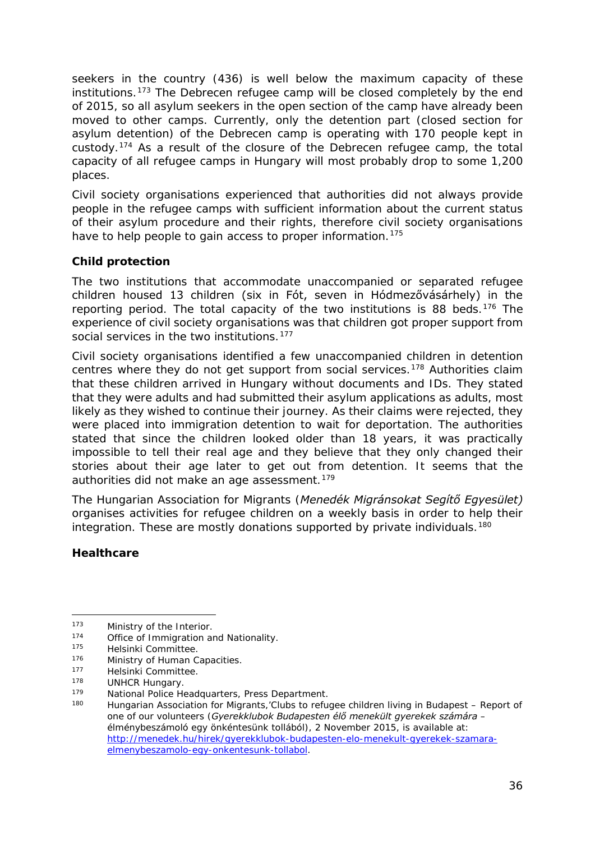<span id="page-35-4"></span>seekers in the country (436) is well below the maximum capacity of these institutions.[173](#page-35-0) The Debrecen refugee camp will be closed completely by the end of 2015, so all asylum seekers in the open section of the camp have already been moved to other camps. Currently, only the detention part (closed section for asylum detention) of the Debrecen camp is operating with 170 people kept in custody.[174](#page-35-1) As a result of the closure of the Debrecen refugee camp, the total capacity of all refugee camps in Hungary will most probably drop to some 1,200 places.

Civil society organisations experienced that authorities did not always provide people in the refugee camps with sufficient information about the current status of their asylum procedure and their rights, therefore civil society organisations have to help people to gain access to proper information.<sup>[175](#page-35-2)</sup>

#### **Child protection**

The two institutions that accommodate unaccompanied or separated refugee children housed 13 children (six in Fót, seven in Hódmezővásárhely) in the reporting period. The total capacity of the two institutions is 88 beds.<sup>[176](#page-35-3)</sup> The experience of civil society organisations was that children got proper support from social services in the two institutions.<sup>[177](#page-35-4)</sup>

Civil society organisations identified a few unaccompanied children in detention centres where they do not get support from social services.[178](#page-35-5) Authorities claim that these children arrived in Hungary without documents and IDs. They stated that they were adults and had submitted their asylum applications as adults, most likely as they wished to continue their journey. As their claims were rejected, they were placed into immigration detention to wait for deportation. The authorities stated that since the children looked older than 18 years, it was practically impossible to tell their real age and they believe that they only changed their stories about their age later to get out from detention. It seems that the authorities did not make an age assessment.<sup>[179](#page-35-4)</sup>

The Hungarian Association for Migrants (*Menedék Migránsokat Segítő Egyesület)* organises activities for refugee children on a weekly basis in order to help their integration. These are mostly donations supported by private individuals.<sup>[180](#page-35-6)</sup>

#### **Healthcare**

<sup>173</sup> Ministry of the Interior.<br>174 Office of Immigration of -

<span id="page-35-1"></span><span id="page-35-0"></span> $174$  Office of Immigration and Nationality.<br> $175$  Helsinki Committee

Helsinki Committee.

<span id="page-35-3"></span><span id="page-35-2"></span><sup>176</sup> Ministry of Human Capacities.<br>177 Helsinki Committee

<sup>&</sup>lt;sup>177</sup> Helsinki Committee.<br><sup>178</sup> HUNHCP Hungary

<span id="page-35-5"></span><sup>&</sup>lt;sup>178</sup> UNHCR Hungary.<br><sup>179</sup> National Police He

<span id="page-35-6"></span><sup>179</sup> National Police Headquarters, Press Department.<br>180 Hungarian Association for Migrants 'Clubs to refu

Hungarian Association for Migrants,'Clubs to refugee children living in Budapest – Report of one of our volunteers (*Gyerekklubok Budapesten élő menekült gyerekek számára – élménybeszámoló egy önkéntesünk tollából),* 2 November 2015, is available at: [http://menedek.hu/hirek/gyerekklubok-budapesten-elo-menekult-gyerekek-szamara](http://menedek.hu/hirek/gyerekklubok-budapesten-elo-menekult-gyerekek-szamara-elmenybeszamolo-egy-onkentesunk-tollabol)[elmenybeszamolo-egy-onkentesunk-tollabol.](http://menedek.hu/hirek/gyerekklubok-budapesten-elo-menekult-gyerekek-szamara-elmenybeszamolo-egy-onkentesunk-tollabol)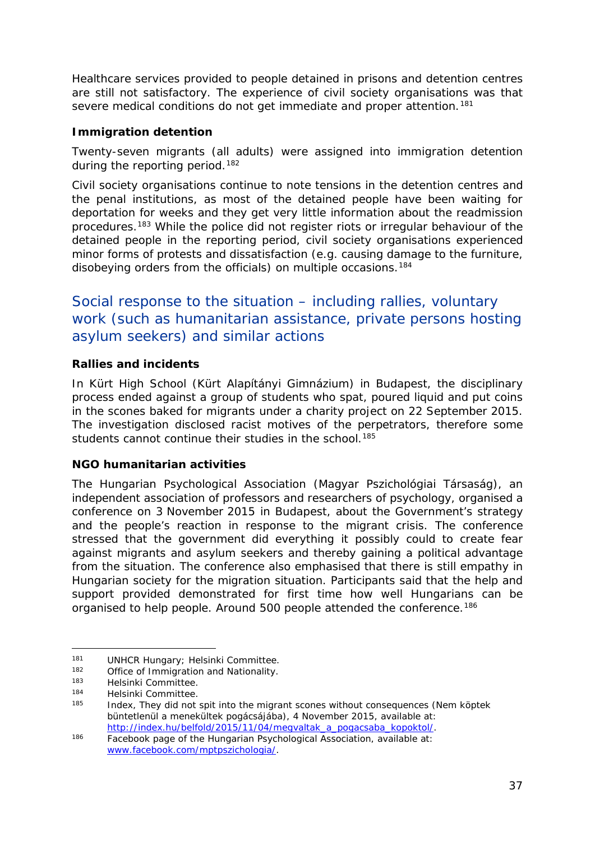<span id="page-36-3"></span>Healthcare services provided to people detained in prisons and detention centres are still not satisfactory. The experience of civil society organisations was that severe medical conditions do not get immediate and proper attention.<sup>[181](#page-36-0)</sup>

#### **Immigration detention**

Twenty-seven migrants (all adults) were assigned into immigration detention during the reporting period.<sup>[182](#page-36-1)</sup>

Civil society organisations continue to note tensions in the detention centres and the penal institutions, as most of the detained people have been waiting for deportation for weeks and they get very little information about the readmission procedures.[183](#page-36-2) While the police did not register riots or irregular behaviour of the detained people in the reporting period, civil society organisations experienced minor forms of protests and dissatisfaction (e.g. causing damage to the furniture, disobeying orders from the officials) on multiple occasions.<sup>[184](#page-36-3)</sup>

## Social response to the situation – including rallies, voluntary work (such as humanitarian assistance, private persons hosting asylum seekers) and similar actions

#### **Rallies and incidents**

In Kürt High School (*Kürt Alapítányi Gimnázium)* in Budapest, the disciplinary process ended against a group of students who spat, poured liquid and put coins in the scones baked for migrants under a charity project on 22 September 2015. The investigation disclosed racist motives of the perpetrators, therefore some students cannot continue their studies in the school.<sup>[185](#page-36-4)</sup>

#### **NGO humanitarian activities**

The Hungarian Psychological Association (*Magyar Pszichológiai Társaság)*, an independent association of professors and researchers of psychology, organised a conference on 3 November 2015 in Budapest, about the Government's strategy and the people's reaction in response to the migrant crisis. The conference stressed that the government did everything it possibly could to create fear against migrants and asylum seekers and thereby gaining a political advantage from the situation. The conference also emphasised that there is still empathy in Hungarian society for the migration situation. Participants said that the help and support provided demonstrated for first time how well Hungarians can be organised to help people. Around 500 people attended the conference.<sup>[186](#page-36-5)</sup>

<sup>181</sup> UNHCR Hungary; Helsinki Committee.<br>182 Office of Immigration and Nationality. j.

<span id="page-36-1"></span><span id="page-36-0"></span><sup>&</sup>lt;sup>182</sup> Office of Immigration and Nationality.<br><sup>183</sup> Helsinki Committee

<span id="page-36-2"></span><sup>183</sup> Helsinki Committee.<br>184 Helsinki Committee.

<span id="page-36-4"></span><sup>&</sup>lt;sup>184</sup> Helsinki Committee.<br><sup>185</sup> Helex They did not

<sup>185</sup> Index, They did not spit into the migrant scones without consequences (*Nem köptek büntetlenül a menekültek pogácsájába)*, 4 November 2015, available at:

<span id="page-36-5"></span>http://index.hu/belfold/2015/2015/11/04/megacian.html<br>186 Facebook page of the Hungarian Psychological Association, available at: [www.facebook.com/mptpszichologia/.](http://www.facebook.com/mptpszichologia/)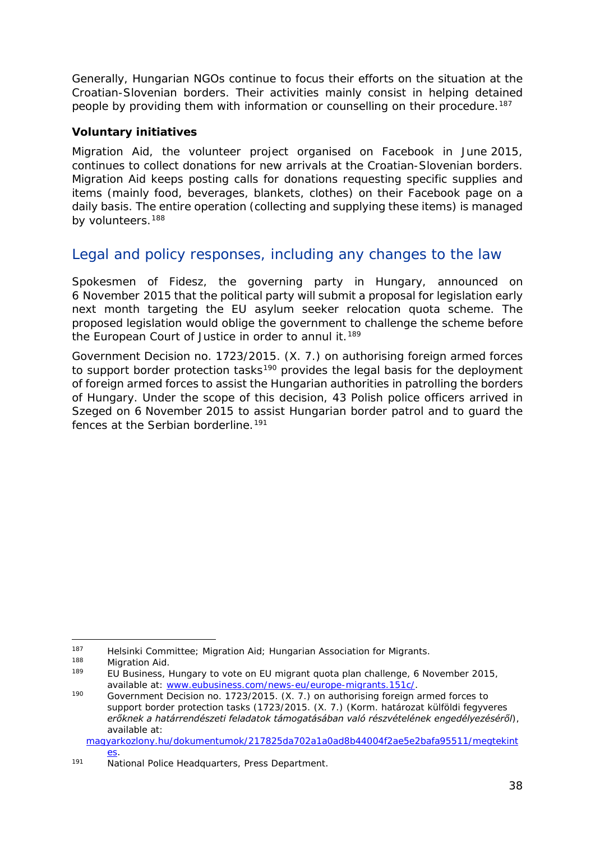<span id="page-37-4"></span>Generally, Hungarian NGOs continue to focus their efforts on the situation at the Croatian-Slovenian borders. Their activities mainly consist in helping detained people by providing them with information or counselling on their procedure.<sup>187</sup>

#### **Voluntary initiatives**

Migration Aid, the volunteer project organised on Facebook in June 2015, continues to collect donations for new arrivals at the Croatian-Slovenian borders. Migration Aid keeps posting calls for donations requesting specific supplies and items (mainly food, beverages, blankets, clothes) on their Facebook page on a daily basis. The entire operation (collecting and supplying these items) is managed by volunteers.<sup>[188](#page-37-1)</sup>

## Legal and policy responses, including any changes to the law

Spokesmen of Fidesz, the governing party in Hungary, announced on 6 November 2015 that the political party will submit a proposal for legislation early next month targeting the EU asylum seeker relocation quota scheme. The proposed legislation would oblige the government to challenge the scheme before the European Court of Justice in order to annul it.<sup>[189](#page-37-2)</sup>

Government Decision no. 1723/2015. (X. 7.) on authorising foreign armed forces to support border protection tasks<sup>[190](#page-37-3)</sup> provides the legal basis for the deployment of foreign armed forces to assist the Hungarian authorities in patrolling the borders of Hungary. Under the scope of this decision, 43 Polish police officers arrived in Szeged on 6 November 2015 to assist Hungarian border patrol and to guard the fences at the Serbian borderline.<sup>[191](#page-37-4)</sup>

<sup>187</sup> Helsinki Committee; Migration Aid; Hungarian Association for Migrants. -

<span id="page-37-2"></span><span id="page-37-1"></span><span id="page-37-0"></span><sup>188</sup> Migration Aid.<br><sup>189</sup> EU Business, *Hungary to vote on EU migrant quota plan challenge*, 6 November 2015, available at: [www.eubusiness.com/news-eu/europe-migrants.151c/.](http://www.eubusiness.com/news-eu/europe-migrants.151c/)<br>190 Government Decision no. 1723/2015. (X. 7.) on authorising foreign armed forces to

<span id="page-37-3"></span>support border protection tasks (1723/2015. (X. 7.) (*Korm. határozat külföldi fegyveres erőknek a határrendészeti feladatok támogatásában való részvételének engedélyezéséről*), available at:

[magyarkozlony.hu/dokumentumok/217825da702a1a0ad8b44004f2ae5e2bafa95511/megtekint](http://magyarkozlony.hu/dokumentumok/217825da702a1a0ad8b44004f2ae5e2bafa95511/megtekintes) [es.](http://magyarkozlony.hu/dokumentumok/217825da702a1a0ad8b44004f2ae5e2bafa95511/megtekintes)

<sup>191</sup> National Police Headquarters, Press Department.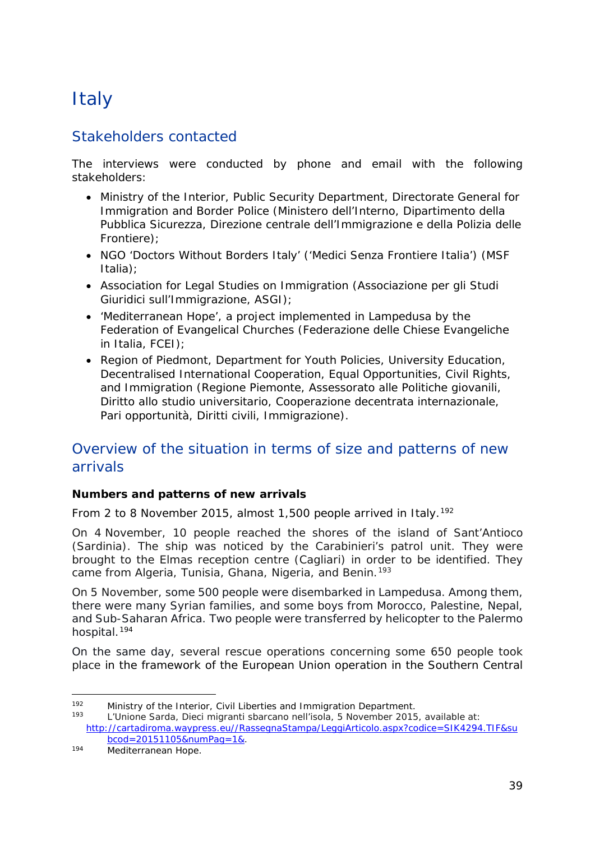## <span id="page-38-0"></span>**Italy**

## Stakeholders contacted

The interviews were conducted by phone and email with the following stakeholders:

- Ministry of the Interior, Public Security Department, Directorate General for Immigration and Border Police (Ministero dell'Interno, Dipartimento della Pubblica Sicurezza, Direzione centrale dell'Immigrazione e della Polizia delle Frontiere);
- NGO 'Doctors Without Borders Italy' ('Medici Senza Frontiere Italia') (MSF Italia);
- Association for Legal Studies on Immigration (Associazione per gli Studi Giuridici sull'Immigrazione, ASGI);
- 'Mediterranean Hope', a project implemented in Lampedusa by the Federation of Evangelical Churches (Federazione delle Chiese Evangeliche in Italia, FCEI);
- Region of Piedmont, Department for Youth Policies, University Education, Decentralised International Cooperation, Equal Opportunities, Civil Rights, and Immigration (Regione Piemonte, Assessorato alle Politiche giovanili, Diritto allo studio universitario, Cooperazione decentrata internazionale, Pari opportunità, Diritti civili, Immigrazione).

## Overview of the situation in terms of size and patterns of new arrivals

#### **Numbers and patterns of new arrivals**

From 2 to 8 November 2015, almost 1,500 people arrived in Italy.<sup>[192](#page-38-1)</sup>

On 4 November, 10 people reached the shores of the island of Sant'Antioco (Sardinia). The ship was noticed by the Carabinieri's patrol unit. They were brought to the Elmas reception centre (Cagliari) in order to be identified. They came from Algeria, Tunisia, Ghana, Nigeria, and Benin.<sup>[193](#page-38-2)</sup>

On 5 November, some 500 people were disembarked in Lampedusa. Among them, there were many Syrian families, and some boys from Morocco, Palestine, Nepal, and Sub-Saharan Africa. Two people were transferred by helicopter to the Palermo hospital.[194](#page-38-3)

On the same day, several rescue operations concerning some 650 people took place in the framework of the European Union operation in the Southern Central

<span id="page-38-1"></span><sup>192</sup> Ministry of the Interior, Civil Liberties and Immigration Department.<br>193 Littletone Sergie Diesi migranti charaone nellisede E November 2015 192

<span id="page-38-2"></span><sup>193</sup> L'Unione Sarda, *Dieci migranti sbarcano nell'isola*, 5 November 2015, available at: [http://cartadiroma.waypress.eu//RassegnaStampa/LeggiArticolo.aspx?codice=SIK4294.TIF&su](http://cartadiroma.waypress.eu/RassegnaStampa/LeggiArticolo.aspx?codice=SIK4294.TIF&subcod=20151105&numPag=1&) <u>bcod=20151105&numPag=1&</u>.<br>
Mediterranean Hope.

<span id="page-38-3"></span>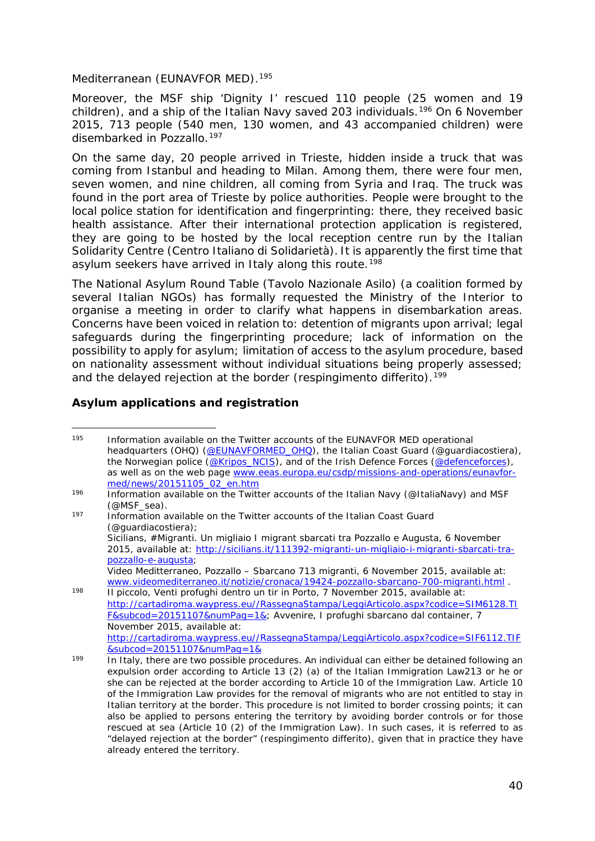<span id="page-39-2"></span>Mediterranean (EUNAVFOR MED).<sup>[195](#page-39-0)</sup>

Moreover, the MSF ship 'Dignity I' rescued 110 people (25 women and 19 children), and a ship of the Italian Navy saved 203 individuals.[196](#page-39-1) On 6 November 2015, 713 people (540 men, 130 women, and 43 accompanied children) were disembarked in Pozzallo.[197](#page-39-2)

On the same day, 20 people arrived in Trieste, hidden inside a truck that was coming from Istanbul and heading to Milan. Among them, there were four men, seven women, and nine children, all coming from Syria and Iraq. The truck was found in the port area of Trieste by police authorities. People were brought to the local police station for identification and fingerprinting: there, they received basic health assistance. After their international protection application is registered, they are going to be hosted by the local reception centre run by the Italian Solidarity Centre (*Centro Italiano di Solidarietà*). It is apparently the first time that asylum seekers have arrived in Italy along this route.<sup>[198](#page-39-3)</sup>

The National Asylum Round Table (*Tavolo Nazionale Asilo*) (a coalition formed by several Italian NGOs) has formally requested the Ministry of the Interior to organise a meeting in order to clarify what happens in disembarkation areas. Concerns have been voiced in relation to: detention of migrants upon arrival; legal safeguards during the fingerprinting procedure; lack of information on the possibility to apply for asylum; limitation of access to the asylum procedure, based on nationality assessment without individual situations being properly assessed; and the delayed rejection at the border (*respingimento differito*).<sup>[199](#page-39-4)</sup>

#### **Asylum applications and registration**

<sup>197</sup> Information available on the Twitter accounts of the Italian Coast Guard (@guardiacostiera); Sicilians, *#Migranti. Un migliaio I migrant sbarcati tra Pozzallo e Augusta,* 6 November 2015, available at: [http://sicilians.it/111392-migranti-un-migliaio-i-migranti-sbarcati-tra](http://sicilians.it/111392-migranti-un-migliaio-i-migranti-sbarcati-tra-pozzallo-e-augusta)[pozzallo-e-augusta;](http://sicilians.it/111392-migranti-un-migliaio-i-migranti-sbarcati-tra-pozzallo-e-augusta) Video Meditterraneo, *Pozzallo – Sbarcano 713 migranti*, 6 November 2015, available at: [www.videomediterraneo.it/notizie/cronaca/19424-pozzallo-sbarcano-700-migranti.html](http://www.videomediterraneo.it/notizie/cronaca/19424-pozzallo-sbarcano-700-migranti.html) .

<span id="page-39-3"></span><sup>198</sup> Il piccolo, *Venti profughi dentro un tir in Porto*, 7 November 2015, available at: [http://cartadiroma.waypress.eu//RassegnaStampa/LeggiArticolo.aspx?codice=SIM6128.TI](http://cartadiroma.waypress.eu/RassegnaStampa/LeggiArticolo.aspx?codice=SIM6128.TIF&subcod=20151107&numPag=1&) [F&subcod=20151107&numPag=1&;](http://cartadiroma.waypress.eu/RassegnaStampa/LeggiArticolo.aspx?codice=SIM6128.TIF&subcod=20151107&numPag=1&) Avvenire, *I profughi sbarcano dal container,* 7 November 2015, available at: [http://cartadiroma.waypress.eu//RassegnaStampa/LeggiArticolo.aspx?codice=SIF6112.TIF](http://cartadiroma.waypress.eu/RassegnaStampa/LeggiArticolo.aspx?codice=SIF6112.TIF&subcod=20151107&numPag=1&) [&subcod=20151107&numPag=1&](http://cartadiroma.waypress.eu/RassegnaStampa/LeggiArticolo.aspx?codice=SIF6112.TIF&subcod=20151107&numPag=1&)

<span id="page-39-0"></span>Information available on the Twitter accounts of the EUNAVFOR MED operational headquarters (OHQ) [\(@EUNAVFORMED\\_OHQ\)](https://twitter.com/EUNAVFORMED_OHQ), the Italian Coast Guard (@guardiacostiera), the Norwegian police [\(@Kripos\\_NCIS\)](https://twitter.com/Kripos_NCIS), and of the Irish Defence Forces [\(@defenceforces\)](https://twitter.com/defenceforces), as well as on the web page [www.eeas.europa.eu/csdp/missions-and-operations/eunavfor](http://www.eeas.europa.eu/csdp/missions-and-operations/eunavfor-med/news/20151105_02_en.htm)[med/news/20151105\\_02\\_en.htm](http://www.eeas.europa.eu/csdp/missions-and-operations/eunavfor-med/news/20151105_02_en.htm) 195

<span id="page-39-1"></span><sup>196</sup> Information available on the Twitter accounts of the Italian Navy (@ItaliaNavy) and MSF (@MSF\_sea).

<span id="page-39-4"></span><sup>199</sup> In Italy, there are two possible procedures. An individual can either be detained following an expulsion order according to Article 13 (2) (a) of the Italian Immigration Law213 or he or she can be rejected at the border according to Article 10 of the Immigration Law. Article 10 of the Immigration Law provides for the removal of migrants who are not entitled to stay in Italian territory at the border. This procedure is not limited to border crossing points; it can also be applied to persons entering the territory by avoiding border controls or for those rescued at sea (Article 10 (2) of the Immigration Law). In such cases, it is referred to as "delayed rejection at the border" (*respingimento differito*), given that in practice they have already entered the territory.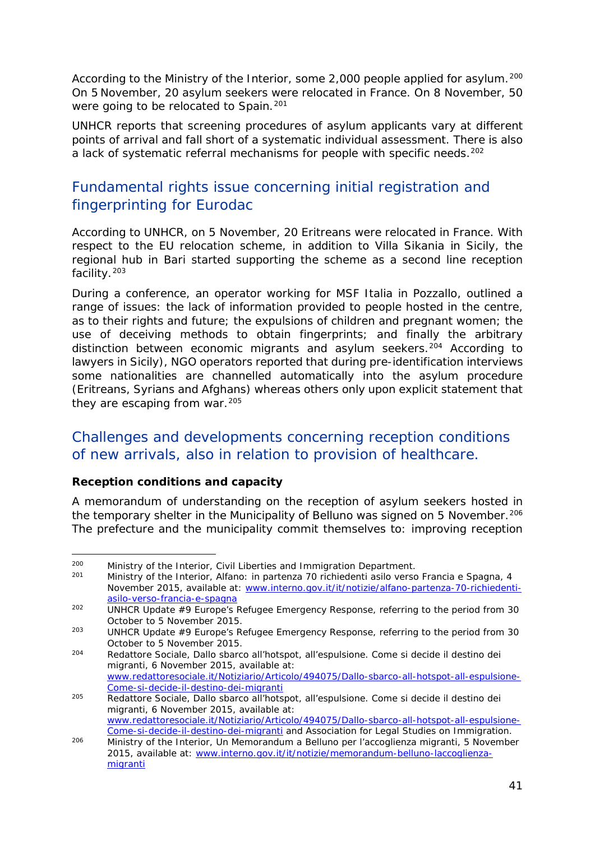<span id="page-40-1"></span>According to the Ministry of the Interior, some 2,000 people applied for asylum.<sup>[200](#page-40-0)</sup> On 5 November, 20 asylum seekers were relocated in France. On 8 November, 50 were going to be relocated to Spain.<sup>[201](#page-40-1)</sup>

UNHCR reports that screening procedures of asylum applicants vary at different points of arrival and fall short of a systematic individual assessment. There is also a lack of systematic referral mechanisms for people with specific needs.<sup>[202](#page-40-2)</sup>

## Fundamental rights issue concerning initial registration and fingerprinting for Eurodac

According to UNHCR, on 5 November, 20 Eritreans were relocated in France. With respect to the EU relocation scheme, in addition to Villa Sikania in Sicily, the regional hub in Bari started supporting the scheme as a second line reception facility.[203](#page-40-3)

During a conference, an operator working for MSF Italia in Pozzallo, outlined a range of issues: the lack of information provided to people hosted in the centre, as to their rights and future; the expulsions of children and pregnant women; the use of deceiving methods to obtain fingerprints; and finally the arbitrary distinction between economic migrants and asylum seekers.<sup>[204](#page-40-4)</sup> According to lawyers in Sicily), NGO operators reported that during pre-identification interviews some nationalities are channelled automatically into the asylum procedure (Eritreans, Syrians and Afghans) whereas others only upon explicit statement that they are escaping from war.<sup>[205](#page-40-1)</sup>

### Challenges and developments concerning reception conditions of new arrivals, also in relation to provision of healthcare.

#### **Reception conditions and capacity**

A memorandum of understanding on the reception of asylum seekers hosted in the temporary shelter in the Municipality of Belluno was signed on 5 November.<sup>[206](#page-40-5)</sup> The prefecture and the municipality commit themselves to: improving reception

<span id="page-40-0"></span><sup>&</sup>lt;sup>200</sup> Ministry of the Interior, Civil Liberties and Immigration Department.<br><sup>201</sup> Ministry of the Interior, *Alfano: in partonza 70 richiodonti asilo verse* 200

<sup>201</sup> Ministry of the Interior, *Alfano: in partenza 70 richiedenti asilo verso Francia e Spagna*, 4 November 2015, available at: [www.interno.gov.it/it/notizie/alfano-partenza-70-richiedenti](http://www.interno.gov.it/it/notizie/alfano-partenza-70-richiedenti-asilo-verso-francia-e-spagna)[asilo-verso-francia-e-spagna](http://www.interno.gov.it/it/notizie/alfano-partenza-70-richiedenti-asilo-verso-francia-e-spagna)

<span id="page-40-2"></span><sup>202</sup> UNHCR *Update #9 Europe's Refugee Emergency Response*, referring to the period from 30 October to 5 November 2015.

<span id="page-40-3"></span><sup>203</sup> UNHCR *Update #9 Europe's Refugee Emergency Response*, referring to the period from 30 October to 5 November 2015.

<span id="page-40-4"></span><sup>204</sup> Redattore Sociale, *Dallo sbarco all'hotspot, all'espulsione. Come si decide il destino dei migranti*, 6 November 2015, available at: [www.redattoresociale.it/Notiziario/Articolo/494075/Dallo-sbarco-all-hotspot-all-espulsione-](http://www.redattoresociale.it/Notiziario/Articolo/494075/Dallo-sbarco-all-hotspot-all-espulsione-Come-si-decide-il-destino-dei-migranti)[Come-si-decide-il-destino-dei-migranti](http://www.redattoresociale.it/Notiziario/Articolo/494075/Dallo-sbarco-all-hotspot-all-espulsione-Come-si-decide-il-destino-dei-migranti)

<sup>205</sup> Redattore Sociale, *Dallo sbarco all'hotspot, all'espulsione. Come si decide il destino dei migranti*, 6 November 2015, available at: [www.redattoresociale.it/Notiziario/Articolo/494075/Dallo-sbarco-all-hotspot-all-espulsione-](http://www.redattoresociale.it/Notiziario/Articolo/494075/Dallo-sbarco-all-hotspot-all-espulsione-Come-si-decide-il-destino-dei-migranti)[Come-si-decide-il-destino-dei-migranti](http://www.redattoresociale.it/Notiziario/Articolo/494075/Dallo-sbarco-all-hotspot-all-espulsione-Come-si-decide-il-destino-dei-migranti) and Association for Legal Studies on Immigration.

<span id="page-40-5"></span><sup>206</sup> Ministry of the Interior, *Un Memorandum a Belluno per l'accoglienza migranti*, 5 November 2015, available at: [www.interno.gov.it/it/notizie/memorandum-belluno-laccoglienza](http://www.interno.gov.it/it/notizie/memorandum-belluno-laccoglienza-migranti)[migranti](http://www.interno.gov.it/it/notizie/memorandum-belluno-laccoglienza-migranti)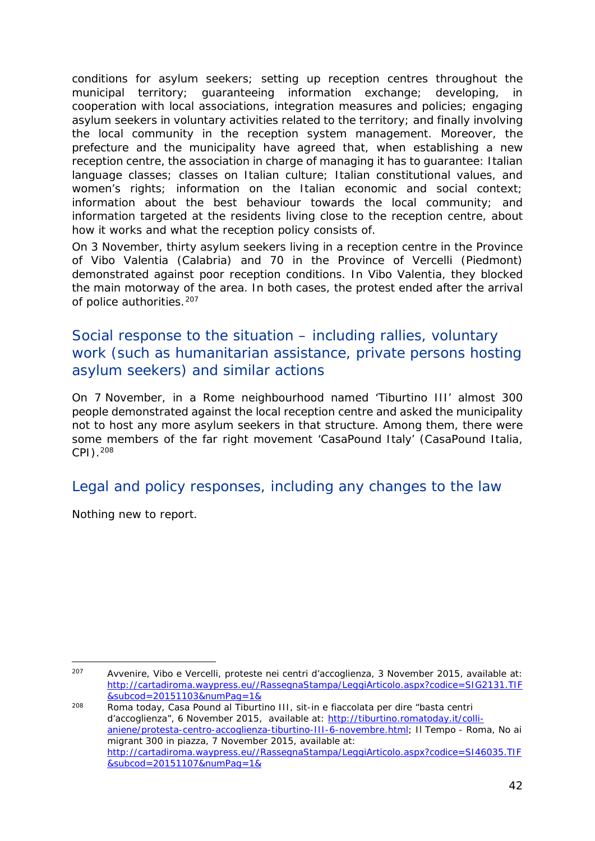conditions for asylum seekers; setting up reception centres throughout the municipal territory; guaranteeing information exchange; developing, in cooperation with local associations, integration measures and policies; engaging asylum seekers in voluntary activities related to the territory; and finally involving the local community in the reception system management. Moreover, the prefecture and the municipality have agreed that, when establishing a new reception centre, the association in charge of managing it has to guarantee: Italian language classes; classes on Italian culture; Italian constitutional values, and women's rights; information on the Italian economic and social context; information about the best behaviour towards the local community; and information targeted at the residents living close to the reception centre, about how it works and what the reception policy consists of.

On 3 November, thirty asylum seekers living in a reception centre in the Province of Vibo Valentia (Calabria) and 70 in the Province of Vercelli (Piedmont) demonstrated against poor reception conditions. In Vibo Valentia, they blocked the main motorway of the area. In both cases, the protest ended after the arrival of police authorities.<sup>[207](#page-41-0)</sup>

## Social response to the situation – including rallies, voluntary work (such as humanitarian assistance, private persons hosting asylum seekers) and similar actions

On 7 November, in a Rome neighbourhood named 'Tiburtino III' almost 300 people demonstrated against the local reception centre and asked the municipality not to host any more asylum seekers in that structure. Among them, there were some members of the far right movement 'CasaPound Italy' (CasaPound Italia, CPI)[.208](#page-41-1)

## Legal and policy responses, including any changes to the law

Nothing new to report.

<span id="page-41-0"></span><sup>207</sup> Avvenire, *Vibo e Vercelli, proteste nei centri d'accoglienza,* 3 November 2015, available at: [http://cartadiroma.waypress.eu//RassegnaStampa/LeggiArticolo.aspx?codice=SIG2131.TIF](http://cartadiroma.waypress.eu/RassegnaStampa/LeggiArticolo.aspx?codice=SIG2131.TIF&subcod=20151103&numPag=1&) [&subcod=20151103&numPag=1&](http://cartadiroma.waypress.eu/RassegnaStampa/LeggiArticolo.aspx?codice=SIG2131.TIF&subcod=20151103&numPag=1&) -

<span id="page-41-1"></span><sup>208</sup> Roma today, *Casa Pound al Tiburtino III, sit-in e fiaccolata per dire "basta centri d'accoglienza",* 6 November 2015, available at: [http://tiburtino.romatoday.it/colli](http://tiburtino.romatoday.it/colli-aniene/protesta-centro-accoglienza-tiburtino-III-6-novembre.html)[aniene/protesta-centro-accoglienza-tiburtino-III-6-novembre.html;](http://tiburtino.romatoday.it/colli-aniene/protesta-centro-accoglienza-tiburtino-III-6-novembre.html) Il Tempo - Roma, *No ai migrant 300 in piazza,* 7 November 2015, available at: [http://cartadiroma.waypress.eu//RassegnaStampa/LeggiArticolo.aspx?codice=SI46035.TIF](http://cartadiroma.waypress.eu/RassegnaStampa/LeggiArticolo.aspx?codice=SI46035.TIF&subcod=20151107&numPag=1&) [&subcod=20151107&numPag=1&](http://cartadiroma.waypress.eu/RassegnaStampa/LeggiArticolo.aspx?codice=SI46035.TIF&subcod=20151107&numPag=1&)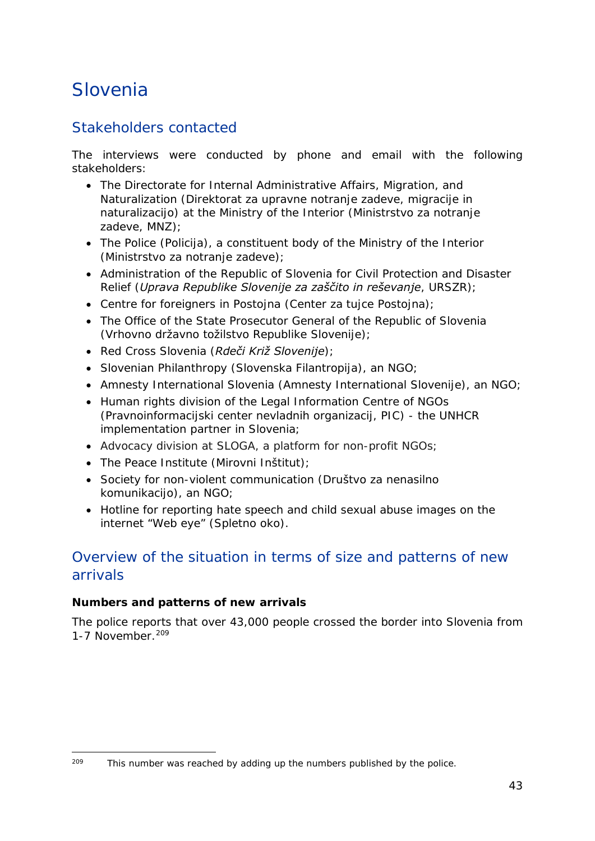## <span id="page-42-0"></span>Slovenia

## Stakeholders contacted

The interviews were conducted by phone and email with the following stakeholders:

- The Directorate for Internal Administrative Affairs, Migration, and Naturalization (*Direktorat za upravne notranje zadeve, migracije in naturalizacijo*) at the Ministry of the Interior (*Ministrstvo za notranje zadeve*, *MNZ*);
- The Police (*Policija*), a constituent body of the Ministry of the Interior (*Ministrstvo za notranje zadeve*);
- Administration of the Republic of Slovenia for Civil Protection and Disaster Relief (*Uprava Republike Slovenije za zaščito in reševanje*, *URSZR*);
- Centre for foreigners in Postojna (*Center za tujce Postojna*);
- The Office of the State Prosecutor General of the Republic of Slovenia (*Vrhovno državno tožilstvo Republike Slovenije*);
- Red Cross Slovenia (*Rdeči Križ Slovenije*);
- Slovenian Philanthropy (*Slovenska Filantropija*), an NGO;
- Amnesty International Slovenia (*Amnesty International Slovenije*), an NGO;
- Human rights division of the Legal Information Centre of NGOs (*Pravnoinformacijski center nevladnih organizacij, PIC*) - the UNHCR implementation partner in Slovenia;
- Advocacy division at SLOGA, a platform for non-profit NGOs;
- The Peace Institute (*Mirovni Inštitut*);
- Society for non-violent communication (*Društvo za nenasilno komunikacijo*), an NGO;
- Hotline for reporting hate speech and child sexual abuse images on the internet "Web eye" (*Spletno oko*).

### Overview of the situation in terms of size and patterns of new arrivals

#### **Numbers and patterns of new arrivals**

The police reports that over 43,000 people crossed the border into Slovenia from 1-7 November.<sup>[209](#page-42-1)</sup>

<span id="page-42-1"></span>This number was reached by adding up the numbers published by the police.  $209$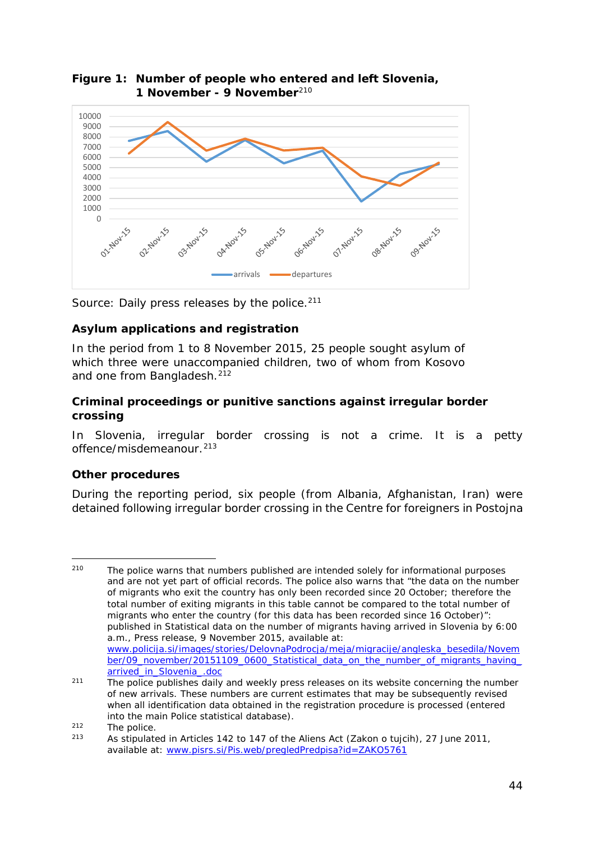

**Figure 1: Number of people who entered and left Slovenia, 1 November - 9 November**[210](#page-43-0)

*Source: Daily press releases by the police[.211](#page-43-1)*

#### **Asylum applications and registration**

In the period from 1 to 8 November 2015, 25 people sought asylum of which three were unaccompanied children, two of whom from Kosovo and one from Bangladesh.<sup>[212](#page-43-2)</sup>

#### **Criminal proceedings or punitive sanctions against irregular border crossing**

In Slovenia, irregular border crossing is not a crime. It is a petty offence/misdemeanour.<sup>[213](#page-43-3)</sup>

#### **Other procedures**

During the reporting period, six people (from Albania, Afghanistan, Iran) were detained following irregular border crossing in the Centre for foreigners in Postojna

<span id="page-43-0"></span><sup>&</sup>lt;sup>210</sup> The police warns that numbers published are intended solely for informational purposes and are not yet part of official records. The police also warns that "the data on the number of migrants who exit the country has only been recorded since 20 October; therefore the total number of exiting migrants in this table cannot be compared to the total number of migrants who enter the country (for this data has been recorded since 16 October)": published in *Statistical data on the number of migrants having arrived in Slovenia by 6:00 a.m.*, Press release, 9 November 2015, available at: [www.policija.si/images/stories/DelovnaPodrocja/meja/migracije/angleska\\_besedila/Novem](http://www.policija.si/images/stories/DelovnaPodrocja/meja/migracije/angleska_besedila/November/09_november/20151109_0600_Statistical_data_on_the_number_of_migrants_having_arrived_in_Slovenia_.doc) [ber/09\\_november/20151109\\_0600\\_Statistical\\_data\\_on\\_the\\_number\\_of\\_migrants\\_having\\_](http://www.policija.si/images/stories/DelovnaPodrocja/meja/migracije/angleska_besedila/November/09_november/20151109_0600_Statistical_data_on_the_number_of_migrants_having_arrived_in_Slovenia_.doc) [arrived\\_in\\_Slovenia\\_.doc](http://www.policija.si/images/stories/DelovnaPodrocja/meja/migracije/angleska_besedila/November/09_november/20151109_0600_Statistical_data_on_the_number_of_migrants_having_arrived_in_Slovenia_.doc) -

<span id="page-43-1"></span> $211$  The police publishes daily and weekly press releases on its website concerning the number of new arrivals. These numbers are current estimates that may be subsequently revised when all identification data obtained in the registration procedure is processed (entered into the main Police statistical database).

<span id="page-43-2"></span> $212$  The police.

<span id="page-43-3"></span><sup>213</sup> As stipulated in Articles 142 to 147 of the Aliens Act (*Zakon o tujcih*), 27 June 2011, available at: [www.pisrs.si/Pis.web/pregledPredpisa?id=ZAKO5761](http://www.pisrs.si/Pis.web/pregledPredpisa?id=ZAKO5761)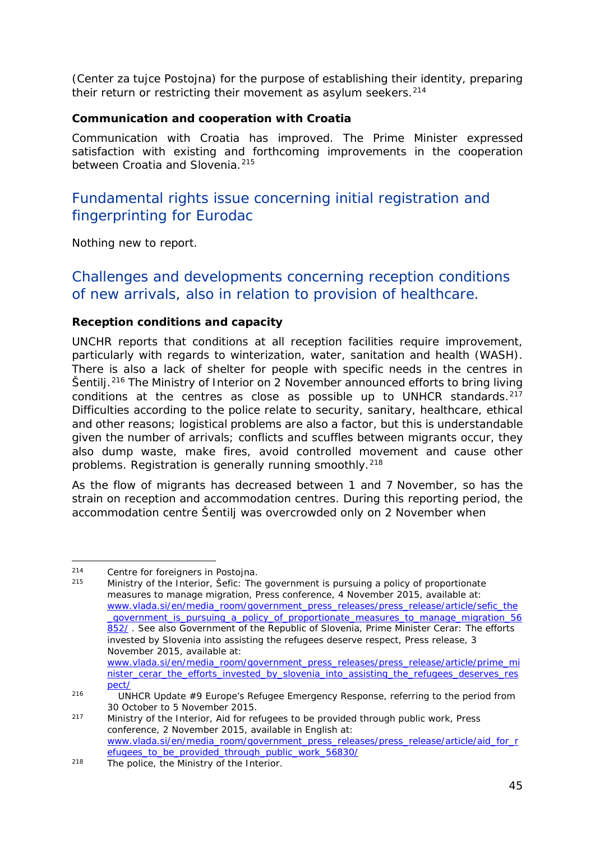<span id="page-44-3"></span>(*Center za tujce Postojna*) for the purpose of establishing their identity, preparing their return or restricting their movement as asylum seekers.<sup>[214](#page-44-0)</sup>

#### **Communication and cooperation with Croatia**

Communication with Croatia has improved. The Prime Minister expressed satisfaction with existing and forthcoming improvements in the cooperation between Croatia and Slovenia.<sup>[215](#page-44-1)</sup>

## Fundamental rights issue concerning initial registration and fingerprinting for Eurodac

Nothing new to report.

## Challenges and developments concerning reception conditions of new arrivals, also in relation to provision of healthcare.

#### **Reception conditions and capacity**

UNCHR reports that conditions at all reception facilities require improvement, particularly with regards to winterization, water, sanitation and health (WASH). There is also a lack of shelter for people with specific needs in the centres in Šentilj.[216](#page-44-2) The Ministry of Interior on 2 November announced efforts to bring living conditions at the centres as close as possible up to UNHCR standards. $217$ Difficulties according to the police relate to security, sanitary, healthcare, ethical and other reasons; logistical problems are also a factor, but this is understandable given the number of arrivals; conflicts and scuffles between migrants occur, they also dump waste, make fires, avoid controlled movement and cause other problems. Registration is generally running smoothly.<sup>[218](#page-44-3)</sup>

As the flow of migrants has decreased between 1 and 7 November, so has the strain on reception and accommodation centres. During this reporting period, the accommodation centre Šentilj was overcrowded only on 2 November when

<span id="page-44-0"></span><sup>&</sup>lt;sup>214</sup> Centre for foreigners in Postojna.<br><sup>215</sup> Ministry of the Interior Cofie: The -

<span id="page-44-1"></span><sup>215</sup> Ministry of the Interior, *Šefic: The government is pursuing a policy of proportionate measures to manage migration*, Press conference, 4 November 2015, available at: [www.vlada.si/en/media\\_room/government\\_press\\_releases/press\\_release/article/sefic\\_the](http://www.vlada.si/en/media_room/government_press_releases/press_release/article/sefic_the_government_is_pursuing_a_policy_of_proportionate_measures_to_manage_migration_56852/) [\\_government\\_is\\_pursuing\\_a\\_policy\\_of\\_proportionate\\_measures\\_to\\_manage\\_migration\\_56](http://www.vlada.si/en/media_room/government_press_releases/press_release/article/sefic_the_government_is_pursuing_a_policy_of_proportionate_measures_to_manage_migration_56852/) [852/](http://www.vlada.si/en/media_room/government_press_releases/press_release/article/sefic_the_government_is_pursuing_a_policy_of_proportionate_measures_to_manage_migration_56852/) . See also Government of the Republic of Slovenia, *Prime Minister Cerar: The efforts invested by Slovenia into assisting the refugees deserve respect*, Press release, 3 November 2015, available at:

[www.vlada.si/en/media\\_room/government\\_press\\_releases/press\\_release/article/prime\\_mi](http://www.vlada.si/en/media_room/government_press_releases/press_release/article/prime_minister_cerar_the_efforts_invested_by_slovenia_into_assisting_the_refugees_deserves_respect/) [nister\\_cerar\\_the\\_efforts\\_invested\\_by\\_slovenia\\_into\\_assisting\\_the\\_refugees\\_deserves\\_res](http://www.vlada.si/en/media_room/government_press_releases/press_release/article/prime_minister_cerar_the_efforts_invested_by_slovenia_into_assisting_the_refugees_deserves_respect/) [pect/](http://www.vlada.si/en/media_room/government_press_releases/press_release/article/prime_minister_cerar_the_efforts_invested_by_slovenia_into_assisting_the_refugees_deserves_respect/)

<span id="page-44-2"></span><sup>216</sup> UNHCR *Update #9 Europe's Refugee Emergency Response*, referring to the period from 30 October to 5 November 2015.

<sup>217</sup> Ministry of the Interior, *Aid for refugees to be provided through public work*, Press conference, 2 November 2015, available in English at: [www.vlada.si/en/media\\_room/government\\_press\\_releases/press\\_release/article/aid\\_for\\_r](http://www.vlada.si/en/media_room/government_press_releases/press_release/article/aid_for_refugees_to_be_provided_through_public_work_56830/) [efugees\\_to\\_be\\_provided\\_through\\_public\\_work\\_56830/](http://www.vlada.si/en/media_room/government_press_releases/press_release/article/aid_for_refugees_to_be_provided_through_public_work_56830/)

<sup>218</sup> The police, the Ministry of the Interior.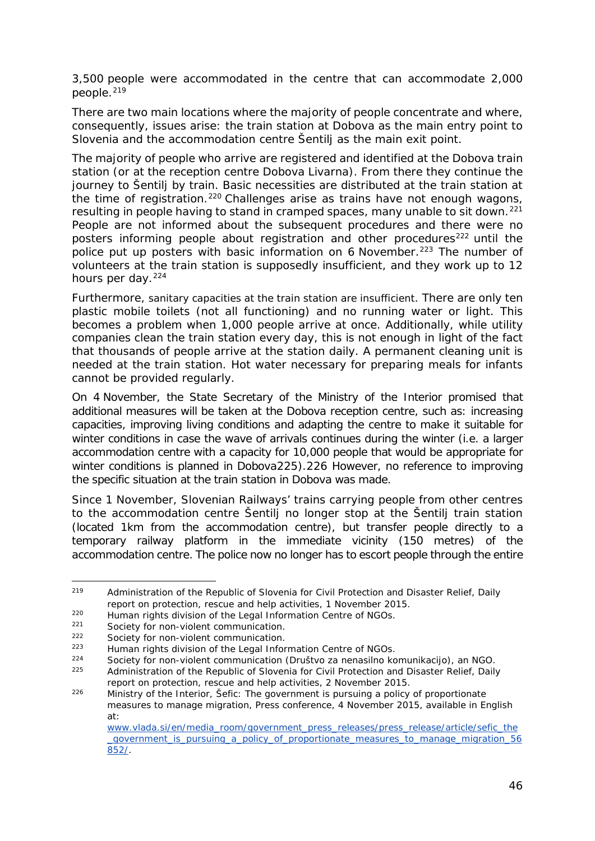<span id="page-45-2"></span>3,500 people were accommodated in the centre that can accommodate 2,000 people.<sup>[219](#page-45-0)</sup>

There are two main locations where the majority of people concentrate and where, consequently, issues arise: the train station at Dobova as the main entry point to Slovenia and the accommodation centre Šentilj as the main exit point.

The majority of people who arrive are registered and identified at the Dobova train station (or at the reception centre Dobova Livarna). From there they continue the journey to Šentilj by train. Basic necessities are distributed at the train station at the time of registration.<sup>[220](#page-45-1)</sup> Challenges arise as trains have not enough wagons, resulting in people having to stand in cramped spaces, many unable to sit down.<sup>[221](#page-45-2)</sup> People are not informed about the subsequent procedures and there were no posters informing people about registration and other procedures $222$  until the police put up posters with basic information on 6 November.<sup>[223](#page-45-2)</sup> The number of volunteers at the train station is supposedly insufficient, and they work up to 12 hours per day.<sup>[224](#page-45-2)</sup>

Furthermore, sanitary capacities at the train station are insufficient. There are only ten plastic mobile toilets (not all functioning) and no running water or light. This becomes a problem when 1,000 people arrive at once. Additionally, while utility companies clean the train station every day, this is not enough in light of the fact that thousands of people arrive at the station daily. A permanent cleaning unit is needed at the train station. Hot water necessary for preparing meals for infants cannot be provided regularly.

On 4 November, the State Secretary of the Ministry of the Interior promised that additional measures will be taken at the Dobova reception centre, such as: increasing capacities, improving living conditions and adapting the centre to make it suitable for winter conditions in case the wave of arrivals continues during the winter (i.e. a larger accommodation centre with a capacity for 10,000 people that would be appropriate for winter conditions is planned in Dobov[a225](#page-45-3)).[226](#page-45-2) However, no reference to improving the specific situation at the train station in Dobova was made.

Since 1 November, Slovenian Railways' trains carrying people from other centres to the accommodation centre Šentilj no longer stop at the Šentilj train station (located 1km from the accommodation centre), but transfer people directly to a temporary railway platform in the immediate vicinity (150 metres) of the accommodation centre. The police now no longer has to escort people through the entire

<span id="page-45-0"></span><sup>219</sup> Administration of the Republic of Slovenia for Civil Protection and Disaster Relief, *Daily report on protection, rescue and help activities*, 1 November 2015. -

<span id="page-45-1"></span><sup>&</sup>lt;sup>220</sup> Human rights division of the Legal Information Centre of NGOs.<br><sup>221</sup> Seciety for non-violent communication

Society for non-violent communication.

<sup>&</sup>lt;sup>222</sup> Society for non-violent communication.

<sup>&</sup>lt;sup>223</sup> Human rights division of the Legal Information Centre of NGOs.<br><sup>224</sup> Seciety for non-violent communication (Drugtue za penacilne ke

<sup>224</sup> Society for non-violent communication (*Društvo za nenasilno komunikacijo*), an NGO.

<span id="page-45-3"></span><sup>225</sup> Administration of the Republic of Slovenia for Civil Protection and Disaster Relief, *Daily report on protection, rescue and help activities*, 2 November 2015.

<sup>226</sup> Ministry of the Interior, *Šefic: The government is pursuing a policy of proportionate measures to manage migration*, Press conference, 4 November 2015, available in English at:

[www.vlada.si/en/media\\_room/government\\_press\\_releases/press\\_release/article/sefic\\_the](http://www.vlada.si/en/media_room/government_press_releases/press_release/article/sefic_the_government_is_pursuing_a_policy_of_proportionate_measures_to_manage_migration_56852/) [\\_government\\_is\\_pursuing\\_a\\_policy\\_of\\_proportionate\\_measures\\_to\\_manage\\_migration\\_56](http://www.vlada.si/en/media_room/government_press_releases/press_release/article/sefic_the_government_is_pursuing_a_policy_of_proportionate_measures_to_manage_migration_56852/) [852/.](http://www.vlada.si/en/media_room/government_press_releases/press_release/article/sefic_the_government_is_pursuing_a_policy_of_proportionate_measures_to_manage_migration_56852/)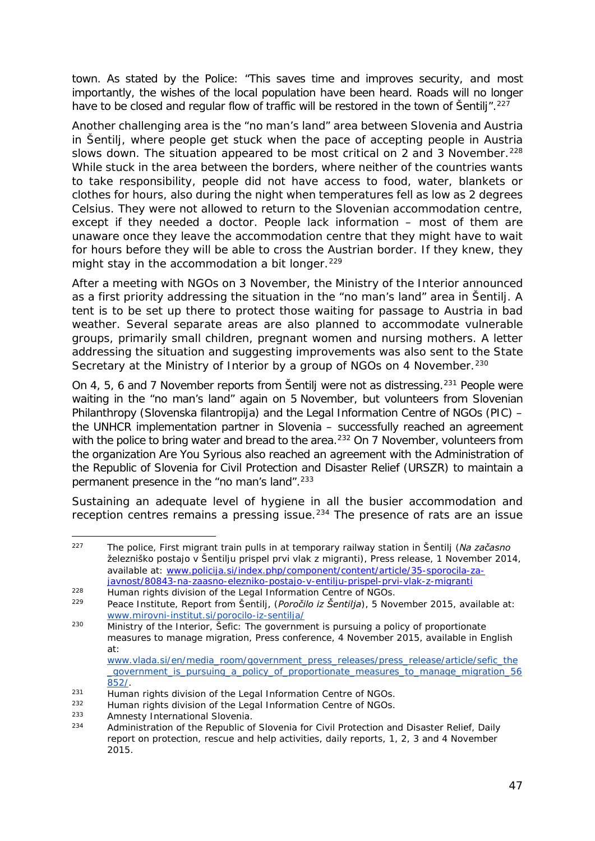<span id="page-46-5"></span>town. As stated by the Police: "This saves time and improves security, and most importantly, the wishes of the local population have been heard. Roads will no longer have to be closed and regular flow of traffic will be restored in the town of Šentili".<sup>227</sup>

Another challenging area is the "no man's land" area between Slovenia and Austria in Šentilj, where people get stuck when the pace of accepting people in Austria slows down. The situation appeared to be most critical on 2 and 3 November.<sup>[228](#page-46-1)</sup> While stuck in the area between the borders, where neither of the countries wants to take responsibility, people did not have access to food, water, blankets or clothes for hours, also during the night when temperatures fell as low as 2 degrees Celsius. They were not allowed to return to the Slovenian accommodation centre, except if they needed a doctor. People lack information – most of them are unaware once they leave the accommodation centre that they might have to wait for hours before they will be able to cross the Austrian border. If they knew, they might stay in the accommodation a bit longer.<sup>[229](#page-46-2)</sup>

After a meeting with NGOs on 3 November, the Ministry of the Interior announced as a first priority addressing the situation in the "no man's land" area in Šentilj. A tent is to be set up there to protect those waiting for passage to Austria in bad weather. Several separate areas are also planned to accommodate vulnerable groups, primarily small children, pregnant women and nursing mothers. A letter addressing the situation and suggesting improvements was also sent to the State Secretary at the Ministry of Interior by a group of NGOs on 4 November.<sup>[230](#page-46-3)</sup>

On 4, 5, 6 and 7 November reports from Šentilj were not as distressing.<sup>231</sup> People were waiting in the "no man's land" again on 5 November, but volunteers from Slovenian Philanthropy (*Slovenska filantropija*) and the Legal Information Centre of NGOs (*PIC*) – the UNHCR implementation partner in Slovenia – successfully reached an agreement with the police to bring water and bread to the area.<sup>[232](#page-46-5)</sup> On 7 November, volunteers from the organization Are You Syrious also reached an agreement with the Administration of the Republic of Slovenia for Civil Protection and Disaster Relief (*URSZR*) to maintain a permanent presence in the "no man's land".<sup>[233](#page-46-5)</sup>

Sustaining an adequate level of hygiene in all the busier accommodation and reception centres remains a pressing issue.<sup>[234](#page-46-6)</sup> The presence of rats are an issue

<span id="page-46-0"></span><sup>227</sup> The police, First migrant train pulls in at temporary railway station in Šentilj (*Na začasno železniško postajo v Šentilju prispel prvi vlak z migranti*), Press release, 1 November 2014, available at: [www.policija.si/index.php/component/content/article/35-sporocila-za](http://www.policija.si/index.php/component/content/article/35-sporocila-za-javnost/80843-na-zaasno-elezniko-postajo-v-entilju-prispel-prvi-vlak-z-migranti)[javnost/80843-na-zaasno-elezniko-postajo-v-entilju-prispel-prvi-vlak-z-migranti](http://www.policija.si/index.php/component/content/article/35-sporocila-za-javnost/80843-na-zaasno-elezniko-postajo-v-entilju-prispel-prvi-vlak-z-migranti) -

<span id="page-46-1"></span><sup>&</sup>lt;sup>228</sup> Human rights division of the Legal Information Centre of NGOs.<br><sup>229</sup> Peace Institute Report from Sentili (*Perečile iz Šentilia*), 5 New Peace Institute, Report from Šentilj, (Poročilo iz Šentilja), 5 November 2015, available at:

<span id="page-46-3"></span><span id="page-46-2"></span>[www.mirovni-institut.si/porocilo-iz-sentilja/](http://www.mirovni-institut.si/porocilo-iz-sentilja/) <sup>230</sup> Ministry of the Interior, *Šefic: The government is pursuing a policy of proportionate measures to manage migration*, Press conference, 4 November 2015, available in English at:

[www.vlada.si/en/media\\_room/government\\_press\\_releases/press\\_release/article/sefic\\_the](http://www.vlada.si/en/media_room/government_press_releases/press_release/article/sefic_the_government_is_pursuing_a_policy_of_proportionate_measures_to_manage_migration_56852/) [\\_government\\_is\\_pursuing\\_a\\_policy\\_of\\_proportionate\\_measures\\_to\\_manage\\_migration\\_56](http://www.vlada.si/en/media_room/government_press_releases/press_release/article/sefic_the_government_is_pursuing_a_policy_of_proportionate_measures_to_manage_migration_56852/) [852/.](http://www.vlada.si/en/media_room/government_press_releases/press_release/article/sefic_the_government_is_pursuing_a_policy_of_proportionate_measures_to_manage_migration_56852/)

<span id="page-46-4"></span> $\overline{P}$  Human rights division of the Legal Information Centre of NGOs.<br>  $\overline{P}$  Human rights division of the Legal Information Centre of NGOs.

<sup>232</sup> Human rights division of the Legal Information Centre of NGOs.<br>233 Amposty International Slovenia

<sup>&</sup>lt;sup>233</sup> Amnesty International Slovenia.<br><sup>234</sup> Administration of the Benublic of

<span id="page-46-6"></span><sup>234</sup> Administration of the Republic of Slovenia for Civil Protection and Disaster Relief, *Daily report on protection, rescue and help activities*, daily reports, 1, 2, 3 and 4 November 2015.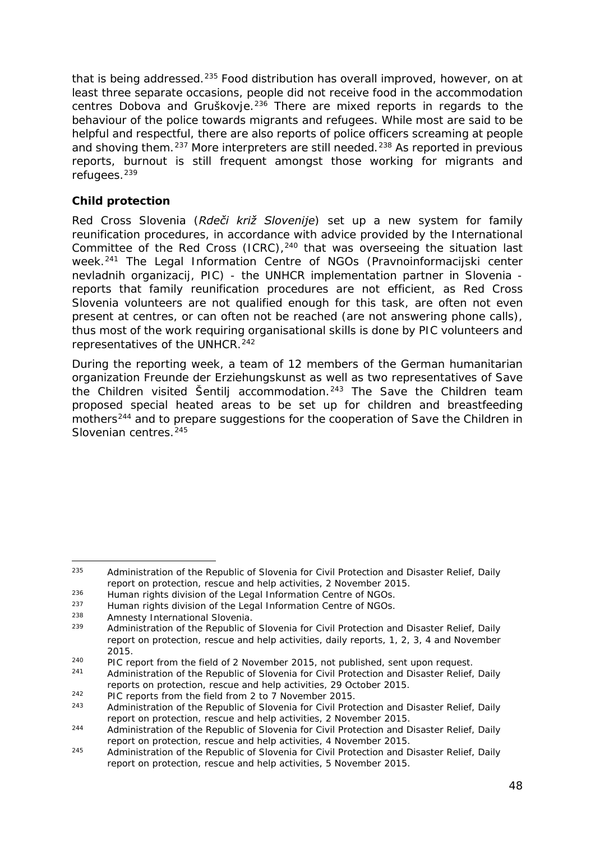<span id="page-47-6"></span>that is being addressed.<sup>[235](#page-47-0)</sup> Food distribution has overall improved, however, on at least three separate occasions, people did not receive food in the accommodation centres Dobova and Gruškovie.<sup>[236](#page-47-1)</sup> There are mixed reports in regards to the behaviour of the police towards migrants and refugees. While most are said to be helpful and respectful, there are also reports of police officers screaming at people and shoving them.<sup>[237](#page-47-2)</sup> More interpreters are still needed.<sup>[238](#page-47-3)</sup> As reported in previous reports, burnout is still frequent amongst those working for migrants and refugees.<sup>[239](#page-47-4)</sup>

#### **Child protection**

Red Cross Slovenia (*Rdeči križ Slovenije*) set up a new system for family reunification procedures, in accordance with advice provided by the International Committee of the Red Cross (ICRC), $240$  that was overseeing the situation last week.[241](#page-47-6) The Legal Information Centre of NGOs (*Pravnoinformacijski center nevladnih organizacij, PIC*) - the UNHCR implementation partner in Slovenia reports that family reunification procedures are not efficient, as Red Cross Slovenia volunteers are not qualified enough for this task, are often not even present at centres, or can often not be reached (are not answering phone calls), thus most of the work requiring organisational skills is done by PIC volunteers and representatives of the UNHCR.<sup>[242](#page-47-6)</sup>

During the reporting week, a team of 12 members of the German humanitarian organization *Freunde der Erziehungskunst* as well as two representatives of Save the Children visited Šentilj accommodation.<sup>[243](#page-47-7)</sup> The Save the Children team proposed special heated areas to be set up for children and breastfeeding mothers<sup>[244](#page-47-6)</sup> and to prepare suggestions for the cooperation of Save the Children in Slovenian centres.<sup>[245](#page-47-6)</sup>

<span id="page-47-0"></span><sup>235</sup> Administration of the Republic of Slovenia for Civil Protection and Disaster Relief, *Daily report on protection, rescue and help activities*, 2 November 2015. -

<span id="page-47-1"></span><sup>236</sup> Human rights division of the Legal Information Centre of NGOs.<br>237 Human rights division of the Legal Information Centre of NGOs.

<span id="page-47-2"></span><sup>&</sup>lt;sup>237</sup> Human rights division of the Legal Information Centre of NGOs.

<span id="page-47-4"></span><span id="page-47-3"></span><sup>&</sup>lt;sup>238</sup> Amnesty International Slovenia.<br><sup>239</sup> Administration of the Benublic of

<sup>239</sup> Administration of the Republic of Slovenia for Civil Protection and Disaster Relief, *Daily report on protection, rescue and help activities*, daily reports, 1, 2, 3, 4 and November 2015.

<span id="page-47-5"></span><sup>240</sup> PIC report from the field of 2 November 2015, not published, sent upon request. 241 Administration of the Republic of Slovenia for Civil Protection and Disaster Relief, *Daily* 

*reports on protection, rescue and help activities,* 29 October 2015.

<span id="page-47-7"></span><sup>242</sup> PIC reports from the field from 2 to 7 November 2015. 243 Administration of the Republic of Slovenia for Civil Protection and Disaster Relief, *Daily report on protection, rescue and help activities*, 2 November 2015.

<sup>244</sup> Administration of the Republic of Slovenia for Civil Protection and Disaster Relief, *Daily report on protection, rescue and help activities*, 4 November 2015. 245 Administration of the Republic of Slovenia for Civil Protection and Disaster Relief, *Daily* 

*report on protection, rescue and help activities*, 5 November 2015.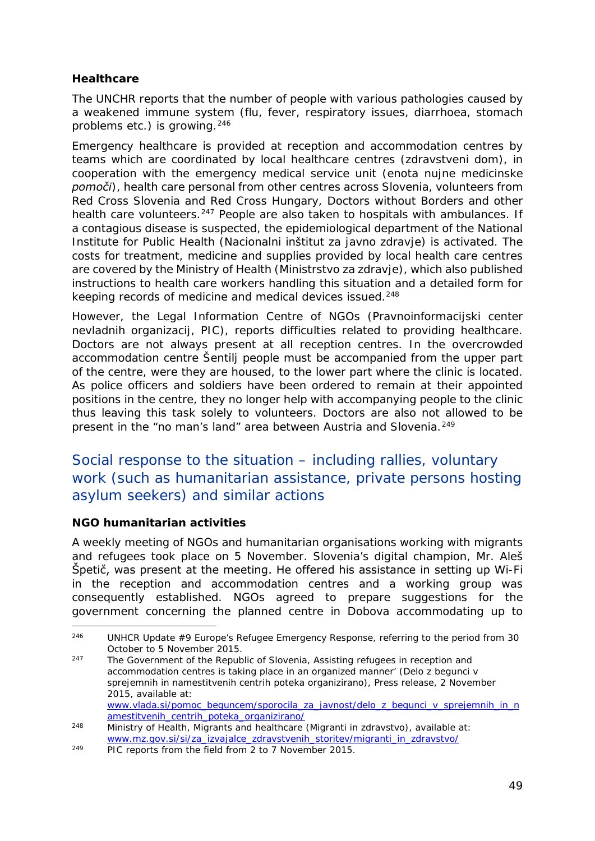#### <span id="page-48-2"></span>**Healthcare**

The UNCHR reports that the number of people with various pathologies caused by a weakened immune system (flu, fever, respiratory issues, diarrhoea, stomach problems etc.) is growing.[246](#page-48-0)

Emergency healthcare is provided at reception and accommodation centres by teams which are coordinated by local healthcare centres (*zdravstveni dom*), in cooperation with the emergency medical service unit (*enota nujne medicinske pomoči*), health care personal from other centres across Slovenia, volunteers from Red Cross Slovenia and Red Cross Hungary, Doctors without Borders and other health care volunteers.<sup>[247](#page-48-1)</sup> People are also taken to hospitals with ambulances. If a contagious disease is suspected, the epidemiological department of the National Institute for Public Health (*Nacionalni inštitut za javno zdravje*) is activated. The costs for treatment, medicine and supplies provided by local health care centres are covered by the Ministry of Health (*Ministrstvo za zdravje*), which also published instructions to health care workers handling this situation and a detailed form for keeping records of medicine and medical devices issued.<sup>248</sup>

However, the Legal Information Centre of NGOs (*Pravnoinformacijski center nevladnih organizacij, PIC*), reports difficulties related to providing healthcare. Doctors are not always present at all reception centres. In the overcrowded accommodation centre Šentilj people must be accompanied from the upper part of the centre, were they are housed, to the lower part where the clinic is located. As police officers and soldiers have been ordered to remain at their appointed positions in the centre, they no longer help with accompanying people to the clinic thus leaving this task solely to volunteers. Doctors are also not allowed to be present in the "no man's land" area between Austria and Slovenia.<sup>[249](#page-48-3)</sup>

## Social response to the situation – including rallies, voluntary work (such as humanitarian assistance, private persons hosting asylum seekers) and similar actions

#### **NGO humanitarian activities**

A weekly meeting of NGOs and humanitarian organisations working with migrants and refugees took place on 5 November. Slovenia's digital champion, Mr. Aleš Špetič, was present at the meeting. He offered his assistance in setting up Wi-Fi in the reception and accommodation centres and a working group was consequently established. NGOs agreed to prepare suggestions for the government concerning the planned centre in Dobova accommodating up to

<span id="page-48-1"></span><sup>247</sup> The Government of the Republic of Slovenia, Assisting refugees in reception and accommodation centres is taking place in an organized manner' (*Delo z begunci v sprejemnih in namestitvenih centrih poteka organizirano*), Press release, 2 November 2015, available at: [www.vlada.si/pomoc\\_beguncem/sporocila\\_za\\_javnost/delo\\_z\\_begunci\\_v\\_sprejemnih\\_in\\_n](http://www.vlada.si/pomoc_beguncem/sporocila_za_javnost/delo_z_begunci_v_sprejemnih_in_namestitvenih_centrih_poteka_organizirano/) [amestitvenih\\_centrih\\_poteka\\_organizirano/](http://www.vlada.si/pomoc_beguncem/sporocila_za_javnost/delo_z_begunci_v_sprejemnih_in_namestitvenih_centrih_poteka_organizirano/)

<span id="page-48-0"></span><sup>246</sup> UNHCR *Update #9 Europe's Refugee Emergency Response*, referring to the period from 30 October to 5 November 2015. -

<sup>248</sup> Ministry of Health, Migrants and healthcare *(Migranti in zdravstvo*), available at: [www.mz.gov.si/si/za\\_izvajalce\\_zdravstvenih\\_storitev/migranti\\_in\\_zdravstvo/](http://www.mz.gov.si/si/za_izvajalce_zdravstvenih_storitev/migranti_in_zdravstvo/)

<span id="page-48-3"></span><sup>249</sup> PIC reports from the field from 2 to 7 November 2015.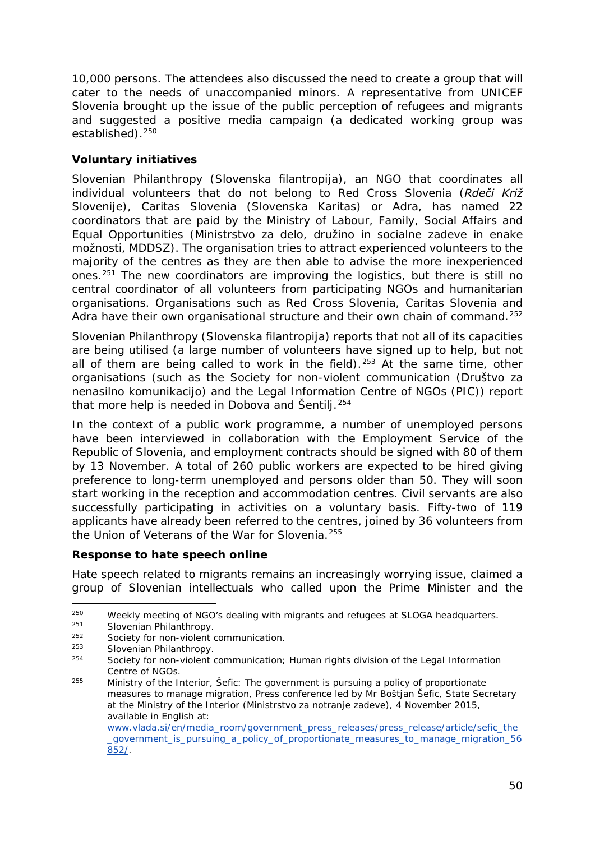<span id="page-49-4"></span>10,000 persons. The attendees also discussed the need to create a group that will cater to the needs of unaccompanied minors. A representative from UNICEF Slovenia brought up the issue of the public perception of refugees and migrants and suggested a positive media campaign (a dedicated working group was established).<sup>[250](#page-49-0)</sup>

#### **Voluntary initiatives**

Slovenian Philanthropy (*Slovenska filantropija*), an NGO that coordinates all individual volunteers that do not belong to Red Cross Slovenia (*Rdeči Križ Slovenije*), Caritas Slovenia (*Slovenska Karitas*) or Adra, has named 22 coordinators that are paid by the Ministry of Labour, Family, Social Affairs and Equal Opportunities (*Ministrstvo za delo, družino in socialne zadeve in enake možnosti*, *MDDSZ*). The organisation tries to attract experienced volunteers to the majority of the centres as they are then able to advise the more inexperienced ones[.251](#page-49-1) The new coordinators are improving the logistics, but there is still no central coordinator of all volunteers from participating NGOs and humanitarian organisations. Organisations such as Red Cross Slovenia, Caritas Slovenia and Adra have their own organisational structure and their own chain of command.<sup>[252](#page-49-2)</sup>

Slovenian Philanthropy (*Slovenska filantropija*) reports that not all of its capacities are being utilised (a large number of volunteers have signed up to help, but not all of them are being called to work in the field).<sup>[253](#page-49-3)</sup> At the same time, other organisations (such as the Society for non-violent communication (*Društvo za nenasilno komunikacijo*) and the Legal Information Centre of NGOs (*PIC*)) report that more help is needed in Dobova and Šentilj.<sup>[254](#page-49-4)</sup>

In the context of a public work programme, a number of unemployed persons have been interviewed in collaboration with the Employment Service of the Republic of Slovenia, and employment contracts should be signed with 80 of them by 13 November. A total of 260 public workers are expected to be hired giving preference to long-term unemployed and persons older than 50. They will soon start working in the reception and accommodation centres. Civil servants are also successfully participating in activities on a voluntary basis. Fifty-two of 119 applicants have already been referred to the centres, joined by 36 volunteers from the Union of Veterans of the War for Slovenia.[255](#page-49-5)

#### **Response to hate speech online**

Hate speech related to migrants remains an increasingly worrying issue, claimed a group of Slovenian intellectuals who called upon the Prime Minister and the

<span id="page-49-0"></span><sup>&</sup>lt;sup>250</sup> Weekly meeting of NGO's dealing with migrants and refugees at SLOGA headquarters. j.

Slovenian Philanthropy.

<span id="page-49-2"></span><span id="page-49-1"></span><sup>252</sup> Society for non-violent communication.

<span id="page-49-3"></span><sup>253</sup> Slovenian Philanthropy.

<sup>254</sup> Society for non-violent communication*;* Human rights division of the Legal Information Centre of NGOs.

<span id="page-49-5"></span><sup>255</sup> Ministry of the Interior, *Šefic: The government is pursuing a policy of proportionate measures to manage migration*, Press conference led by Mr Boštjan Šefic, State Secretary at the Ministry of the Interior (*Ministrstvo za notranje zadeve*), 4 November 2015, available in English at:

[www.vlada.si/en/media\\_room/government\\_press\\_releases/press\\_release/article/sefic\\_the](http://www.vlada.si/en/media_room/government_press_releases/press_release/article/sefic_the_government_is_pursuing_a_policy_of_proportionate_measures_to_manage_migration_56852/) [\\_government\\_is\\_pursuing\\_a\\_policy\\_of\\_proportionate\\_measures\\_to\\_manage\\_migration\\_56](http://www.vlada.si/en/media_room/government_press_releases/press_release/article/sefic_the_government_is_pursuing_a_policy_of_proportionate_measures_to_manage_migration_56852/) [852/.](http://www.vlada.si/en/media_room/government_press_releases/press_release/article/sefic_the_government_is_pursuing_a_policy_of_proportionate_measures_to_manage_migration_56852/)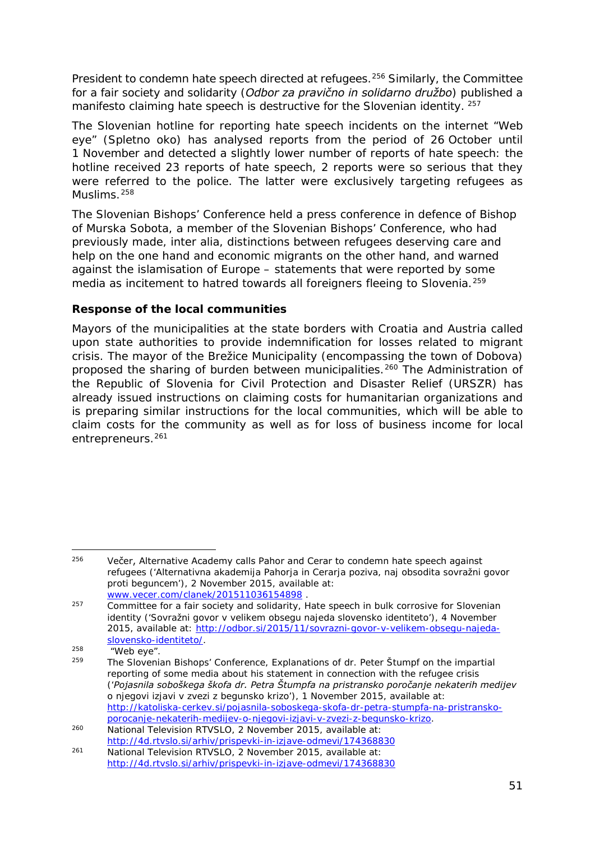<span id="page-50-5"></span>President to condemn hate speech directed at refugees.<sup>[256](#page-50-0)</sup> Similarly, the Committee for a fair society and solidarity (*Odbor za pravično in solidarno družbo*) published a manifesto claiming hate speech is destructive for the Slovenian identity. [257](#page-50-1)

The Slovenian hotline for reporting hate speech incidents on the internet "Web eye" (*Spletno oko*) has analysed reports from the period of 26 October until 1 November and detected a slightly lower number of reports of hate speech: the hotline received 23 reports of hate speech, 2 reports were so serious that they were referred to the police. The latter were exclusively targeting refugees as Muslims.[258](#page-50-2)

The Slovenian Bishops' Conference held a press conference in defence of Bishop of Murska Sobota, a member of the Slovenian Bishops' Conference, who had previously made, *inter alia*, distinctions between refugees deserving care and help on the one hand and economic migrants on the other hand, and warned against the islamisation of Europe – statements that were reported by some media as incitement to hatred towards all foreigners fleeing to Slovenia.<sup>[259](#page-50-3)</sup>

#### **Response of the local communities**

Mayors of the municipalities at the state borders with Croatia and Austria called upon state authorities to provide indemnification for losses related to migrant crisis. The mayor of the Brežice Municipality (encompassing the town of Dobova) proposed the sharing of burden between municipalities.<sup>[260](#page-50-4)</sup> The Administration of the Republic of Slovenia for Civil Protection and Disaster Relief (*URSZR*) has already issued instructions on claiming costs for humanitarian organizations and is preparing similar instructions for the local communities, which will be able to claim costs for the community as well as for loss of business income for local entrepreneurs.<sup>[261](#page-50-5)</sup>

<span id="page-50-0"></span><sup>&</sup>lt;sup>256</sup> Večer, Alternative Academy calls Pahor and Cerar to condemn hate speech against refugees ('*Alternativna akademija Pahorja in Cerarja poziva, naj obsodita sovražni govor proti beguncem*'), 2 November 2015, available at: [www.vecer.com/clanek/201511036154898](http://www.vecer.com/clanek/201511036154898) . -

<span id="page-50-1"></span> $257$  Committee for a fair society and solidarity, Hate speech in bulk corrosive for Slovenian identity ('*Sovražni govor v velikem obsegu najeda slovensko identiteto*'), 4 November 2015, available at: [http://odbor.si/2015/11/sovrazni-govor-v-velikem-obsegu-najeda](http://odbor.si/2015/11/sovrazni-govor-v-velikem-obsegu-najeda-slovensko-identiteto/)[slovensko-identiteto/.](http://odbor.si/2015/11/sovrazni-govor-v-velikem-obsegu-najeda-slovensko-identiteto/)

<span id="page-50-3"></span><span id="page-50-2"></span> $^{258}$  "Web eye".

<sup>259</sup> The Slovenian Bishops' Conference, Explanations of dr. Peter Štumpf on the impartial reporting of some media about his statement in connection with the refugee crisis ('*Pojasnila soboškega škofa dr. Petra Štumpfa na pristransko poročanje nekaterih medijev o njegovi izjavi v zvezi z begunsko krizo*'), 1 November 2015, available at: [http://katoliska-cerkev.si/pojasnila-soboskega-skofa-dr-petra-stumpfa-na-pristransko-](http://katoliska-cerkev.si/pojasnila-soboskega-skofa-dr-petra-stumpfa-na-pristransko-porocanje-nekaterih-medijev-o-njegovi-izjavi-v-zvezi-z-begunsko-krizo)

<span id="page-50-4"></span><sup>&</sup>lt;sup>260</sup> National Television RTVSLO, 2 November 2015, available at: <http://4d.rtvslo.si/arhiv/prispevki-in-izjave-odmevi/174368830>

<sup>261</sup> National Television RTVSLO, 2 November 2015, available at: <http://4d.rtvslo.si/arhiv/prispevki-in-izjave-odmevi/174368830>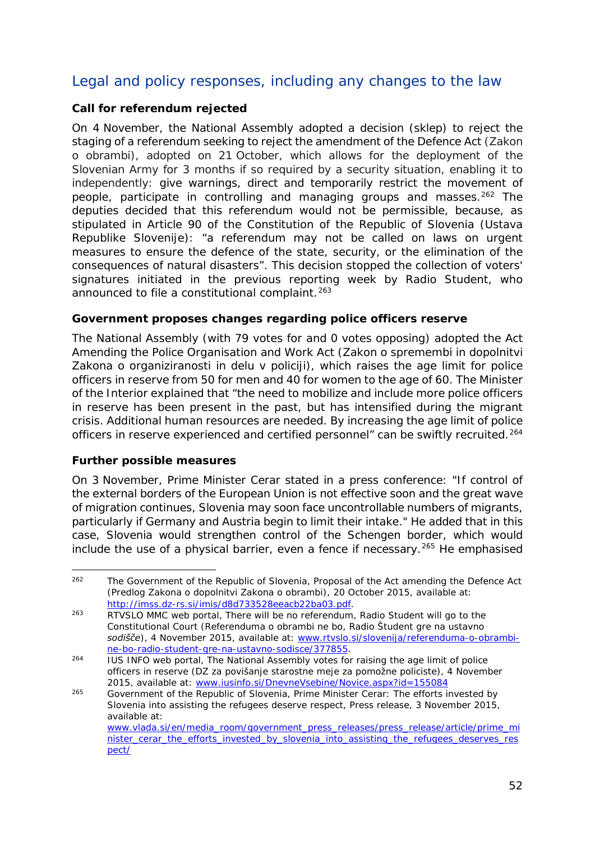## <span id="page-51-1"></span>Legal and policy responses, including any changes to the law

#### **Call for referendum rejected**

On 4 November, the National Assembly adopted a decision (*sklep*) to reject the staging of a referendum seeking to reject the amendment of the Defence Act (*Zakon o obrambi*), adopted on 21 October, which allows for the deployment of the Slovenian Army for 3 months if so required by a security situation, enabling it to independently: give warnings, direct and temporarily restrict the movement of people, participate in controlling and managing groups and masses.<sup>[262](#page-51-0)</sup> The deputies decided that this referendum would not be permissible, because, as stipulated in Article 90 of the Constitution of the Republic of Slovenia (*Ustava Republike Slovenije*): "a referendum may not be called on laws on urgent measures to ensure the defence of the state, security, or the elimination of the consequences of natural disasters". This decision stopped the collection of voters' signatures initiated in the previous reporting week by Radio Student, who announced to file a constitutional complaint.<sup>[263](#page-51-1)</sup>

#### **Government proposes changes regarding police officers reserve**

The National Assembly (with 79 votes for and 0 votes opposing) adopted the Act Amending the Police Organisation and Work Act (*Zakon o spremembi in dopolnitvi Zakona o organiziranosti in delu v policiji*), which raises the age limit for police officers in reserve from 50 for men and 40 for women to the age of 60. The Minister of the Interior explained that "the need to mobilize and include more police officers in reserve has been present in the past, but has intensified during the migrant crisis. Additional human resources are needed. By increasing the age limit of police officers in reserve experienced and certified personnel" can be swiftly recruited.<sup>[264](#page-51-2)</sup>

#### **Further possible measures**

On 3 November, Prime Minister Cerar stated in a press conference: "If control of the external borders of the European Union is not effective soon and the great wave of migration continues, Slovenia may soon face uncontrollable numbers of migrants, particularly if Germany and Austria begin to limit their intake." He added that in this case, Slovenia would strengthen control of the Schengen border, which would include the use of a physical barrier, even a fence if necessary.<sup>[265](#page-51-3)</sup> He emphasised

<span id="page-51-0"></span><sup>&</sup>lt;sup>262</sup> The Government of the Republic of Slovenia, Proposal of the Act amending the Defence Act (*Predlog Zakona o dopolnitvi Zakona o obrambi*), 20 October 2015, available at: [http://imss.dz-rs.si/imis/d8d733528eeacb22ba03.pdf.](http://imss.dz-rs.si/imis/d8d733528eeacb22ba03.pdf) -

<sup>263</sup> RTVSLO MMC web portal, There will be no referendum, Radio Student will go to the Constitutional Court (*Referenduma o obrambi ne bo, Radio Študent gre na ustavno sodišče*), 4 November 2015, available at: [www.rtvslo.si/slovenija/referenduma-o-obrambi](http://www.rtvslo.si/slovenija/referenduma-o-obrambi-ne-bo-radio-student-gre-na-ustavno-sodisce/377855)[ne-bo-radio-student-gre-na-ustavno-sodisce/377855.](http://www.rtvslo.si/slovenija/referenduma-o-obrambi-ne-bo-radio-student-gre-na-ustavno-sodisce/377855)

<span id="page-51-2"></span><sup>264</sup> *IUS INFO* web portal, The National Assembly votes for raising the age limit of police officers in reserve *(DZ za povišanje starostne meje za pomožne policiste*), 4 November

<span id="page-51-3"></span><sup>&</sup>lt;sup>265</sup> Government of the Republic of Slovenia, *Prime Minister Cerar: The efforts invested by Slovenia into assisting the refugees deserve respect*, Press release, 3 November 2015, available at: [www.vlada.si/en/media\\_room/government\\_press\\_releases/press\\_release/article/prime\\_mi](http://www.vlada.si/en/media_room/government_press_releases/press_release/article/prime_minister_cerar_the_efforts_invested_by_slovenia_into_assisting_the_refugees_deserves_respect/) [nister\\_cerar\\_the\\_efforts\\_invested\\_by\\_slovenia\\_into\\_assisting\\_the\\_refugees\\_deserves\\_res](http://www.vlada.si/en/media_room/government_press_releases/press_release/article/prime_minister_cerar_the_efforts_invested_by_slovenia_into_assisting_the_refugees_deserves_respect/) [pect/](http://www.vlada.si/en/media_room/government_press_releases/press_release/article/prime_minister_cerar_the_efforts_invested_by_slovenia_into_assisting_the_refugees_deserves_respect/)